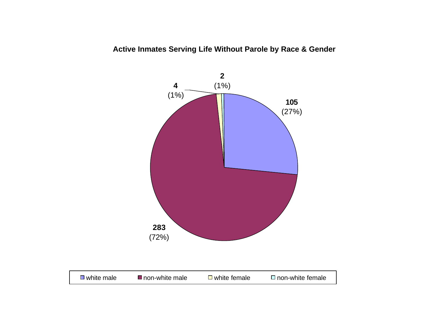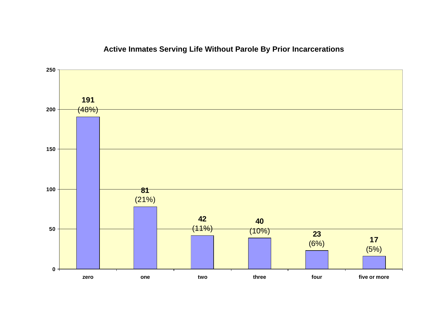

# **Active Inmates Serving Life Without Parole By Prior Incarcerations**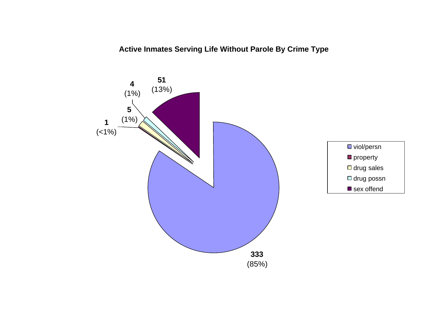**Active Inmates Serving Life Without Parole By Crime Type**

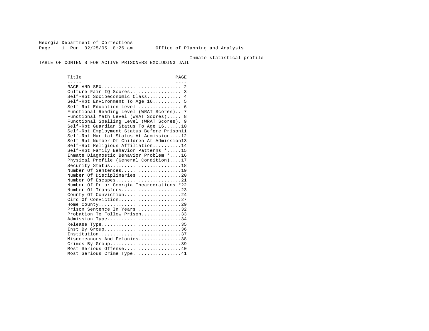Georgia Department of Corrections Page 1 Run 02/25/05 8:26 am Office of Planning and Analysis

Inmate statistical profile

TABLE OF CONTENTS FOR ACTIVE PRISONERS EXCLUDING JAIL

Title PAGE ----- ---- RACE AND SEX............................ 2 Culture Fair IQ Scores..................... 3 Self-Rpt Socioeconomic Class............ 4 Self-Rpt Environment To Age 16.......... 5 Self-Rpt Education Level................ 6 Functional Reading Level (WRAT Scores).. 7 Functional Math Level (WRAT Scores)..... 8 Functional Spelling Level (WRAT Scores). 9 Self-Rpt Guardian Status To Age 16......10 Self-Rpt Employment Status Before Prison11 Self-Rpt Marital Status At Admission....12 Self-Rpt Number Of Children At Admission13 Self-Rpt Religious Affiliation..........14 Self-Rpt Family Behavior Patterns \*.....15 Inmate Diagnostic Behavior Problem \*....16 Physical Profile (General Condition)....17 Security Status..............................18 Number Of Sentences.....................19 Number Of Disciplinaries................20 Number Of Escapes.........................21 Number Of Prior Georgia Incarcerations \*22 Number Of Transfers.....................23 County Of Conviction....................24 Circ Of Conviction........................27 Home County.............................29 Prison Sentence In Years................32 Probation To Follow Prison..............33 Admission Type.............................34 Release Type...............................35 Inst By  $Group \ldots, \ldots, \ldots, \ldots, \ldots, \ldots, 36$  Institution.............................37 Misdemeanors And Felonies...............38 Crimes By Group............................39 Most Serious Offense....................40 Most Serious Crime Type.................41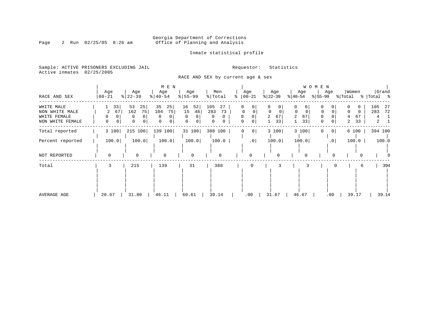# Georgia Department of Corrections<br>Page 2 Run 02/25/05 8:26 am 60ffice of Planning and Analysis Office of Planning and Analysis

Inmate statistical profile

Sample: ACTIVE PRISONERS EXCLUDING JAIL **Requestor:** Statistics Active inmates 02/25/2005

RACE AND SEX by current age & sex

|                                                                  |                                                |                                                        | M E N                                            |                                                 |                                             |                                    |                                       |                                                          | WOMEN               |                                            |                                                |
|------------------------------------------------------------------|------------------------------------------------|--------------------------------------------------------|--------------------------------------------------|-------------------------------------------------|---------------------------------------------|------------------------------------|---------------------------------------|----------------------------------------------------------|---------------------|--------------------------------------------|------------------------------------------------|
| RACE AND SEX                                                     | Age<br>$ 00-21$                                | Age<br>$ 22-39 $                                       | Age<br>$ 40-54 $                                 | Age<br>$8 55-99$                                | Men<br>% Total                              | Age<br>$ 00-21$<br>°               | Age<br>$ 22-39 $                      | Age<br>$ 40-54 $                                         | Age<br>% 55−99      | Women<br>% Total                           | Grand<br>% Total %                             |
| WHITE MALE<br>NON WHITE MALE<br>WHITE FEMALE<br>NON WHITE FEMALE | 33<br>67<br>2<br>0<br>0<br>0<br>$\overline{0}$ | 53<br>25<br>75<br>162<br>0<br>0<br>0<br>0 <sup>1</sup> | 35<br>25<br>104<br>75<br>$\Omega$<br>$\mathbf 0$ | 52<br>16<br>15<br>48<br>$\Omega$<br>0<br>0<br>0 | 105<br>27<br>283<br>73<br><sup>0</sup><br>0 | 0<br>$\mathbf{0}$<br>0<br>$\Omega$ | 0<br>$\Omega$<br>$\Omega$<br>67<br>33 | 0<br>$\mathbf 0$<br>0<br>67<br>$\overline{a}$<br>33<br>1 | $\Omega$<br>0<br>0  | $\Omega$<br>$\Omega$<br>67<br>4<br>33<br>2 | 105<br>-27<br>283<br>72<br>4<br>$\overline{2}$ |
| Total reported                                                   | 3 100                                          | 215 100                                                | 139 100                                          | 31 100                                          | 388 100                                     | 0 <br>0                            | 3 100                                 | 3 100                                                    | 0 <sup>1</sup><br>0 | 6 100                                      | 394 100                                        |
| Percent reported                                                 | 100.0                                          | 100.0                                                  | 100.0                                            | 100.0                                           | 100.0                                       | .0                                 | 100.0                                 | 100.0                                                    | .0                  | 100.0                                      | 100.0                                          |
| NOT REPORTED                                                     | $\mathbf 0$                                    | $\Omega$                                               | $\Omega$                                         | 0                                               | 0                                           | $\Omega$                           | $\Omega$                              | $\Omega$                                                 |                     |                                            |                                                |
| Total                                                            | 3                                              | 215                                                    | 139                                              | 31                                              | 388                                         |                                    |                                       |                                                          |                     | 6                                          | 394                                            |
| AVERAGE AGE                                                      | 20.67                                          | 31.80                                                  | 46.11                                            | 60.61                                           | 39.14                                       | .00                                | 31.67                                 | 46.67                                                    | .00                 | 39.17                                      | 39.14                                          |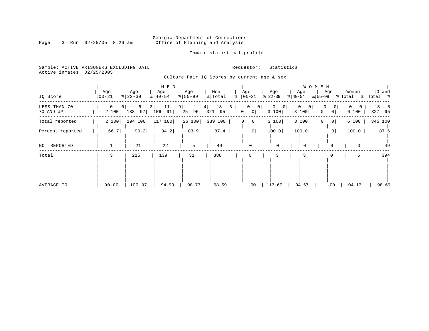# Georgia Department of Corrections<br>Page 3 Run 02/25/05 8:26 am 60ffice of Planning and Analysis Office of Planning and Analysis

Inmate statistical profile

Sample: ACTIVE PRISONERS EXCLUDING JAIL **Requestor:** Statistics Active inmates 02/25/2005

Culture Fair IQ Scores by current age & sex

| IQ Score                  | Age<br>$ 00 - 21$ |                         | Age<br>$8   22 - 39$ | Age<br>$\frac{1}{6}$   40-54 | M E N    |                | Age<br>$8 55-99$ |           | Men<br>% Total | ፠ | Age<br>$ 00-21$ |                            | Age<br>$ 22-39 $        | $ 40-54 $      | Age                                    | WOMEN<br>$ 55-99 $ | Age                               | Women<br>% Total |                   | %   Total % | Grand     |
|---------------------------|-------------------|-------------------------|----------------------|------------------------------|----------|----------------|------------------|-----------|----------------|---|-----------------|----------------------------|-------------------------|----------------|----------------------------------------|--------------------|-----------------------------------|------------------|-------------------|-------------|-----------|
| LESS THAN 70<br>70 AND UP | $\mathbf{0}$      | 0 <sup>1</sup><br>2 100 | 6<br>188<br>97       | 3<br>106                     | 11<br>91 | $9 \mid$<br>25 | 1<br>96          | 4 <br>321 | 18<br>95       | 5 | $\overline{0}$  | $\overline{0}$<br> 0 <br>0 | $\overline{0}$<br>3 100 | $\overline{0}$ | $\mathbf 0$<br>0 <sup>1</sup><br>3 100 | 0<br>$\Omega$      | $\vert 0 \vert$<br>0 <sup>1</sup> | $\Omega$         | $\Omega$<br>6 100 | 18<br>327   | - 5<br>95 |
| Total reported            | 2 100             |                         | 194 100              | 117                          | 100      |                | 26 100           |           | 339 100        |   | 0               | 0                          | 3 100                   |                | 3 100                                  | 0                  | 0 <sup>1</sup>                    |                  | 6 100             |             | 345 100   |
| Percent reported          |                   | 66.7                    | 90.2                 |                              | 84.2     |                | 83.9             |           | 87.4           |   |                 | $.0$                       | 100.0                   |                | 100.0                                  |                    | .0                                |                  | 100.0             |             | 87.6      |
| NOT REPORTED              | 1                 |                         | 21                   |                              | 22       |                | 5                |           | 49             |   |                 | $\mathbf 0$                | 0                       |                | $\mathbf 0$                            |                    | $\Omega$                          |                  | $\Omega$          |             | 49        |
| Total                     | 3                 |                         | 215                  |                              | 139      |                | 31               |           | 388            |   |                 |                            |                         |                | 3                                      |                    |                                   |                  | 6                 |             | 394       |
| AVERAGE IQ                | 90.00             |                         | 100.87               |                              | 94.93    |                | 98.73            |           | 98.59          |   |                 | .00                        | 113.67                  |                | 94.67                                  |                    | .00                               | 104.17           |                   |             | 98.69     |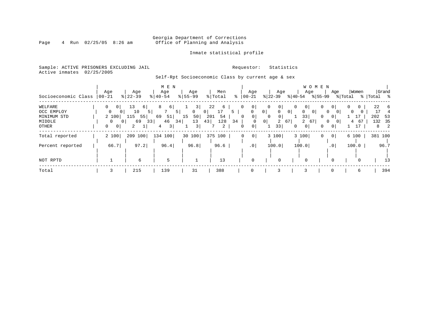# Georgia Department of Corrections<br>Page 4 Run 02/25/05 8:26 am 60ffice of Planning and Analysis Office of Planning and Analysis

Inmate statistical profile

Sample: ACTIVE PRISONERS EXCLUDING JAIL **Requestor:** Statistics Active inmates 02/25/2005

# Self-Rpt Socioeconomic Class by current age & sex

|                                     | Age                                          | Age                                   | M E N<br>Age                      | Age                | Men                             | Age                                 | Age                                                                     | W O M E N<br>Age                              | Women<br>Age                                            | Grand                 |
|-------------------------------------|----------------------------------------------|---------------------------------------|-----------------------------------|--------------------|---------------------------------|-------------------------------------|-------------------------------------------------------------------------|-----------------------------------------------|---------------------------------------------------------|-----------------------|
| Socioeconomic Class                 | $00 - 21$                                    | $ 22-39$                              | $\frac{1}{6}$   40-54             | $8 55-99$          | % Total                         | $\approx$   00-21                   | $ 22-39 $                                                               | % 55-99<br>$ 40-54 $                          | % Total                                                 | %   Total %           |
| WELFARE                             | $\Omega$<br>0 <sup>1</sup><br>0 <sup>1</sup> | 13<br>$6 \mid$                        | 8<br>6                            | 3 <br>$\mathbf{0}$ | 22<br>6<br>17<br>0 <sup>1</sup> | 0<br>0                              | $\mathbf{0}$<br>0 <sup>1</sup><br>0 <sup>1</sup><br>0 <sup>1</sup><br>0 | 0<br>0<br>$\mathbf{0}$<br>0<br>0 <sup>1</sup> | 0 <sup>1</sup><br>0<br>$\overline{0}$                   | 22<br>-6<br>17<br>4   |
| OCC EMPLOY<br>MINIMUM STD<br>MIDDLE | 2 100                                        | 10<br>5.<br>$115$ 55<br>69<br>33<br>0 | 5  <br>51<br>69<br>46<br>34       | 15<br>50<br>13     | 54<br>201<br>43<br>128          | 5<br>$\circ$<br>$\Omega$<br>34<br>0 | 0 <sup>1</sup><br>0<br>$\overline{2}$<br>67<br>0 <sup>1</sup>           | 33<br>0<br>$\overline{a}$<br>67               | 0<br>$\overline{0}$<br>67<br>$\mathbf{0}$<br>4<br>- 0 1 | 202<br>- 53<br>132 35 |
| OTHER                               | $\mathbf{0}$<br>0 <sup>1</sup>               | 2                                     | $\left  \frac{3}{2} \right $<br>4 | 3                  | 2                               | $\overline{0}$<br>0                 | 33                                                                      | 0 <br>0<br>0                                  | 0 <sup>1</sup>                                          | $\overline{2}$<br>8   |
| Total reported                      | 2 100                                        | 209 100                               | 134 100                           | 30 100             | 375 100                         | 0 <br>0                             | 3 100                                                                   | 3 100<br>0                                    | 0 <br>6 100                                             | 381 100               |
| Percent reported                    | 66.7                                         | 97.2                                  | 96.4                              | 96.8               | 96.6                            | $\cdot$ 0                           | 100.0                                                                   | 100.0                                         | $.0$  <br>100.0                                         | 96.7                  |
| NOT RPTD                            |                                              | 6                                     | 5                                 |                    | 13                              | $\Omega$                            | 0                                                                       | $\mathbf 0$                                   | $\Omega$<br>$\Omega$                                    | 13                    |
| Total                               | 3                                            | 215                                   | 139                               | 31                 | 388                             | 0                                   |                                                                         | 3                                             | 0<br>6                                                  | 394                   |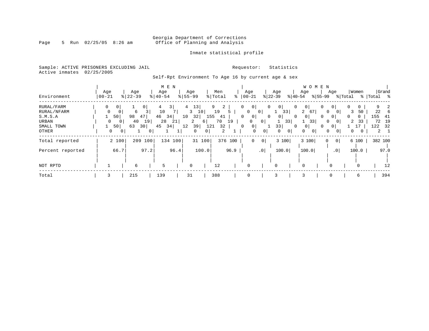# Georgia Department of Corrections<br>Page 5 Run 02/25/05 8:26 am 60ffice of Planning and Analysis Office of Planning and Analysis

### Inmate statistical profile

Sample: ACTIVE PRISONERS EXCLUDING JAIL **Requestor:** Statistics Active inmates 02/25/2005

Self-Rpt Environment To Age 16 by current age & sex

|                  |              |                |           |                | M E N         |         |             |               |           |                |                            |                 |                     |              |                | <b>WOMEN</b>   |                 |         |                   |           |             |          |
|------------------|--------------|----------------|-----------|----------------|---------------|---------|-------------|---------------|-----------|----------------|----------------------------|-----------------|---------------------|--------------|----------------|----------------|-----------------|---------|-------------------|-----------|-------------|----------|
|                  | Age          |                | Age       |                | Age           |         | Age         |               | Men       |                | Age                        |                 | Age                 |              | Age            |                | Age             |         | Women             |           | Grand       |          |
| Environment      | $ 00 - 21$   |                | $8 22-39$ |                | $8   40 - 54$ |         | $8155 - 99$ |               | % Total   | ⊱              | $ 00 - 21$                 |                 | $ 22-39 $           |              | $ 40-54 $      | $ 55-99 $      |                 | % Total |                   | %   Total |             | $\sim$ 8 |
| RURAL/FARM       | 0            | 0 <sup>1</sup> |           | 0 <sup>1</sup> |               | 3       | 4           | 13            | 9         | $\overline{2}$ | 0 <sup>1</sup><br>0        |                 | 0 <sup>1</sup><br>0 | 0            | $\overline{0}$ | 0              | 0 <sup>1</sup>  |         | 0<br>0            |           |             | 2        |
| RURAL/NFARM      | $\mathbf{0}$ | 0              | 6         | 3              | 10            |         | 3           | 10            | 19        | 5.             | 0                          | 0               |                     | 33           | $\overline{2}$ | 67             | 0               |         | 3                 | 50        | 22          | -6       |
| S.M.S.A          |              | 50             | 98        | 47             | 46<br>34      |         | 10          | 32            | 155<br>41 |                | $\mathbf{0}$<br>0          |                 | $\circ$<br>0        | $\circ$      | 0 <sup>1</sup> | 0              | 0 <sup>1</sup>  |         | 0<br>$\mathbf{0}$ |           | 155         | -41      |
| <b>URBAN</b>     | 0            | 0              | 40        | 19             | 28            | 21      | 2           | 6             | 70        | 19             | 0                          | 0               |                     | 33           |                | 33             | $\Omega$        |         | 2                 | 33        | 72          | 19       |
| SMALL TOWN       |              | 50             | 63        | 30             | 45            | 34      | 12          | 39            | 121       | 32             | 0 <sup>1</sup><br>$\Omega$ |                 | 33                  |              | 0 <sup>1</sup> | 0              | 0               |         |                   |           | 122         | 32       |
| OTHER            | 0            | 0              |           | 0              |               |         |             | $\Omega$<br>0 |           | 2              | $\mathbf 0$                | $\overline{0}$  | $\mathbf 0$         | $\mathbf{0}$ | $\Omega$       | $\overline{0}$ | 0               |         | 0                 |           | $2 \quad 1$ |          |
| Total reported   |              | 2 100          | 209       | 100            |               | 134 100 |             | 31 100        |           | 376<br>100     | $\mathbf 0$                | $\mathbf 0$     |                     | 3 100        | 3 100          |                | $\Omega$        | 0       | 6 100             |           | 382 100     |          |
|                  |              |                |           |                |               |         |             |               |           |                |                            |                 |                     |              |                |                |                 |         |                   |           |             |          |
| Percent reported |              | 66.7           |           | 97.2           |               | 96.4    |             | 100.0         |           | 96.9           |                            | .0 <sup>1</sup> |                     | 100.0        | 100.0          |                | .0 <sup>1</sup> |         | 100.0             |           | 97.0        |          |
|                  |              |                |           |                |               |         |             |               |           |                |                            |                 |                     |              |                |                |                 |         |                   |           |             |          |
| NOT RPTD         |              |                | 6         |                | 5             |         | $\mathbf 0$ |               | 12        |                | 0                          |                 | 0                   |              | $\Omega$       |                | 0               |         |                   |           |             | 12       |
| Total            | 3            |                | 215       |                | 139           |         | 31          |               | 388       |                | $\mathbf 0$                |                 | 3                   |              | २              |                | 0               |         | 6                 |           |             | 394      |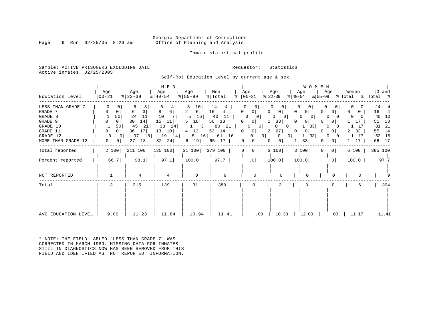### Georgia Department of Corrections<br>Page 6 Run 02/25/05 8:26 am 6 Office of Planning and Analysis Office of Planning and Analysis

### Inmate statistical profile

Sample: ACTIVE PRISONERS EXCLUDING JAIL **Requestor:** Statistics Active inmates 02/25/2005

Self-Rpt Education Level by current age & sex

| Education Level                                                                                              | Age<br>$ 00 - 21$                                                                                      | Age<br>$ 22-39 $                                                                                      | M E N<br>Age<br>$ 40-54 $                                                                         | Age<br>$ 55 - 99 $                                                                                      | Men<br>% Total                                                                       | Age<br>$\frac{1}{6}$   00 - 21                                                                                                                                          | Age<br>$ 22-39 $                                                                                                                                                                      | <b>WOMEN</b><br>Age<br>%∣55-99<br>$ 40-54 $                                                                              | Women<br>Age<br>% Total % Total %                                                                                                                                                                               | Grand                                                                                 |
|--------------------------------------------------------------------------------------------------------------|--------------------------------------------------------------------------------------------------------|-------------------------------------------------------------------------------------------------------|---------------------------------------------------------------------------------------------------|---------------------------------------------------------------------------------------------------------|--------------------------------------------------------------------------------------|-------------------------------------------------------------------------------------------------------------------------------------------------------------------------|---------------------------------------------------------------------------------------------------------------------------------------------------------------------------------------|--------------------------------------------------------------------------------------------------------------------------|-----------------------------------------------------------------------------------------------------------------------------------------------------------------------------------------------------------------|---------------------------------------------------------------------------------------|
| LESS THAN GRADE 7<br>GRADE 7<br>GRADE 8<br>GRADE 9<br>GRADE 10<br>GRADE 11<br>GRADE 12<br>MORE THAN GRADE 12 | 50<br>0 <sup>1</sup><br>50 <br>$\mathbf{0}$<br>$\Omega$<br>$\Omega$<br>$\Omega$<br>0<br>$\overline{0}$ | 6<br>3<br>$\frac{3}{ }$<br>6<br>24<br>11<br>30<br>14<br>45<br>21<br>36<br>17 <br>37<br>18<br>13<br>27 | 8<br>6  <br>10<br>15<br>11<br>$33 \quad 24$<br>13<br>10 <sup>1</sup><br>$19 \quad 14$<br>32<br>24 | 10<br>2<br>6 <br>16<br>5<br>16<br>5<br>$\left  \frac{3}{2} \right $<br>13 <br>4<br>$5 \t16$<br>19 <br>6 | 14<br>16<br>4<br>11<br>40<br>50<br>13<br>21<br>80<br>53<br>14<br>61 16  <br>65<br>17 | 0 <sup>1</sup><br>0<br>$\mathbf{0}$<br>$\Omega$<br>$\Omega$<br>0<br>$\mathbf{0}$<br>$\circ$<br>0<br>0 <sup>1</sup><br>0 <sup>1</sup><br>$\Omega$<br>0 <sup>1</sup><br>0 | $\mathbf{0}$<br>$\Omega$<br>$\Omega$<br>0 <sup>1</sup><br>0 <sup>1</sup><br>$\Omega$<br>33<br>$\Omega$<br>$0$  <br>0<br>67<br>2<br>$\Omega$<br> 0 <br>$\Omega$<br>0 <sup>1</sup><br>0 | 0<br>0 <sup>1</sup><br>$\Omega$<br>$\Omega$<br>$\Omega$<br>01<br>$\Omega$<br>33<br>0 <sup>1</sup><br>33<br>$\perp$<br>33 | 0<br>0 <sup>1</sup><br>$\Omega$<br>0<br>$\Omega$<br>$\Omega$<br>$\Omega$<br>17<br>$\Omega$<br>17<br>$\Omega$<br>33<br>$\overline{0}$<br>2<br>17<br>$\Omega$<br>$\mathbf{1}$<br>$\Omega$<br>17<br>0 <sup>1</sup> | 14<br>16<br>4<br>10<br>40<br>13<br>51<br>21<br>81<br>14<br>55<br>16<br>62<br>17<br>66 |
| Total reported                                                                                               | 2 100                                                                                                  | 211 100                                                                                               | 135 100                                                                                           | 31 100 379 100                                                                                          |                                                                                      | 0 <sup>1</sup><br>$\overline{0}$                                                                                                                                        | 3 100                                                                                                                                                                                 | 3 100<br>$\mathbf{0}$                                                                                                    | 0 <sup>1</sup><br>6 100                                                                                                                                                                                         | 385 100                                                                               |
| Percent reported                                                                                             | 66.7                                                                                                   | 98.1                                                                                                  | 97.1                                                                                              | 100.0                                                                                                   | 97.7                                                                                 | .0                                                                                                                                                                      | 100.0                                                                                                                                                                                 | 100.0                                                                                                                    | .0 <sub>1</sub><br>100.0                                                                                                                                                                                        | 97.7                                                                                  |
| NOT REPORTED                                                                                                 |                                                                                                        | 4                                                                                                     | 4                                                                                                 | $\mathbf 0$                                                                                             | 9                                                                                    | $\Omega$                                                                                                                                                                |                                                                                                                                                                                       | $\Omega$                                                                                                                 | U                                                                                                                                                                                                               |                                                                                       |
| Total                                                                                                        | 3                                                                                                      | 215                                                                                                   | 139                                                                                               | 31                                                                                                      | 388                                                                                  | $\Omega$                                                                                                                                                                | 3                                                                                                                                                                                     | 3                                                                                                                        |                                                                                                                                                                                                                 | 394                                                                                   |
| AVG EDUCATION LEVEL                                                                                          | 9.00                                                                                                   | 11.23                                                                                                 | 11.84                                                                                             | 10.94                                                                                                   | 11.41                                                                                | $.00 \,$                                                                                                                                                                | 10.33                                                                                                                                                                                 | 12.00                                                                                                                    | 11.17<br>$.00 \,$                                                                                                                                                                                               | 11.41                                                                                 |

\* NOTE: THE FIELD LABLED "LESS THAN GRADE 7" WAS CORRECTED IN MARCH 1989: MISSING DATA FOR INMATES STILL IN DIAGNOSTICS NOW HAS BEEN REMOVED FROM THIS FIELD AND IDENTIFIED AS "NOT REPORTED" INFORMATION.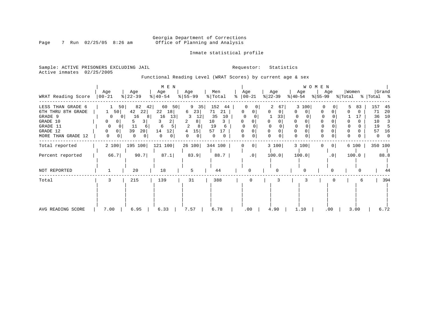# Georgia Department of Corrections<br>Page 7 Run 02/25/05 8:26 am 60ffice of Planning and Analysis Office of Planning and Analysis

Inmate statistical profile

Sample: ACTIVE PRISONERS EXCLUDING JAIL **Requestor:** Statistics Active inmates 02/25/2005

Functional Reading Level (WRAT Scores) by current age & sex

|                    |                          |                           | M E N            |                    |                |                            |                  |                  | WOMEN           |                  |                               |
|--------------------|--------------------------|---------------------------|------------------|--------------------|----------------|----------------------------|------------------|------------------|-----------------|------------------|-------------------------------|
| WRAT Reading Score | Aqe<br>$ 00-21$          | Age<br>$ 22-39 $          | Age<br>$ 40-54 $ | Age<br>$ 55 - 99 $ | Men<br>% Total | Age<br>$8   00 - 21$       | Age<br>$ 22-39 $ | Age<br>$ 40-54 $ | Age<br>%∣55-99  | Women<br>% Total | Grand<br>%   Total %          |
|                    |                          |                           |                  |                    |                |                            |                  |                  |                 |                  |                               |
| LESS THAN GRADE 6  |                          | 82<br>50<br>42            | 60<br>50         | 9 35               | 152<br>44      |                            | 2<br>67          | 3 100            | 0               | 83               | 157<br>45                     |
| 6TH THRU 8TH GRADE | 50                       | 42<br>22                  | 22<br>18         | 23 <br>6           | 71<br>21       | 0                          | 0                |                  | 0<br>0          |                  | 71<br>20                      |
| GRADE 9            | $\Omega$                 | 16<br>8<br>0 <sup>1</sup> | 16<br>13         | 12<br>3            | 10<br>35       |                            | 33               | 0                |                 |                  | 10<br>36                      |
| GRADE 10           | $^{(1)}$<br><sup>O</sup> | 3<br>5                    | 2<br>3           | 8                  | 10<br>3        |                            |                  | 0                |                 |                  | 10<br>$\overline{\mathbf{3}}$ |
| GRADE 11           | $\Omega$<br>$\Omega$     | 11<br>6                   | 6                | $\overline{2}$     | 19<br>6        |                            |                  | $\Omega$         |                 |                  | 5<br>19                       |
| GRADE 12           | 0                        | 39<br>20                  | 12<br>14         | 15<br>4            | 57<br>17       |                            | 0                | 0                |                 |                  | 16<br>57                      |
| MORE THAN GRADE 12 | 0                        | 0<br>$\circ$              | 0<br>$\Omega$    | 0                  | 0              |                            | 0                | $\Omega$         |                 |                  | $\Omega$<br>$\Omega$          |
| Total reported     | 2 100                    | 195 100                   | 121 100          | 26 100             | 344 100        | $\overline{0}$<br>$\Omega$ | 3 100            | 3 100            | $\circ$         | 6 100            | 350 100                       |
| Percent reported   | 66.7                     | 90.7                      | 87.1             | 83.9               | 88.7           | .0 <sub>1</sub>            | 100.0            | 100.0            | .0 <sub>1</sub> | 100.0            | 88.8                          |
| NOT REPORTED       |                          | 20                        | 18               | 5                  | 44             |                            | $\Omega$         |                  |                 |                  | 44                            |
| Total              | 3                        | 215                       | 139              | 31                 | 388            |                            |                  |                  |                 | 6                | 394                           |
|                    |                          |                           |                  |                    |                |                            |                  |                  |                 |                  |                               |
| AVG READING SCORE  | 7.00                     | 6.95                      | 6.33             | 7.57               | 6.78           | .00                        | 4.90             | 1.10             | .00             | 3.00             | 6.72                          |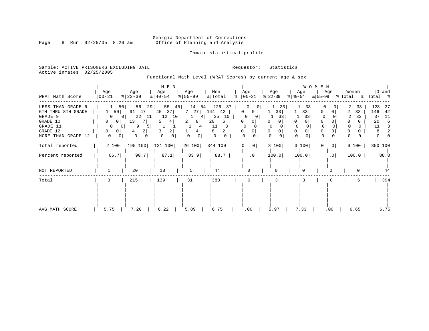# Georgia Department of Corrections<br>Page 8 Run 02/25/05 8:26 am 60ffice of Planning and Analysis Office of Planning and Analysis

### Inmate statistical profile

Sample: ACTIVE PRISONERS EXCLUDING JAIL **Requestor:** Statistics Active inmates 02/25/2005

Functional Math Level (WRAT Scores) by current age & sex

| WRAT Math Score                                                                                              | Age<br>$ 00-21 $                                                                                                    | Age<br>$ 22-39 $                                                                                                                | M E N<br>Age<br>$ 40-54 $                                          | Age<br>$ 55 - 99 $                                      | Men<br>% Total                                                | Age<br>$\frac{1}{6}$   00-21                                                                | Age<br>$ 22-39 $     | Age<br>$ 40-54 $                                                        | WOMEN<br>Age<br>%∣55-99        | Women<br>% Total % Total % | Grand                                                     |
|--------------------------------------------------------------------------------------------------------------|---------------------------------------------------------------------------------------------------------------------|---------------------------------------------------------------------------------------------------------------------------------|--------------------------------------------------------------------|---------------------------------------------------------|---------------------------------------------------------------|---------------------------------------------------------------------------------------------|----------------------|-------------------------------------------------------------------------|--------------------------------|----------------------------|-----------------------------------------------------------|
| LESS THAN GRADE 6<br>6TH THRU 8TH GRADE<br>GRADE 9<br>GRADE 10<br>GRADE 11<br>GRADE 12<br>MORE THAN GRADE 12 | 50 <br>50  <br>$\Omega$<br>0 <sup>1</sup><br>$\Omega$<br>$\mathbf{0}$<br>0<br>0 <sup>1</sup><br>0<br>$\overline{0}$ | 56<br>29<br>91<br>47<br>22<br>11<br>0 <sub>1</sub><br>-7 I<br>13<br>9<br>5<br>0 <sub>1</sub><br>$\left 2\right $<br>4<br>0<br>0 | 55<br>45<br>45<br>37 <br>12<br>10<br>4  <br>5<br>3<br>2 <br>0<br>0 | 14<br>54<br>7 27<br>4 <sub>1</sub><br>2<br>8<br>41<br>4 | 126<br>37<br>42<br>144<br>35<br>10<br>20<br>6<br>11<br>8<br>0 | 0<br>01<br>$\Omega$<br>Ü<br>$\Omega$<br>0<br>01<br>0<br>$\Omega$<br>$\Omega$<br>0<br>0<br>0 | 33<br>33 <br>33<br>0 | 33<br>33 <br>33<br>0<br>$\Omega$<br>$\Omega$<br>$\Omega$<br>$\mathbf 0$ | 0<br>$\Omega$<br>$\Omega$<br>0 | 33<br>33<br>33             | 128<br>37<br>146<br>42<br>37<br>11<br>20<br>-6<br>11<br>0 |
| Total reported                                                                                               | 2 100                                                                                                               | 195 100                                                                                                                         | 121 100                                                            | 26 100                                                  | 344 100                                                       | 0 <br>0                                                                                     | 3 100                | 3 100                                                                   | 0<br>$\Omega$                  | 6 100                      | 350 100                                                   |
| Percent reported                                                                                             | 66.7                                                                                                                | 90.7                                                                                                                            | 87.1                                                               | 83.9                                                    | $88.7$                                                        | .0                                                                                          | 100.0                | 100.0                                                                   | .0 <sub>1</sub>                | 100.0                      | 88.8                                                      |
| NOT REPORTED                                                                                                 |                                                                                                                     | 20                                                                                                                              | 18                                                                 | 5                                                       | 44                                                            | $\Omega$                                                                                    |                      | $\Omega$                                                                | $\Omega$                       |                            | 44                                                        |
| Total                                                                                                        | 3                                                                                                                   | 215                                                                                                                             | 139                                                                | 31                                                      | 388                                                           | 0                                                                                           | 3                    | 3                                                                       |                                | 6                          | 394                                                       |
| AVG MATH SCORE                                                                                               | 5.75                                                                                                                | 7.20                                                                                                                            | 6.22                                                               | 5.89                                                    | 6.75                                                          | .00                                                                                         | 5.97                 | 7.33                                                                    | $.00 \,$                       | 6.65                       | 6.75                                                      |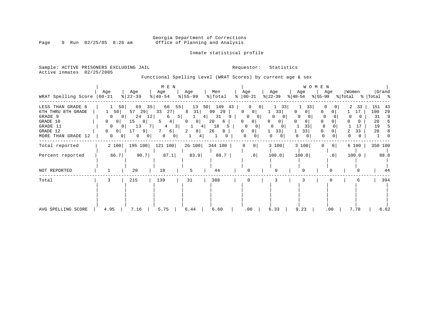# Georgia Department of Corrections<br>Page 9 Run 02/25/05 8:26 am 60ffice of Planning and Analysis Office of Planning and Analysis

Inmate statistical profile

Sample: ACTIVE PRISONERS EXCLUDING JAIL **Requestor:** Statistics Active inmates 02/25/2005

# Functional Spelling Level (WRAT Scores) by current age & sex

| WRAT Spelling Score                                                                                             | Age<br>$ 00-21$                                                                                         | Age<br>$ 22-39 $                                                               | $M$ $\,$ E $\,$ N $\,$<br>Age<br>$ 40-54 $                                 | Age<br>$8 55-99$                                                         | Men<br>$\frac{1}{2}$ Total                                              | Age<br>$8   00 - 21$                                                                                                             | Age<br>$ 22-39 $                                                       | WOMEN<br>Age<br>$ 40-54 $                           | Age<br>$ 55-99 $                         | Women<br>% Total                           | Grand<br>%   Total %                                     |
|-----------------------------------------------------------------------------------------------------------------|---------------------------------------------------------------------------------------------------------|--------------------------------------------------------------------------------|----------------------------------------------------------------------------|--------------------------------------------------------------------------|-------------------------------------------------------------------------|----------------------------------------------------------------------------------------------------------------------------------|------------------------------------------------------------------------|-----------------------------------------------------|------------------------------------------|--------------------------------------------|----------------------------------------------------------|
| LESS THAN GRADE 6<br>6TH THRU 8TH GRADE<br>GRADE 9<br>GRADE 10<br>GRADE 11<br>GRADE 12<br>MORE THAN GRADE<br>12 | 50<br>50<br>0<br>0<br>$\mathbf{0}$<br>$\circ$<br>0<br>0<br>$\mathbf{0}$<br>$\circ$<br>0<br>$\mathbf{0}$ | 69<br>35<br>57<br>29<br>24<br>12 <br>15<br>8<br>13<br>7 I<br>17<br>9<br>0<br>0 | 55<br>66<br>33<br>27<br>5 <br>6<br>5<br>4<br>$\overline{3}$<br>6<br>0<br>0 | 13<br>50<br>31<br>8<br>4  <br>0 <sup>1</sup><br>0<br>4  <br>8 <br>2<br>4 | 149<br>43<br>99<br>29<br>31<br>9<br>20<br>6<br>18<br>5.<br>26<br>8<br>0 | $\mathbf{0}$<br>0<br>$\Omega$<br>$\mathbf{0}$<br>0<br>$\cup$<br>0<br>0 <sup>1</sup><br>$\Omega$<br>0<br>0 <sup>1</sup><br>0<br>0 | 33<br>33<br>0<br>$\Omega$<br>$\Omega$<br>0<br>$\Omega$<br>33<br>0<br>0 | 33<br>0<br>0<br>$\Omega$<br>0<br>0<br>33<br>33<br>0 | O<br>0<br>$\Omega$<br>0<br>0<br>$\Omega$ | 2.<br>33<br>17<br>33<br>2<br>$\Omega$<br>0 | 151<br>43<br>100<br>29<br>9<br>31<br>20<br>6<br>19<br>28 |
| Total reported                                                                                                  | 2 100                                                                                                   | 195 100                                                                        | 121<br>100                                                                 | 26 100                                                                   | 344 100                                                                 | 0<br>$\overline{0}$                                                                                                              | 3 100                                                                  | 3 100                                               | 0 <br>0                                  | 6 100                                      | 350 100                                                  |
| Percent reported                                                                                                | 66.7                                                                                                    | 90.7                                                                           | 87.1                                                                       | 83.9                                                                     | 88.7                                                                    | .0                                                                                                                               | 100.0                                                                  | 100.0                                               | .0 <sub>1</sub>                          | 100.0                                      | 88.8                                                     |
| NOT REPORTED                                                                                                    |                                                                                                         | 20                                                                             | 18                                                                         | 5                                                                        | 44                                                                      | ∩                                                                                                                                |                                                                        |                                                     |                                          |                                            | 44                                                       |
| Total                                                                                                           | 3                                                                                                       | 215                                                                            | 139                                                                        | 31                                                                       | 388                                                                     | 0                                                                                                                                | 3                                                                      |                                                     |                                          | 6                                          | 394                                                      |
| AVG SPELLING SCORE                                                                                              | 4.95                                                                                                    | 7.16                                                                           | 5.75                                                                       | 6.44                                                                     | 6.60                                                                    | .00                                                                                                                              | 6.33                                                                   | 9.23                                                | .00                                      | 7.78                                       | 6.62                                                     |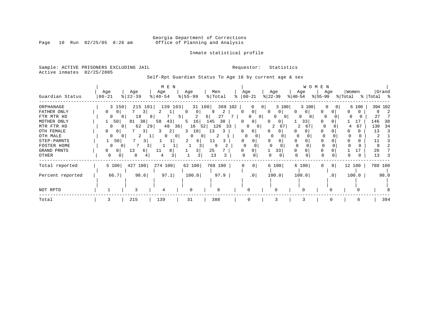# Georgia Department of Corrections<br>Page 10 Run 02/25/05 8:26 am 60ffice of Planning and Analysis Office of Planning and Analysis

### Inmate statistical profile

Sample: ACTIVE PRISONERS EXCLUDING JAIL **Requestor:** Statistics Active inmates 02/25/2005

Self-Rpt Guardian Status To Age 16 by current age & sex

|                                                                                   |                            |                                                  | M E N                                          |                                                                              |                                                                   |                                                                                    |                                                                             | W O M E N                                                 |                           |                        |                                                     |
|-----------------------------------------------------------------------------------|----------------------------|--------------------------------------------------|------------------------------------------------|------------------------------------------------------------------------------|-------------------------------------------------------------------|------------------------------------------------------------------------------------|-----------------------------------------------------------------------------|-----------------------------------------------------------|---------------------------|------------------------|-----------------------------------------------------|
| Guardian Status                                                                   | Age<br>$ 00 - 21$          | Age<br>$ 22-39$                                  | Age<br>$ 40-54 $                               | Age<br>$8 55-99$                                                             | Men<br>% Total                                                    | Age<br>$ 00-21$                                                                    | Age<br>$ 22-39 $                                                            | Age<br>$ 40-54 $                                          | Age<br>$ 55-99 $          | Women<br>% Total       | Grand<br>%   Total %                                |
| ORPHANAGE<br>FATHER ONLY<br>FTR MTR HD<br>MOTHER ONLY<br>MTR FTR HD<br>OTH FEMALE | $3 \t150$<br>0<br>50 <br>0 | 215 101<br>3<br>18<br>38<br>81<br>62<br>0 I<br>3 | 139<br>103<br>8 I<br>58<br>43<br>48<br>29<br>2 | 31 100<br>0<br>$\left( \right)$<br>2<br>5<br>16<br>5<br>16<br>36<br>52<br>10 | 388 102<br>2<br>q<br>27<br>6<br>145<br>38<br>33<br>126<br>13<br>3 | $\mathbf{0}$<br>$\overline{0}$<br>$\Omega$<br><sup>o</sup><br>$\Omega$<br>$\Omega$ | 3 100<br>$\overline{0}$<br>$\Omega$<br>n<br>- 0<br>$\Omega$<br>0<br>67<br>0 | 3 100<br>0 <sup>1</sup><br>0<br>$\Omega$<br>33<br>2<br>67 | 0<br>0 I<br>0<br>$\Omega$ | 6 100<br>17<br>67<br>4 | 394 102<br>27<br>146<br>-38<br>34<br>130<br>13<br>3 |
| OTH MALE<br>STEP-PARNTS<br>FOSTER HOME<br>GRAND PRNTS<br>OTHER                    | 50<br><sup>0</sup><br>0    | 3.<br>13<br>0 I<br>61<br>8<br>0                  | 0<br>8<br>11<br>4                              | 0<br>61<br>3<br>3                                                            | 11<br>q<br>25<br>13                                               |                                                                                    | 33<br>$\Omega$<br>0                                                         | $\Omega$                                                  |                           | 0                      | 26<br>13                                            |
| Total reported                                                                    | 5 100                      | 427<br>100                                       | 274 100                                        | 62 100                                                                       | 768 100                                                           | 0<br>0                                                                             | 6 100                                                                       | 6 100                                                     | $\circ$<br>0              | 12 100                 | 780 100                                             |
| Percent reported                                                                  | 66.7                       | 98.6                                             | 97.1                                           | 100.0                                                                        | 97.9                                                              | .0                                                                                 | 100.0                                                                       | 100.0                                                     | $\cdot$ 0                 | 100.0                  | 98.0                                                |
| NOT RPTD                                                                          |                            | 3                                                | 4                                              | O                                                                            | 8                                                                 | U                                                                                  |                                                                             |                                                           |                           |                        |                                                     |
| Total                                                                             | 3                          | 215                                              | 139                                            | 31                                                                           | 388                                                               | 0                                                                                  |                                                                             |                                                           | $\Omega$                  | 6                      | 394                                                 |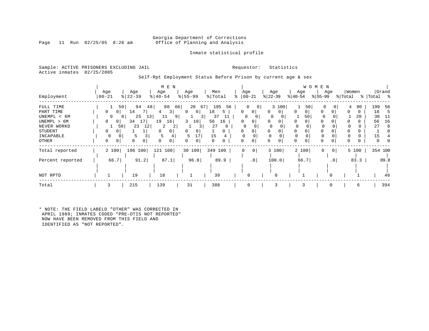### Georgia Department of Corrections<br>Page 11 Run 02/25/05 8:26 am 60ffice of Planning and Analysis Office of Planning and Analysis

### Inmate statistical profile

Sample: ACTIVE PRISONERS EXCLUDING JAIL **Requestor:** Statistics Active inmates 02/25/2005

Self-Rpt Employment Status Before Prison by current age & sex

|                  |                   |                 | M E N                        |                              |                     |                     |                          |                     | W O M E N           |                  |                         |
|------------------|-------------------|-----------------|------------------------------|------------------------------|---------------------|---------------------|--------------------------|---------------------|---------------------|------------------|-------------------------|
| Employment       | Age<br>$ 00 - 21$ | Age<br>$ 22-39$ | Age<br>$\frac{1}{6}$   40-54 | Age<br>$\frac{8}{5}$ 55 - 99 | Men<br>% Total<br>⊱ | Age<br>$ 00-21 $    | Age<br>$ 22-39 $         | Age<br>$ 40-54 $    | Age<br>$ 55-99 $    | Women<br>% Total | Grand<br>%   Total<br>ႜ |
|                  |                   |                 |                              |                              |                     |                     |                          |                     |                     |                  |                         |
| FULL TIME        |                   | 50<br>94<br>48  | 80                           | 20<br>66<br>67               | 195<br>56           | 0<br> 0             | 3 100                    | 50                  | 0                   | 80<br>4          | 199<br>-56              |
| PART TIME        | $\mathbf{0}$<br>0 | 14              | 3                            | 0 <sup>1</sup><br>$\Omega$   | 18<br>5             | 0<br>0              | $\mathbf{0}$<br>$\Omega$ | 0<br>0 <sup>1</sup> | $\Omega$<br>0       | 0                | 18<br>h                 |
| UNEMPL < 6M      | 0                 | 25<br>13        | 11<br>91                     | 3                            | 37                  | 0                   | 0                        | 50                  |                     | 20               | 38                      |
| UNEMPL > 6M      | 0<br>01           | 34              | 19<br>16                     | 3<br>10                      | 56<br>16            | 0                   | 0                        | 0                   | O                   |                  | 16<br>56                |
| NEVER WORKD      | 50                | 23<br>12        | 2<br>2                       | ا ک                          | 27<br>8             | $\Omega$            |                          | $\Omega$            |                     |                  | 27<br>Я                 |
| STUDENT          | $\Omega$<br>0     |                 | 0                            | 0<br>0                       | 0                   | 0                   | 0                        | 0<br>0              | $\Omega$            |                  |                         |
| INCAPABLE        |                   | 5               |                              | 5<br>17                      | 15                  |                     |                          |                     |                     |                  | 15                      |
| OTHER            | 0<br>0            | 0               | 0                            | 0<br>0                       | 0<br>0              | 0                   | 0<br>0                   | 0                   | 0                   |                  |                         |
| Total reported   | 2 100             | 100<br>196      | 100<br>121                   | 30 100                       | 349 100             | 0 <sup>1</sup><br>0 | 3 100                    | 2 100               | 0<br>0 <sup>1</sup> | 5 100            | 354 100                 |
| Percent reported | 66.7              | 91.2            | 87.1                         | 96.8                         | 89.9                | .0                  | 100.0                    | 66.7                | $\cdot$ 0           | 83.3             | 89.8                    |
|                  |                   |                 |                              |                              |                     |                     |                          |                     |                     |                  |                         |
| NOT RPTD         |                   | 19              | 18                           |                              | 39                  | 0                   | O                        |                     |                     |                  | 40                      |
| Total            |                   | 215             | 139                          | 31                           | 388                 | $\Omega$            |                          |                     |                     | 6                | 394                     |

\* NOTE: THE FIELD LABELD "OTHER" WAS CORRECTED IN APRIL 1989; INMATES CODED "PRE-OTIS NOT REPORTED" NOW HAVE BEEN REMOVED FROM THIS FIELD AND IDENTIFIED AS "NOT REPORTED".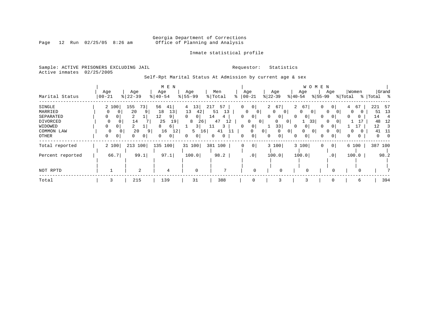# Georgia Department of Corrections Office of Planning and Analysis

### Inmate statistical profile

Sample: ACTIVE PRISONERS EXCLUDING JAIL **Requestor:** Statistics Active inmates 02/25/2005

Self-Rpt Marital Status At Admission by current age & sex

|                  |             |                | M E N                 |               |                |                               |                      | W O M E N                  |                     |          |                      |
|------------------|-------------|----------------|-----------------------|---------------|----------------|-------------------------------|----------------------|----------------------------|---------------------|----------|----------------------|
|                  | Age         | Age            | Age                   | Age           | Men            | Age                           | Age                  | Age                        | Age                 | Women    | Grand                |
| Marital Status   | $ 00-21$    | $ 22-39$       | $\frac{1}{6}$   40-54 | $8 55-99$     | % Total<br>⊱   | $ 00-21$                      | $ 22-39 $            | $ 40-54 $                  | $ 55-99 $           | % Total  | %   Total %          |
| SINGLE           | 2 100       | 155<br>73      | 56<br>41              | 13<br>4       | 217<br>57      | $\overline{0}$<br>0           | 67<br>$\overline{a}$ | 2 67                       | 0<br>0 <sup>1</sup> | 67<br>4  | 221<br>- 57          |
| MARRIED          | 0           | 20<br>9        | 13<br>18              | 13<br>42      | 51<br>13       | $\Omega$<br>0                 | 0<br>$\mathbf 0$     | $\Omega$<br>0              | $\Omega$            | $\Omega$ | -13<br>51            |
| SEPARATED        | 0           | 2              | 12<br>9               | $\Omega$<br>0 | 14<br>4        | 0<br>0                        | 0<br>$\mathbf{0}$    | 0<br>$\mathbf{0}$          | 0<br>0              | 0        | 14<br>$\overline{4}$ |
| DIVORCED         | $\mathbf 0$ | 14             | 25<br>19              | 8<br>26       | 47<br>12       | 0                             | 0<br>$\circ$<br>0    | 33                         | $\Omega$            |          | 48<br>12             |
| WIDOWED          | 0           |                | 6 <br>8               | 3             | 3<br>ᆂᆂ        | 0                             | 33                   | $\Omega$                   |                     |          | 12                   |
| COMMON LAW       | 0           | 20<br>91       | 16<br>12              | 5<br>16       | 41<br>11       | $\Omega$                      | 0 <sup>1</sup><br>0  | 0 <sup>1</sup><br>$\Omega$ | $\Omega$            | 0        | 41                   |
| OTHER            | 0<br>0      | 0<br>$\circ$   | 0 <sup>1</sup>        | 0<br>0        | 0<br>0         | 0                             | 0<br>$\mathbf{0}$    | 0<br>0                     | 0<br>0              | 0<br>0   | 0<br>- 0             |
| Total reported   | 2 100       | 213 100        | 135 100               | 31 100        | 381 100        | $\mathbf 0$<br>0 <sup>1</sup> | 3 100                | 3 100                      | 0 <sup>1</sup><br>0 | 6 100    | 387 100              |
| Percent reported | 66.7        | 99.1           | 97.1                  | 100.0         | 98.2           | .0                            | 100.0                | 100.0                      | .0 <sub>1</sub>     | 100.0    | 98.2                 |
|                  |             |                |                       |               |                |                               |                      |                            |                     |          |                      |
| NOT RPTD         |             | $\mathfrak{D}$ | $\overline{4}$        | $\mathbf 0$   | $\overline{7}$ | $\Omega$                      | $\Omega$             |                            | $\Omega$            |          |                      |
| Total            | 3           | 215            | 139                   | 31            | 388            | 0                             | 3                    |                            |                     | 6        | 394                  |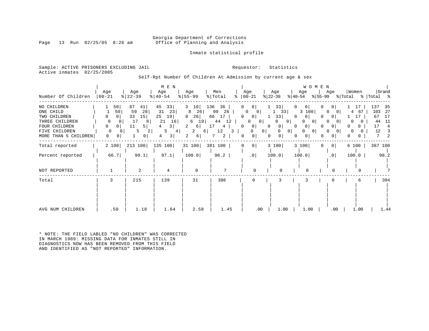### Georgia Department of Corrections Office of Planning and Analysis

Inmate statistical profile

Sample: ACTIVE PRISONERS EXCLUDING JAIL **Requestor:** Statistics Active inmates 02/25/2005

Self-Rpt Number Of Children At Admission by current age & sex

| Number Of Children                                                                                                   | Age<br>$00 - 21$                                                | Age<br>$ 22-39$                                                                                 | M E N<br>Age<br>$ 40-54 $                                                     | Age<br>$8 55-99$                                                                | Men<br>% Total<br>៖                                                       | Age<br>$ 00-21$                                                                                                                                                | Age<br>$ 22-39 $                                                                                         | W O M E N<br>Age<br>% 55−99<br>$ 40-54 $                                                            | Women<br>Age<br>% Total                                                                                                                                                       | Grand<br>%   Total %                                                              |
|----------------------------------------------------------------------------------------------------------------------|-----------------------------------------------------------------|-------------------------------------------------------------------------------------------------|-------------------------------------------------------------------------------|---------------------------------------------------------------------------------|---------------------------------------------------------------------------|----------------------------------------------------------------------------------------------------------------------------------------------------------------|----------------------------------------------------------------------------------------------------------|-----------------------------------------------------------------------------------------------------|-------------------------------------------------------------------------------------------------------------------------------------------------------------------------------|-----------------------------------------------------------------------------------|
| NO CHILDREN<br>ONE CHILD<br>TWO CHILDREN<br>THREE CHILDREN<br>FOUR CHILDREN<br>FIVE CHILDREN<br>MORE THAN 5 CHILDREN | 50 <br>50<br>0  <br>0<br>0<br>0<br>0<br>$\Omega$<br>0<br>0<br>0 | 87<br>41<br>59<br>28<br>33<br>15<br>17<br>8<br>11<br>5<br>5.<br>$\mathbf{2}$<br>$\vert 0 \vert$ | 45<br>33<br>31<br>23<br>25<br>19<br>21<br>16<br>3 I<br>4<br>5<br>4<br>3 <br>4 | 10<br>3<br>8<br>26<br>26<br>8<br>19 <br>6<br>2<br>$6 \mid$<br>2<br>6 <br>6<br>2 | 136<br>36<br>26<br>99<br>66<br>17<br>44<br>12<br>17<br>4<br>12<br>3.<br>2 | 0<br>0 <sup>1</sup><br>0<br>01<br>0<br>0 <sup>1</sup><br>0<br>$\vert 0 \vert$<br>0 <sup>1</sup><br>0<br>$\Omega$<br>0 <sup>1</sup><br>0<br>0<br>$\overline{0}$ | 33 <br>0<br>33<br>33<br>0<br>0 <sup>1</sup><br>0<br>$\circ$<br>$\Omega$<br>0 <sup>1</sup><br>0<br>0<br>0 | $\overline{0}$<br>3 100<br>0<br>0<br> 0 <br>0 <sup>1</sup><br>$\Omega$<br>$\circ$<br>0 <sup>1</sup> | 0<br>17<br>$\Omega$<br>4<br>-67<br>0<br>0 <sup>1</sup><br>17<br>$\Omega$<br>0<br>$\Omega$<br>0 <sup>1</sup><br>0<br>$\overline{0}$<br>0<br>0<br>0<br>0 <sup>1</sup><br>0<br>0 | 137<br>35<br>103<br>-27<br>67<br>17<br>44<br>- 11<br>17<br>4<br>12<br>3<br>7<br>2 |
| Total reported                                                                                                       | 2 100                                                           | 213 100                                                                                         | 135 100                                                                       | 31 100                                                                          | 381 100                                                                   | $\circ$<br>0                                                                                                                                                   | 3 100                                                                                                    | 3 100<br>0                                                                                          | 0 <sup>1</sup><br>6 100                                                                                                                                                       | 387 100                                                                           |
| Percent reported                                                                                                     | 66.7                                                            | 99.1                                                                                            | 97.1                                                                          | 100.0                                                                           | 98.2                                                                      | .0                                                                                                                                                             | 100.0                                                                                                    | 100.0                                                                                               | .0<br>100.0                                                                                                                                                                   | 98.2                                                                              |
| NOT REPORTED                                                                                                         |                                                                 | $\overline{2}$                                                                                  | 4                                                                             | $\mathbf 0$                                                                     | 7                                                                         | $\Omega$                                                                                                                                                       | U                                                                                                        | $\Omega$                                                                                            | ∩                                                                                                                                                                             |                                                                                   |
| Total                                                                                                                | 3                                                               | 215                                                                                             | 139                                                                           | 31                                                                              | 388                                                                       | $\Omega$                                                                                                                                                       | 3                                                                                                        | 3                                                                                                   | 6                                                                                                                                                                             | 394                                                                               |
| AVG NUM CHILDREN                                                                                                     | .50                                                             | 1.18                                                                                            | 1.64                                                                          | 2.58                                                                            | 1.45                                                                      | .00                                                                                                                                                            | 1.00                                                                                                     | 1.00                                                                                                | .00<br>1.00                                                                                                                                                                   | 1.44                                                                              |

\* NOTE: THE FIELD LABLED "NO CHILDREN" WAS CORRECTED IN MARCH 1989: MISSING DATA FOR INMATES STILL IN DIAGNOSTICS NOW HAS BEEN REMOVED FROM THIS FIELD AND IDENTIFIED AS "NOT REPORTED" INFORMATION.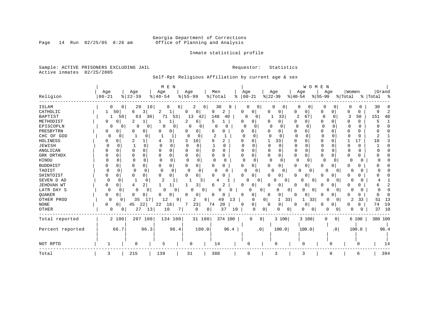# Georgia Department of Corrections<br>Page 14 Run 02/25/05 8:26 am 60ffice of Planning and Analysis Office of Planning and Analysis

Inmate statistical profile

Sample: ACTIVE PRISONERS EXCLUDING JAIL **Requestor:** Statistics Active inmates 02/25/2005

Self-Rpt Religious Affiliation by current age & sex

|                  |                          |                       | M E N         |                      |                          |                   |                          | WOMEN                |                     |               |           |
|------------------|--------------------------|-----------------------|---------------|----------------------|--------------------------|-------------------|--------------------------|----------------------|---------------------|---------------|-----------|
|                  | Age                      | Age                   | Age           | Age                  | Men                      | Age               | Age                      | Age                  | Age                 | Women         | Grand     |
| Religion         | $ 00 - 21$               | $8   22 - 39$         | $8   40 - 54$ | $8155 - 99$          | % Total<br>៖             | $ 00-21$          | $ 22-39$                 | $8 40-54$            | $8155 - 99$         | % Total       | % Total % |
| <b>ISLAM</b>     | $\Omega$                 | 20<br>10 <sub>1</sub> | 8<br>6        | 2<br>6 I             | 30<br>8                  | 0                 | 0                        | 0                    |                     | 0             | 30        |
| CATHOLIC         | 50<br>1                  | 6<br>3                | 2<br>1        | 0<br>$\Omega$        | $\overline{2}$<br>9      | 0<br>0            | 0                        | 0<br>0               | 0<br>0              | 0             | 9         |
| <b>BAPTIST</b>   | 50                       | 63<br>30              | 71<br>53      | 13<br>42             | 148<br>40                | 0<br>0            | 33                       | 2<br>67              | 0<br>$\Omega$       | 3<br>50       | 151<br>40 |
| METHODIST        | 0<br>0                   | 2<br>1                | 1             | 2<br>6               | 5                        | 0<br>0            | 0<br>O                   | 0<br>0               | O<br><sup>0</sup>   | 0<br>O        |           |
| EPISCOPLN        | 0<br>0                   | 0<br>0                | $\Omega$<br>0 | $\Omega$<br>0        | $\Omega$                 | C<br>0            | 0                        | $\Omega$<br>$\Omega$ | $\Omega$<br>O       | $\Omega$      |           |
| PRESBYTRN        | 0<br>$\Omega$            | 0<br>O                | 0<br>O        | 0                    | O<br>0                   | O<br>0            | $\Omega$                 | 0<br>O               | 0                   | 0             |           |
| CHC OF GOD       | 0<br>0                   |                       |               | 0<br>O               | 2                        | O<br>$\cap$       | U<br>$\Omega$            | $\Omega$<br>U        | O<br>O              | $\Omega$      |           |
| HOLINESS         | U                        | 2<br>1                | 3             | 3<br>10              | 9<br>2                   | <sup>0</sup><br>U | 33<br>1                  | 0<br>O               | O<br><sup>0</sup>   | 17            | 10        |
| JEWISH           | $\Omega$<br>$\Omega$     | $\mathbf{1}$<br>0     | $\Omega$      |                      | O                        | U<br>U            | $\Omega$<br>0            | $\Omega$<br>U        | $\Omega$<br>O       | 0<br>U        |           |
| ANGLICAN         | C                        | <sup>0</sup><br>0     | 0             |                      | U<br>O                   | U                 | $\Omega$                 | O                    | $\Omega$<br>U       | O             |           |
| GRK ORTHDX       | <sup>0</sup>             | $\Omega$<br>0         | 0<br>O        | 0                    | 0<br>0                   | $\Omega$<br>0     | 0<br>O                   | 0<br>0               | $\Omega$            | 0             |           |
| HINDU            | ∩                        | $\Omega$<br>0         | 0<br>n        | $\Omega$<br>$\Omega$ | $\Omega$<br><sup>0</sup> | $\Omega$<br>0     | 0<br>O                   | 0<br>$\Omega$        | 0                   | $\Omega$<br>O |           |
| <b>BUDDHIST</b>  |                          | 0<br>0                | 0<br>O        | 0                    | 0<br>0                   | 0<br>0            | 0                        | 0<br>0               | 0<br>0              | 0<br>O        |           |
| TAOIST           | ∩<br>U                   | 0<br>∩                | 0<br>n        | $\Omega$<br>$\Omega$ | U                        | ∩<br>$\Omega$     | 0<br>∩                   |                      | <sup>0</sup>        | U<br>O        |           |
| SHINTOIST        | O<br>O                   | 0<br>O                | 0<br>O        | 0<br>O               | U                        | 0<br>O            | 0<br>U                   | 0<br>0               | <sup>o</sup>        | O<br>O        |           |
| SEVEN D AD       | $\Omega$<br>∩            | $\mathbf{1}$          | 2             | 3                    |                          | ∩<br>0            | 0<br>n                   | O                    | U                   |               |           |
| JEHOVAH WT       | 0<br>C                   | 4                     |               | 3                    | 2<br>6                   | 0<br>0            | 0                        | O<br>0               | O                   |               |           |
| LATR DAY S       | $\Omega$<br><sup>0</sup> | $\Omega$<br>0         | $\Omega$<br>0 | <sup>0</sup><br>0    |                          |                   | 0<br>0<br>N              | U<br>$\Omega$        | ∩                   |               |           |
| QUAKER           | U<br>0                   | O<br>0                | 0<br>0        | U<br>0               | 0<br>0                   | $\Omega$<br>0     | 0<br>$\Omega$            | 0<br>0               | 0                   | 0             |           |
| OTHER PROD       | 0<br>0                   | 35<br>17              | 12<br>9       | 2<br>6               | 49<br>13                 | 0                 | $\overline{0}$<br>33     | 33<br>1              | 0                   | 2<br>33       | 51<br>13  |
| <b>NONE</b>      | 0<br>0                   | 45<br>22              | 22<br>16      | 23                   | 20<br>74                 | 0<br>0            | 0<br>0                   | 0<br>0               | 0                   | 0             | 19<br>74  |
| OTHER            | 0<br>0                   | 27<br>13              | 10<br>7       | 0                    | 37<br>0<br>10            | $\mathbf 0$       | 0<br>0<br>U              | 0<br>0               | N<br>0              | 0             | 37<br>10  |
| Total reported   | 2 100                    | 207100                | 134 100       | 31 100               | 374 100                  | 0                 | 3 100<br>0 <sup>1</sup>  | 3 100                | 0<br>0 <sup>1</sup> | 6 100         | 380 100   |
|                  |                          |                       |               |                      |                          |                   |                          |                      |                     |               |           |
| Percent reported | 66.7                     | 96.3                  | 96.4          | 100.0                | 96.4                     |                   | .0 <sub>1</sub><br>100.0 | 100.0                | .0 <sub>1</sub>     | 100.0         | 96.4      |
|                  |                          |                       |               |                      |                          |                   |                          |                      |                     |               |           |
|                  |                          |                       |               |                      |                          |                   |                          |                      |                     |               |           |
| NOT RPTD         |                          | 8                     | 5             | 0                    | 14                       | 0                 | 0                        | $\Omega$             | 0                   |               | 14        |
| Total            | 3                        | 215                   | 139           | 31                   | 388                      | 0                 | 3                        | 3                    | 0                   | 6             | 394       |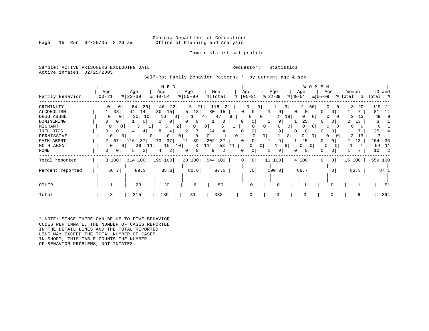### Georgia Department of Corrections<br>Page 15 Run 02/25/05 8:26 am Office of Planning and Analysis Office of Planning and Analysis

### Inmate statistical profile

Sample: ACTIVE PRISONERS EXCLUDING JAIL **Requestor:** Statistics Active inmates 02/25/2005

Self-Rpt Family Behavior Patterns \* by current age & sex

|                  |                      |               | M E N                                        |                |           |                               |                     |                            | WOMEN                    |                     |             |
|------------------|----------------------|---------------|----------------------------------------------|----------------|-----------|-------------------------------|---------------------|----------------------------|--------------------------|---------------------|-------------|
|                  | Age                  | Age           | Age                                          | Age            | Men       | Age                           | Age                 | Age                        | Age                      | Women               | Grand       |
| Family Behavior  | $ 00 - 21$           | $8   22 - 39$ | $ 40-54 $                                    | $8 55-99$      | % Total   | $ 00-21 $                     | $ 22-39 $           | $ 40-54 $                  | $ 55-99 $                | % Total             | %   Total % |
| CRIMINLTY        | 0<br>0               | 64<br>20      | 46<br>23                                     | 6<br>-21       | 116<br>21 | 0                             |                     | 2<br>9                     | 50                       | 3<br>20<br>$\sigma$ | 119<br>-21  |
| ALCOHOLISM       | 33                   | 44<br>14      | 15<br>30                                     | 5<br>18        | 80<br>15  | $\Omega$<br>0                 | 9                   | 0                          | $\Omega$<br>$\Omega$     |                     | 81<br>14    |
| DRUG ABUSE       | $\Omega$<br>$\Omega$ | 30<br>10      | 16<br>8                                      | $\overline{4}$ | 47        |                               | 2<br>$\mathbf{0}$   | 18 <br>$\Omega$            | <sup>0</sup><br>$\Omega$ | 13<br>2<br>$\Omega$ | 49<br>9     |
| DOMINERING       | 0<br>0               | 0             | 0<br>$\Omega$                                | $\Omega$<br>0  | 0         | <sup>0</sup><br>0             | 9                   | 25                         | 01<br><sup>0</sup>       | 13                  |             |
| MIGRANT          |                      | 3<br>⊥        | 3<br>2                                       | 0              | 6<br>0    |                               | 0                   | 0 <sup>1</sup><br>$\Omega$ | $\Omega$                 | 0                   | 6           |
| INFL BTGS        | $\mathbf{0}$         | 14<br>4       | 8<br>4                                       |                | 24        |                               | 9                   |                            | 0                        |                     | 25          |
| PERMISSIVE       | 0                    |               | $\Omega$<br>0 <sup>1</sup><br>$\overline{0}$ | 0              | 0         | 0                             | 2<br>$\overline{0}$ | 18 <sup>1</sup><br>0       | 0                        | 2<br>13             |             |
| FATH ABSNT       | 2<br>67              | L16<br>37     | 73<br>37                                     | 39<br>11       | 202<br>37 | 0<br>$\Omega$                 | 9                   | 25                         | 0                        | 13                  | 204<br>36   |
| MOTH ABSNT       | 0                    | 36<br>11      | 19<br>10 <sup>1</sup>                        | 3              | 58<br>11  | 11                            | 0                   | 9                          | 0                        |                     | 59<br>11    |
| NONE             | 0<br>0               | 2<br>5.       | $\overline{a}$<br>4                          | 0<br>0         | 2<br>9    | 0                             | 9                   | 0                          | 0                        |                     | 10          |
| Total reported   | 3 100                | 314 100       | 199 100                                      | 28 100         | 544 100   | 0 <sup>1</sup><br>$\mathbf 0$ | 11 100              | 4 100                      | $\circ$<br>$\Omega$      | 15 100              | 559 100     |
| Percent reported | 66.7                 | 89.3          | 85.6                                         | 80.6           | 87.1      | .0 <sub>1</sub>               | 100.0               | 66.7                       | .0                       | 83.3                | 87.1        |
|                  |                      |               |                                              |                |           |                               |                     |                            |                          |                     |             |
| OTHER            |                      | 23            | 20                                           | 6              | 50        |                               | $\Omega$            |                            |                          |                     | 51          |
| Total            | 3                    | 215           | 139                                          | 31             | 388       | 0                             | 3                   | 3                          | 0                        | 6                   | 394         |

\* NOTE: SINCE THERE CAN BE UP TO FIVE BEHAVIOR CODES PER INMATE, THE NUMBER OF CASES REPORTED IN THE DETAIL LINES AND THE TOTAL REPORTED LINE MAY EXCEED THE TOTAL NUMBER OF CASES. IN SHORT, THIS TABLE COUNTS THE NUMBER OF BEHAVIOR PROBLEMS, NOT INMATES.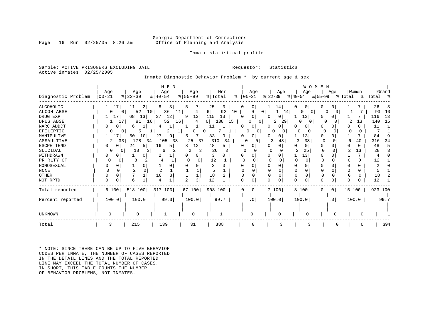### Georgia Department of Corrections<br>Page 16 Run 02/25/05 8:26 am 60ffice of Planning and Analysis Office of Planning and Analysis

### Inmate statistical profile

Sample: ACTIVE PRISONERS EXCLUDING JAIL **Requestor:** Statistics Active inmates 02/25/2005

Inmate Diagnostic Behavior Problem \* by current age & sex

|                    |           |                      | M E N         |             |           |                            |                     |           |               | WOMEN               |         |             |
|--------------------|-----------|----------------------|---------------|-------------|-----------|----------------------------|---------------------|-----------|---------------|---------------------|---------|-------------|
|                    | Age       | Age                  | Age           | Age         | Men       |                            | Age                 | Age       | Age           | Age                 | Women   | Grand       |
| Diagnostic Problem | $00 - 21$ | $ 22-39$             | $8   40 - 54$ | $ 55 - 99 $ | % Total   | $ 00-21 $<br>$\frac{8}{6}$ |                     | $ 22-39 $ | $ 40-54 $     | % 55-99             | % Total | %   Total % |
| <b>ALCOHOLIC</b>   | 17        | 2 <sub>1</sub><br>11 | 8<br>3        | 5           | 25<br>3   | O                          | $\circ$             | 14        |               |                     |         | 26          |
| ALCOH ABSE         | $\Omega$  | 52<br>10             | 36<br>11      | 4           | 92<br>6   | 10                         | $\overline{0}$<br>0 | 14        | 0<br>$\Omega$ | $\Omega$            |         | 93<br>10    |
| DRUG EXP           | 17        | 13<br>68             | 12<br>37      | 13<br>9     | 115<br>13 | n                          | 0                   | 0         | 13            |                     |         | 13<br>116   |
| DRUG ABSE          | 17.       | 81<br>16             | 52<br>16      |             | 138<br>6  | 15                         | $\Omega$            | 29<br>2   | 0<br>0        |                     | 13      | 15<br>140   |
| NARC ADDCT         | O<br>01   | 6                    | T.            |             |           |                            | 0                   | $\Omega$  |               | U                   |         | 11          |
| EPILEPTIC          |           | հ                    | 2             |             | 0         |                            | <sup>o</sup>        |           |               | <sup>0</sup>        | 0       |             |
| MANIPULTVE         | 17        | 50<br>10             | 27<br>9       |             | 83<br>9   |                            |                     | 0         | 13            |                     |         | 84          |
| ASSAULTIVE         | 33<br>2   | 178<br>34            | 105<br>33     | 37<br>25    | 310<br>34 |                            |                     | 43        | 38            |                     | 40      | 34<br>316   |
| ESCPE TEND         | 0 I       | 24<br>5              | 16<br>5.      | 12<br>8     | 48<br>5   |                            |                     | 0         | 0             |                     |         | 48          |
| SUICIDAL           |           | 18<br>3              | 6             |             | 26        |                            |                     |           | 25            |                     | 13      | 28          |
| WITHDRAWN          |           |                      |               | O           | 3         |                            |                     |           | 13            |                     |         |             |
| PR RLTY CT         | Ω         | 8                    |               |             | 12        |                            |                     |           |               |                     | 0       | 12          |
| HOMOSEXUAL         |           |                      |               |             | 2         |                            |                     |           |               |                     |         |             |
| <b>NONE</b>        |           |                      |               |             | 5         |                            |                     |           |               |                     | 0       |             |
| <b>OTHER</b>       |           |                      | 3<br>10       |             | 18        |                            |                     |           | $\Omega$      |                     | 0       | 18          |
| NOT RPTD           | $\Omega$  | 6                    |               | 3<br>2      | 12        |                            |                     | U         |               |                     |         | 12          |
| Total reported     | 6 100     | 518 100              | 317 100       | 67 100      | 908 100   | $\Omega$                   | 0 <sup>1</sup>      | 7 100     | 8 100         | 0 <sup>1</sup><br>0 | 15 100  | 923 100     |
| Percent reported   | 100.0     | 100.0                | 99.3          | 100.0       | 99.7      |                            | .0 <sub>1</sub>     | 100.0     | 100.0         | .0 <sub>1</sub>     | 100.0   | 99.7        |
|                    |           |                      |               |             |           |                            |                     |           |               |                     |         |             |
| UNKNOWN            |           |                      |               | $\cap$      |           |                            |                     |           |               |                     |         |             |
| Total              | 3         | 215                  | 139           | 31          | 388       |                            |                     |           |               |                     | 6       | 394         |

\* NOTE: SINCE THERE CAN BE UP TO FIVE BEHAVIOR CODES PER INMATE, THE NUMBER OF CASES REPORTED IN THE DETAIL LINES AND THE TOTAL REPORTED LINE MAY EXCEED THE TOTAL NUMBER OF CASES. IN SHORT, THIS TABLE COUNTS THE NUMBER OF BEHAVIOR PROBLEMS, NOT INMATES.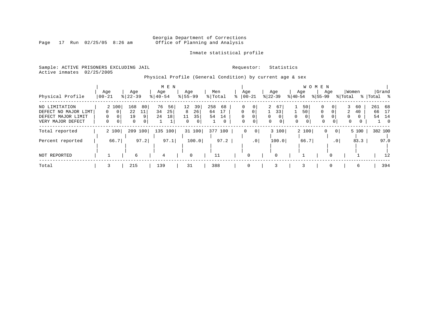# Georgia Department of Corrections<br>Page 17 Run 02/25/05 8:26 am 60ffice of Planning and Analysis Office of Planning and Analysis

Inmate statistical profile

Sample: ACTIVE PRISONERS EXCLUDING JAIL **Requestor:** Statistics Active inmates 02/25/2005

Physical Profile (General Condition) by current age & sex

|                      |          |                               | M E N      |               |           |                            |                      |                         | W O M E N            |                      |           |
|----------------------|----------|-------------------------------|------------|---------------|-----------|----------------------------|----------------------|-------------------------|----------------------|----------------------|-----------|
|                      | Age      | Age                           | Age        | Age           | Men       | Age                        | Age                  | Age                     | Age                  | Women                | Grand     |
| Physical Profile     | 00-21    | $8   22 - 39$                 | $8 40-54$  | $8155 - 99$   | % Total   | $ 00-21 $                  | $ 22-39 $            | $ 40-54 $               | $8 55-99$            | % Total<br>%         | Total %   |
| NO LIMITATION        | 2 100    | 168<br>80                     | 76<br>56   | 12<br>39      | 258<br>68 | 0                          | $\overline{2}$<br>67 | 50                      | 0                    | 60                   | 261<br>68 |
| DEFECT NO MAJOR LIMT | $\Omega$ | 22<br>11                      | 34<br>25   | 8<br>26       | 64<br>17  | $\Omega$<br>$\Omega$       | 33                   | 50                      | $\Omega$<br>$\Omega$ | $\overline{2}$<br>40 | 17<br>66  |
| DEFECT MAJOR LIMIT   | $\Omega$ | 19<br>9                       | 24<br>18   | 11<br>35      | 54<br>14  | $\Omega$<br>$\Omega$       | $\Omega$<br>$\Omega$ | $\Omega$                | $\Omega$<br>$\Omega$ | $\Omega$<br>$\Omega$ | 54<br>14  |
| VERY MAJOR DEFECT    | 0<br>0   | $\mathbf 0$<br>$\overline{0}$ |            | $\Omega$<br>0 | 0         | $\mathbf 0$<br>$\mathbf 0$ | 0<br>0               | $\Omega$<br>$\mathbf 0$ | $\Omega$             | 0<br>0               | $\Omega$  |
| Total reported       | 2 100    | 100<br>209                    | 135<br>100 | 31 100        | 377 100   | 0 <br>0                    | 3 100                | 2 100                   | 0 <sup>1</sup><br>0  | 5 100                | 382 100   |
|                      |          |                               |            |               |           |                            |                      |                         |                      |                      |           |
| Percent reported     | 66.7     | 97.2                          | 97.1       | 100.0         | 97.2      | $\cdot$ 0                  | 100.0                | 66.7                    | $\cdot$ 0            | 83.3                 | 97.0      |
|                      |          |                               |            |               |           |                            |                      |                         |                      |                      |           |
| NOT REPORTED         |          | 6                             | 4          | $\mathbf 0$   | 11        | 0                          | 0                    |                         | 0                    |                      | 12        |
| Total                |          | 215                           | 139        | 31            | 388       | 0                          | 3                    | 3                       | 0                    | 6                    | 394       |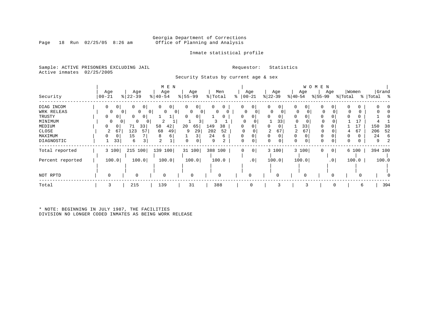### Georgia Department of Corrections<br>Page 18 Run 02/25/05 8:26 am 60ffice of Planning and Analysis Office of Planning and Analysis

### Inmate statistical profile

Sample: ACTIVE PRISONERS EXCLUDING JAIL **Requestor:** Statistics Active inmates 02/25/2005

Security Status by current age & sex

|                  |                  |                   | M E N                      |                     |                |                      |                 |                  |                  | W O M E N           |                  |                      |
|------------------|------------------|-------------------|----------------------------|---------------------|----------------|----------------------|-----------------|------------------|------------------|---------------------|------------------|----------------------|
| Security         | Age<br>$00 - 21$ | Age<br>$ 22-39 $  | Age<br>$ 40-54$            | Age<br>$8 55-99$    | Men<br>% Total | Age<br>$ 00-21$<br>⊱ |                 | Age<br>$ 22-39 $ | Age<br>$ 40-54 $ | Age<br>$ 55-99 $    | Women<br>% Total | Grand<br>%   Total % |
|                  |                  |                   |                            |                     |                |                      |                 |                  |                  |                     |                  |                      |
| DIAG INCOM       | $\mathbf 0$<br>0 | $\mathbf{0}$<br>0 | 0 <sup>1</sup><br>$\Omega$ | 0<br>0              | 0<br>0         | 0                    | $\overline{0}$  | 0<br>0           | 0<br>0           | 0<br>0              | 0                |                      |
| WRK RELEAS       | 0                | 0<br>0<br>0 I     | $\mathbf{0}$<br>0          | 0<br>0 <sub>1</sub> | 0              |                      | 0               | 0                | 0<br>$\Omega$    | 0                   |                  |                      |
| TRUSTY           | 0<br>$\circ$     | $\mathbf{0}$<br>0 |                            | 0                   | $\Omega$       |                      |                 |                  | 0                | 0                   |                  |                      |
| MINIMUM          | 0                | 0<br>0<br>0       | 2                          |                     |                |                      |                 | 33               | $\Omega$         | 0                   |                  |                      |
| MEDIUM           | 0<br>0           | 33<br>71          | 58<br>42                   | 20<br>65            | 149<br>38      |                      |                 | 0<br>0           | 33               | 0                   | 17               | 38<br>150            |
| CLOSE            | 2<br>67          | 123<br>57         | 68<br>49                   | 29<br>9             | 202<br>52      |                      |                 | 2<br>67          | 67               | 0                   | 67               | 52<br>206            |
| MAXIMUM          | 0                | 15                | 8                          |                     | 24<br>6        |                      |                 | $\Omega$<br>0    |                  |                     | 0                | 24<br>-6             |
| DIAGNOSTIC       | 33               | 6                 | 2                          |                     | 9<br>2         | 0                    | 0               | 0                | 0<br>0           | $\Omega$            | 0<br>0           | 9                    |
| Total reported   | 3 100            | 100<br>215        | 139<br>100                 | 31 100              | 388 100        | 0                    | $\circ$         | 3 100            | 3 100            | 0 <sup>1</sup><br>0 | 6 100            | 394 100              |
| Percent reported | 100.0            | 100.0             | 100.0                      | 100.0               | 100.0          |                      | .0 <sub>1</sub> | 100.0            | 100.0            | .0 <sup>1</sup>     | 100.0            | 100.0                |
|                  |                  |                   |                            |                     |                |                      |                 |                  |                  |                     |                  |                      |
| NOT RPTD         |                  | $\mathbf 0$       | $\mathbf 0$                | $\mathbf 0$         | 0              |                      |                 |                  | $\Omega$         |                     |                  |                      |
| Total            | 3                | 215               | 139                        | 31                  | 388            |                      |                 |                  |                  | 0                   | 6                | 394                  |

\* NOTE: BEGINNING IN JULY 1987, THE FACILITIES DIVISION NO LONGER CODED INMATES AS BEING WORK RELEASE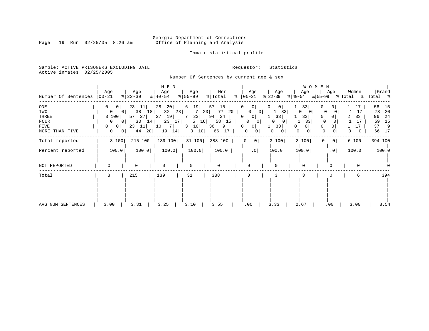# Georgia Department of Corrections<br>Page 19 Run 02/25/05 8:26 am 60ffice of Planning and Analysis Office of Planning and Analysis

### Inmate statistical profile

Sample: ACTIVE PRISONERS EXCLUDING JAIL **Requestor:** Statistics Active inmates 02/25/2005

Number Of Sentences by current age & sex

| Number Of Sentences                                   | Age<br>$ 00 - 21$                                                                                                     | Age<br>$ 22-39 $                                                       | M E N<br>Age<br>$8   40 - 54$                                                    | Age<br>$ 55-99 $                                                  | Men<br>% Total                                                   | Age<br>$\approx$ 00-21                                                                                                    | Age<br>$ 22-39 $                                                                         | W O M E N<br>Age<br>$ 40-54 $                            | Age<br>$ 55-99$                                                                  | Women<br>% Total                               | Grand<br>%   Total %                                                              |
|-------------------------------------------------------|-----------------------------------------------------------------------------------------------------------------------|------------------------------------------------------------------------|----------------------------------------------------------------------------------|-------------------------------------------------------------------|------------------------------------------------------------------|---------------------------------------------------------------------------------------------------------------------------|------------------------------------------------------------------------------------------|----------------------------------------------------------|----------------------------------------------------------------------------------|------------------------------------------------|-----------------------------------------------------------------------------------|
| ONE<br>TWO<br>THREE<br>FOUR<br>FIVE<br>MORE THAN FIVE | $\mathbf{0}$<br>0 <sup>1</sup><br>0<br>0 <sup>1</sup><br>3 100<br>0<br>01<br>0<br>0<br>$\mathbf{0}$<br>0 <sup>1</sup> | 23<br>11<br>38<br>18<br>57<br>27<br>14<br>30<br> 11 <br>23<br>44<br>20 | 28<br>20 <br>32<br>23<br>19 <br>27<br>23<br>17<br>10<br><sup>7</sup><br>19<br>14 | 6<br>19  <br>23<br>7<br>23<br>7<br>16<br>5<br>10<br>3<br>$3 \t10$ | 57<br>15<br>77<br>20<br>94<br>24<br>58 15<br>36<br>9<br>17<br>66 | 0 <sup>1</sup><br>0<br>0<br>0 <sup>1</sup><br>0<br>0<br>0<br>$\overline{0}$<br>0<br>0 <sup>1</sup><br> 0 <br>$\mathbf{0}$ | 0<br>0 <sup>1</sup><br>33<br>ı.<br>33<br>0<br>0<br>33 <br>$\overline{0}$<br>$\mathbf{0}$ | 33<br>$\Omega$<br>0<br>33<br>33<br>0<br>0<br>$\mathbf 0$ | 0<br>$\Omega$<br>0<br>$\Omega$<br>$\Omega$<br>0<br>$\mathbf 0$<br>$\overline{0}$ | 17<br>17<br>33<br>17<br>$\mathbf 0$<br>$\circ$ | 58<br>15<br>20<br>78<br>-24<br>96<br>15<br>59<br>$\overline{9}$<br>37<br>17<br>66 |
| Total reported                                        | 3 100                                                                                                                 | 215 100                                                                | 139 100                                                                          | 31 100                                                            | 388 100                                                          | 0 <sup>1</sup><br>0                                                                                                       | 3 100                                                                                    | 3 100                                                    | 0 <sup>1</sup><br>0                                                              | 6 100                                          | 394 100                                                                           |
| Percent reported                                      | 100.0                                                                                                                 | 100.0                                                                  | 100.0                                                                            | 100.0                                                             | 100.0                                                            | .0                                                                                                                        | 100.0                                                                                    | 100.0                                                    | .0                                                                               | 100.0                                          | 100.0                                                                             |
| NOT REPORTED                                          | $\Omega$                                                                                                              | $\Omega$                                                               | $\mathbf 0$                                                                      | $\mathbf 0$                                                       | 0                                                                | $\Omega$                                                                                                                  | $\Omega$                                                                                 | $\Omega$                                                 | $\Omega$                                                                         |                                                |                                                                                   |
| Total                                                 |                                                                                                                       | 215                                                                    | 139                                                                              | 31                                                                | 388                                                              | 0                                                                                                                         | 3                                                                                        |                                                          |                                                                                  | 6                                              | 394                                                                               |
| AVG NUM SENTENCES                                     | 3.00                                                                                                                  | 3.81                                                                   | 3.25                                                                             | 3.10                                                              | 3.55                                                             | .00                                                                                                                       | 3.33                                                                                     | 2.67                                                     | .00                                                                              | 3.00                                           | 3.54                                                                              |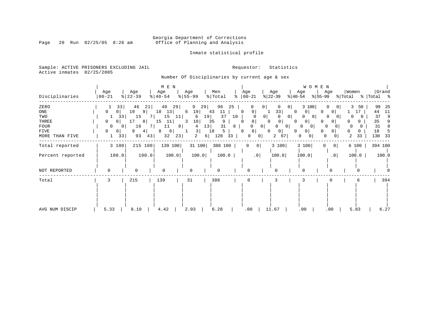# Georgia Department of Corrections Office of Planning and Analysis

### Inmate statistical profile

Sample: ACTIVE PRISONERS EXCLUDING JAIL **Requestor:** Statistics Active inmates 02/25/2005

Number Of Disciplinaries by current age & sex

|                  |                   |                  | M E N            |                         |                     |                     |                               | WOMEN                           |                     |                      |
|------------------|-------------------|------------------|------------------|-------------------------|---------------------|---------------------|-------------------------------|---------------------------------|---------------------|----------------------|
| Disciplinaries   | Age<br>$ 00 - 21$ | Age<br>$ 22-39 $ | Age<br>$ 40-54 $ | Age<br>$8 55-99$        | Men<br>% Total<br>៖ | Age<br>$ 00-21$     | Age<br>$ 22-39 $<br>$ 40-54 $ | Age<br>Age<br>$ 55-99 $         | Women<br>% Total    | Grand<br>%   Total % |
| ZERO             | 33                | 46<br>21         | 40<br>29         | 9<br>29                 | 96<br>25            | 0                   | 0 <sup>1</sup>                | 3 100                           | 3<br>50<br>$\Omega$ | 99<br>25             |
| ONE              | 0<br>0            | 19<br>9          | 18<br>13         | 19<br>6                 | 43<br>11            | 0<br>0              | 33<br>$\Omega$                | 0<br>0                          | 17                  | 11<br>44             |
| TWO              | 33<br>T           | 15               | 15<br>11         | 19<br>6                 | 37<br>10            | 0 <sup>1</sup>      | 0                             | 0<br>O                          | $\Omega$            | 37<br>9              |
| THREE            | 0<br>0            | 17<br>8          | 15<br>11         | 10 <sub>1</sub><br>3    | 35<br>9             | $\mathbf 0$<br>0    | 0<br>$\Omega$                 | 0<br>$\mathbf{0}$               | n                   | 35                   |
| FOUR             | 0<br>$\mathbf{0}$ | 16               | 11<br>8          | 13 <br>4                | 31<br>8             | $\overline{0}$<br>0 | $\Omega$<br>0                 | 0<br>$\overline{0}$<br>$\Omega$ | 0                   | 31<br>8              |
| FIVE             | $\mathbf{0}$<br>0 | 4 <br>9          | 6<br>8           | $\overline{\mathbf{3}}$ | 18<br>5             | 0<br>0              | 0<br>0<br>0                   | $\Omega$<br>0                   | <sup>0</sup><br>0   | 18                   |
| MORE THAN FIVE   | 33<br>1           | 93<br>43         | 32<br>23         | 2<br>6                  | 128<br>33           | 0<br>0              | 67<br>2                       | 0<br>0<br>0<br>0                | 2<br>33             | 130<br>33            |
| Total reported   | 3 100             | 215 100          | 139 100          | 31 100                  | 388 100             | 0 <br>0             | 3 100                         | 3 100<br> 0 <br>$\Omega$        | 6 100               | 394 100              |
| Percent reported | 100.0             | 100.0            | 100.0            | 100.0                   | 100.0               | .0 <sub>1</sub>     | 100.0                         | 100.0<br>.0                     | 100.0               | 100.0                |
| NOT REPORTED     | $\Omega$          | $\Omega$         | $\Omega$         |                         | O                   | $\Omega$            |                               |                                 |                     |                      |
| Total            | 3                 | 215              | 139              | 31                      | 388                 | 0                   | 3                             |                                 | 6                   | 394                  |
|                  |                   |                  |                  |                         |                     |                     |                               |                                 |                     |                      |
| AVG NUM DISCIP   | 5.33              | 8.10             | 4.42             | 2.03                    | 6.28                | .00                 | 11.67                         | .00<br>.00                      | 5.83                | 6.27                 |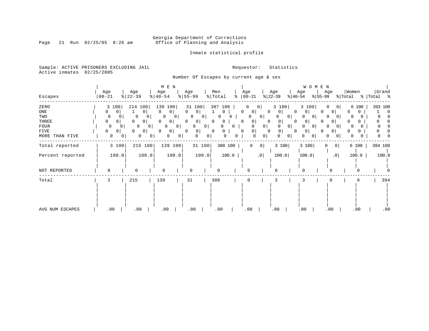# Georgia Department of Corrections<br>Page 21 Run 02/25/05 8:26 am 60ffice of Planning and Analysis Office of Planning and Analysis

### Inmate statistical profile

Sample: ACTIVE PRISONERS EXCLUDING JAIL **Requestor:** Statistics Active inmates 02/25/2005

Number Of Escapes by current age & sex

|                  |           |                   | M E N                     |           |                          |               |                      |                            | W O M E N      |                            |              |             |
|------------------|-----------|-------------------|---------------------------|-----------|--------------------------|---------------|----------------------|----------------------------|----------------|----------------------------|--------------|-------------|
|                  | Age       | Age               | Age                       | Age       |                          | Men           | Age                  | Age                        | Age            | Age                        | Women        | Grand       |
| Escapes          | $00 - 21$ | $ 22-39$          | $\frac{1}{6}$   40-54     | $8 55-99$ |                          | % Total<br>ႜ  | $ 00 - 21 $          | $ 22-39 $                  | $ 40-54 $      | $ 55-99 $                  | % Total      | %   Total % |
| ZERO             | 3 100     | 214 100           | 139<br>100                |           | 31 100                   | 387<br>100    | 0                    | 3 100                      | 3 100          | O<br>0 I                   | 6 100        | 393 100     |
| ONE              | 0<br>0    | $\circ$           | 0<br>0 <sup>1</sup>       | $\Omega$  | $\circ$                  | 0             | 0<br>$\circ$         | 0<br>U                     | $\Omega$<br>0  | $\overline{0}$<br>$\Omega$ | 0<br>0       | 0           |
| TWO              | 0         | 0<br>U            | 0                         | 0<br>0 I  | 0 <sup>1</sup>           | 0             | 0<br>0 <sup>1</sup>  | $\mathbf{0}$               | 0 <sup>1</sup> | 0<br>0                     | 0            |             |
| THREE            | 0<br>0    | 0<br>0            | 0<br>0 <sup>1</sup>       | $\Omega$  | 0                        | $\Omega$<br>0 | 0<br>0               | 0                          | $\Omega$<br>0  | 0                          |              |             |
| FOUR             | 0         | $\Omega$<br>0     | $\circ$<br>0 <sub>1</sub> | 0         | $\Omega$<br>$\mathbf{0}$ | 0             | 0                    | $\mathbf{0}$<br>0          | 0 <sup>1</sup> | 0<br>$\Omega$              | <sup>0</sup> |             |
| FIVE             | 0<br>0    | 0<br>$\Omega$     | 0 <sup>1</sup><br>0       | $\Omega$  | 0                        | 0<br>0        | 0<br>$\Omega$        | 0<br>0                     | 0<br>0         | $\overline{0}$             | 0            |             |
| MORE THAN FIVE   | 0         | 0<br>$\mathbf{0}$ | 0<br>$^{\circ}$           | 0         | $\mathbf{0}$<br>0        | 0<br>0        | 0                    | 0 <sup>1</sup><br>$\Omega$ | 0              | 0<br>0                     | 0            |             |
| Total reported   | 3 100     | 215 100           | 139 100                   |           | 31 100                   | 388 100       | 0 <br>$\overline{0}$ | 3 100                      | 3 100          | 0<br>0                     | 6 100        | 394 100     |
| Percent reported | 100.0     | 100.0             |                           | 100.0     | 100.0                    | 100.0         | .0                   | 100.0                      | 100.0          | .0                         | 100.0        | 100.0       |
| NOT REPORTED     | $\Omega$  | 0                 | $\Omega$                  | O         |                          |               | O                    | O                          |                | $\Omega$                   | O            |             |
| Total            | 3         | 215               | 139                       | 31        |                          | 388           | 0                    | 3                          |                |                            | 6            | 394         |
|                  |           |                   |                           |           |                          |               |                      |                            |                |                            |              |             |
|                  |           |                   |                           |           |                          |               |                      |                            |                |                            |              |             |
|                  |           |                   |                           |           |                          |               |                      |                            |                |                            |              |             |
|                  |           |                   |                           |           |                          |               |                      |                            |                |                            |              |             |
| AVG NUM ESCAPES  | .00       | .00               | .00                       | .00       |                          | .00           | .00                  | .00                        | .00            | .00                        | .00          | .00         |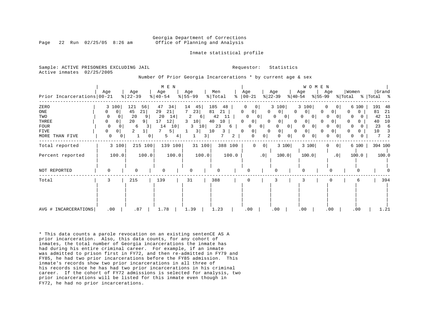#### Georgia Department of Corrections Page 22 Run 02/25/05 8:26 am Office of Planning and Analysis

Inmate statistical profile

|  | Sample: ACTIVE PRISONERS EXCLUDING JAIL |  | Requestor: Statistics |  |
|--|-----------------------------------------|--|-----------------------|--|
|  | Active inmates 02/25/2005               |  |                       |  |

#### Number Of Prior Georgia Incarcerations \* by current age & sex

| Prior Incarcerations   00-21                                                | Age                                         |                                                       | Age<br>$ 22-39 $                |                                         | M E N<br>Age<br>$\frac{1}{6}$   40-54        |                           | Age<br>$8 55-99$                   |                          | Men<br>% Total                                     | °                  | Age<br>$ 00 - 21$                                                                                   |                                                      | Age<br>$ 22-39 $                                                  | $ 40-54 $                                          | Age                                                                     | WOMEN<br>Age<br>$ 55-99 $                             |                                                                        | Women<br>% Total                                                           | %   Total % | Grand                             |                                      |
|-----------------------------------------------------------------------------|---------------------------------------------|-------------------------------------------------------|---------------------------------|-----------------------------------------|----------------------------------------------|---------------------------|------------------------------------|--------------------------|----------------------------------------------------|--------------------|-----------------------------------------------------------------------------------------------------|------------------------------------------------------|-------------------------------------------------------------------|----------------------------------------------------|-------------------------------------------------------------------------|-------------------------------------------------------|------------------------------------------------------------------------|----------------------------------------------------------------------------|-------------|-----------------------------------|--------------------------------------|
| ZERO<br>ONE<br>TWO<br><b>THREE</b><br><b>FOUR</b><br>FIVE<br>MORE THAN FIVE | 0<br>0<br>0<br>$\mathbf 0$<br>$\Omega$<br>0 | 3 100<br>$\circ$<br>$\Omega$<br>$\mathbf 0$<br>0<br>0 | 121<br>45<br>20<br>20<br>6<br>2 | 56<br>21<br>9<br>3<br>$\mathbf{1}$<br>0 | 47<br>29<br>21<br>20<br>12 <br>17<br>14<br>5 | 34<br>14<br>10<br>5 <br>4 | 14<br>23<br>7<br>2<br>3<br>10<br>3 | 45<br>6<br>10<br>3 <br>3 | 185<br>81<br>21<br>42<br>40<br>10<br>23<br>10<br>3 | 48<br>11<br>6<br>2 | $\mathbf 0$<br>$\mathbf{0}$<br>0<br>$\Omega$<br>0<br>$\mathbf{0}$<br>$\Omega$<br>0<br>0<br>$\Omega$ | 0 <br>$\Omega$<br>0 <sup>1</sup><br>0<br>0<br>0<br>0 | 3 100<br>0 <sup>1</sup><br>0 <sup>1</sup><br>0<br> 0 <br>$\Omega$ | $\Omega$<br>0 I<br>0<br> 0 <br>0<br>0 <sup>1</sup> | 3 100<br>0 <sup>1</sup><br>$\Omega$<br>O<br>01<br>0<br>O<br>0<br>O<br>0 | 0<br>$\Omega$<br>$\Omega$<br><sup>0</sup><br>$\Omega$ | $\circ$<br>0 <sup>1</sup><br>$\Omega$<br>0<br>0<br>0<br>$\overline{0}$ | 6 100<br>0<br>$\Omega$<br>$\Omega$<br>0<br>0<br>$\Omega$<br>O.<br>$\Omega$ | 0<br>0      | 191<br>81<br>42<br>40<br>23<br>10 | 48<br>21<br>-11<br>10<br>6<br>3<br>2 |
| Total reported                                                              |                                             | 3 100                                                 |                                 | 215 100                                 |                                              | 139 100                   |                                    | 31 100                   |                                                    | 388 100            | $\mathbf 0$                                                                                         | 0 <sup>1</sup>                                       |                                                                   | 3 100                                              | 3 100                                                                   | $\Omega$                                              | 0 <sup>1</sup>                                                         | 6 100                                                                      |             | 394 100                           |                                      |
| Percent reported                                                            |                                             | 100.0                                                 |                                 | 100.0                                   |                                              | 100.0                     |                                    | 100.0                    |                                                    | 100.0              |                                                                                                     | .0                                                   | 100.0                                                             |                                                    | 100.0                                                                   |                                                       | .0 <sub>1</sub>                                                        | 100.0                                                                      |             |                                   | 100.0                                |
| NOT REPORTED                                                                | $\Omega$                                    |                                                       | 0                               |                                         | 0                                            |                           | $\Omega$                           |                          | U                                                  |                    |                                                                                                     |                                                      | ∩                                                                 |                                                    | U                                                                       |                                                       |                                                                        |                                                                            |             |                                   |                                      |
| Total                                                                       | 3                                           |                                                       | 215                             |                                         | 139                                          |                           | 31                                 |                          | 388                                                |                    | 0                                                                                                   |                                                      | 3                                                                 |                                                    |                                                                         |                                                       |                                                                        | 6                                                                          |             |                                   | 394                                  |
| AVG # INCARCERATIONS                                                        |                                             | .00                                                   | .87                             |                                         | 1.78                                         |                           | 1.39                               |                          | 1.23                                               |                    | .00                                                                                                 |                                                      | .00                                                               |                                                    | .00                                                                     | .00                                                   |                                                                        | .00                                                                        |             |                                   | 1.21                                 |

\* This data counts a parole revocation on an existing sentenCE AS A prior incarceration. Also, this data counts, for any cohort of inmates, the total number of Georgia incarcerations the inmate has had during his entire criminal career. For example, if an inmate was admitted to prison first in FY72, and then re-admitted in FY79 and FY85, he had two prior incarcerations before the FY85 admission. This inmate's records show two prior incarcerations in all three of his records since he has had two prior incarcerations in his criminal career. If the cohort of FY72 admissions is selected for analysis, two prior incarcerations will be listed for this inmate even though in FY72, he had no prior incarcerations.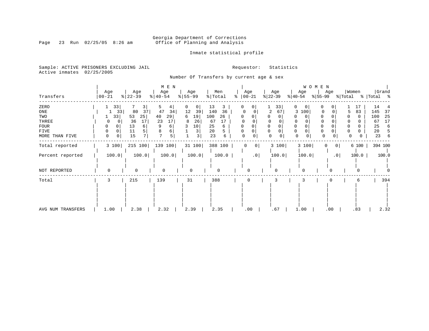# Georgia Department of Corrections<br>Page 23 Run 02/25/05 8:26 am 60ffice of Planning and Analysis Office of Planning and Analysis

Inmate statistical profile

Sample: ACTIVE PRISONERS EXCLUDING JAIL **Requestor:** Statistics Active inmates 02/25/2005

Number Of Transfers by current age & sex

| Transfers         | Age<br>$ 00 - 21$ | Age<br>$ 22-39 $ | M E N<br>Age<br>$8   40 - 54$ | Age<br>$8 55-99$ | Men<br>% Total | Age<br>$ 00 - 21$<br>ిక | Age<br>$ 22-39 $ | WOMEN<br>Age<br>$ 55-99$<br>$ 40-54 $ | Women<br>Age<br>% Total | Grand<br>%   Total %  |
|-------------------|-------------------|------------------|-------------------------------|------------------|----------------|-------------------------|------------------|---------------------------------------|-------------------------|-----------------------|
|                   |                   |                  |                               |                  |                |                         |                  |                                       |                         |                       |
| ZERO              | 33                | 3                | 5<br>4                        | 0<br>0           | 13<br>3        | 0<br>0                  | 33               | 0<br>0                                | 0                       | 14<br>17              |
| ONE               | 33                | 80<br>37         | 47<br>34                      | 12<br>39         | 140<br>36      | $\Omega$                | 2<br>67          | 3 100<br>0                            | 0                       | 83<br>145<br>37       |
| TWO               | 33                | 53<br>25         | 40<br>29                      | 19<br>6          | 100<br>26      | 0                       |                  | 0                                     |                         | 100<br>25<br>$\Omega$ |
| THREE             | 0                 | 17<br>36         | 23<br>17                      | 26<br>8          | 17<br>67       |                         |                  |                                       |                         | 17<br>67              |
| FOUR              | 0<br>0            | 13<br>6          |                               | 10               | 25<br>6        | $\Omega$<br>0           |                  | 0                                     |                         | 25<br>6               |
| FIVE              | 0                 | 11<br>5          | 8                             | 3                | 20<br>5        | 0                       |                  | 0                                     | $\Omega$                | 20<br>5               |
| MORE THAN FIVE    | $\mathbf 0$<br>0  | 15               | 5                             | 3                | 23<br>6        | 0<br>0                  | 0<br>0           | $\mathbf 0$                           | 0<br>0                  | 23<br>6<br>0          |
| Total reported    | 3 100             | 215 100          | 139 100                       | 31 100           | 388 100        | $\Omega$                | 3 100<br> 0      | 3 100                                 | 0 <br>0                 | 394 100<br>6 100      |
| Percent reported  | 100.0             | 100.0            | 100.0                         | 100.0            | 100.0          | .0                      | 100.0            | 100.0                                 | .0                      | 100.0<br>100.0        |
|                   |                   |                  |                               |                  |                |                         |                  |                                       |                         |                       |
| NOT REPORTED      | $\Omega$          | $\Omega$         | $\Omega$                      | $\Omega$         | U              | O                       |                  | 0                                     |                         |                       |
| Total             | 3                 | 215              | 139                           | 31               | 388            | 0                       | 3                |                                       |                         | 394<br>6              |
|                   |                   |                  |                               |                  |                |                         |                  |                                       |                         |                       |
|                   |                   |                  |                               |                  |                |                         |                  |                                       |                         |                       |
|                   |                   |                  |                               |                  |                |                         |                  |                                       |                         |                       |
|                   |                   |                  |                               |                  |                |                         |                  |                                       |                         |                       |
| AVG NUM TRANSFERS | 1.00              | 2.38             | 2.32                          | 2.39             | 2.35           | .00                     | .67              | 1.00                                  | .83<br>.00              | 2.32                  |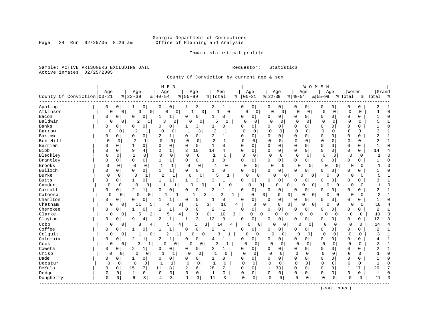# Georgia Department of Corrections<br>Page 24 Run 02/25/05 8:26 am 60ffice of Planning and Analysis Office of Planning and Analysis

Inmate statistical profile

Sample: ACTIVE PRISONERS EXCLUDING JAIL **Requestor:** Statistics

Active inmates 02/25/2005

County Of Conviction by current age & sex

|              |                            |          |              |                |                | M E N                          |                |                      |                |                |             |                            |                |             |             | WOMEN          |              |              |              |              |                |              |
|--------------|----------------------------|----------|--------------|----------------|----------------|--------------------------------|----------------|----------------------|----------------|----------------|-------------|----------------------------|----------------|-------------|-------------|----------------|--------------|--------------|--------------|--------------|----------------|--------------|
|              |                            | Age      |              | Age            |                | Age                            |                | Age                  |                | Men            |             | Age                        |                | Age         | Age         |                | Age          |              | Women        |              | Grand          |              |
|              | County Of Conviction 00-21 |          |              | $ 22-39$       |                | $8   40 - 54$                  | $8 55-99$      |                      | %   Total      |                | ႜ           | $ 00-21$                   | $ 22-39$       |             | $ 40-54$    |                | $ 55-99$     |              | % Total      |              | %   Total      | ಿ            |
| Appling      |                            | 0        | 0            | 1              | 0              | 0<br>0                         | 1              | 3                    | 2              | -1             | 0           | 0                          | 0              | 0           | 0           | 0              | 0            | 0            | 0            | 0            | 2              |              |
| Atkinson     |                            | 0        | 0            | 0              | 0 <sup>1</sup> | $\Omega$                       | $\mathbf 0$    | 3<br>-1              |                | $\Omega$       |             | 0 <sup>1</sup><br>$\Omega$ | 0              | $\mathbf 0$ | 0           | 0              | 0            | 0            | $\Omega$     | $\Omega$     |                | $\Omega$     |
| Bacon        |                            | 0        | 0            | 0              | 0              | 1                              | 0              | 0                    | 1              | 0              | 0           | 0                          | 0              | 0           | 0           | 0              | 0            | 0            | $\mathbf 0$  | $\Omega$     |                | $\Omega$     |
| Baldwin      |                            | 0        | $\mathbf{0}$ | $\overline{2}$ | 1              | 3                              | 2              | O<br>0               | 5              | 1              |             | $\Omega$<br>0              | $\Omega$       | 0           | $\mathbf 0$ | 0              | $\Omega$     | 0            | $\Omega$     | $\Omega$     |                | $\mathbf{1}$ |
| Banks        |                            | 0        | 0            | 0              | 0              | 0<br>$\Omega$                  |                | 3                    | 1              | 0              | 0           | 0                          | $\mathbf 0$    | $\mathbf 0$ | 0           | 0              | $\mathbf{0}$ | 0            | 0            | 0            |                | $\Omega$     |
| Barrow       |                            | $\Omega$ | 0            | 2              | -1             | $\Omega$<br>0                  | $\mathbf{1}$   | 3                    | 3              | $\mathbf{1}$   | $\mathbf 0$ | $\Omega$                   | $\Omega$       | 0           | $\mathbf 0$ | $\Omega$       | $\cap$       | $\Omega$     | $\Omega$     | 0            | ς              |              |
| Bartow       |                            | 0        | 0            | 0              | 0              | $\overline{2}$<br>1            | 0              | $\Omega$             | 2              | 1              | $\Omega$    | 0                          | $\Omega$       | $\Omega$    | 0           | $\mathbf 0$    | $\Omega$     | $\Omega$     | $\mathbf 0$  | $\Omega$     | $\overline{2}$ |              |
| Ben Hill     |                            | $\Omega$ | 0            | $\overline{c}$ | 1              | $\Omega$<br>$\Omega$           | $\Omega$       | $\mathbf 0$          | $\overline{c}$ | 1              | $\Omega$    | $\mathbf 0$                | $\Omega$       | $\mathbf 0$ | $\mathbf 0$ | 0              | $\Omega$     | $\Omega$     | $\Omega$     | 0            | 2              |              |
| Berrien      |                            | O        | 0            | $\mathbf{1}$   | $\Omega$       | $\Omega$<br>0                  | $\Omega$       | $\Omega$             | $\mathbf{1}$   | $\Omega$       | $\Omega$    | $\Omega$                   | $\mathbf 0$    | $\mathbf 0$ | $\Omega$    | $\mathbf 0$    | $\Omega$     | $\Omega$     | $\mathbf 0$  | $\Omega$     |                | $\Omega$     |
| Bibb         |                            | 0        | 0            | 9              | 4              | 2<br>$\mathbf{1}$              | 3              | 10                   | 14             | 4              | $\mathbf 0$ | 0                          | $\mathbf 0$    | $\mathbf 0$ | 0           | $\mathbf 0$    | $\mathbf{0}$ | 0            | $\mathbf 0$  | 0            | 14             |              |
| Bleckley     |                            | $\Omega$ | 0            | $\overline{1}$ | $\mathbf 0$    | $\mathbf 0$<br>$\mathbf 0$     | $\mathbf 0$    | $\mathbf 0$          | $\mathbf{1}$   | 0              | $\mathbf 0$ | $\mathbf 0$                | $\Omega$       | $\mathbf 0$ | $\mathbf 0$ | $\mathbf 0$    | $\Omega$     | $\mathbf 0$  | $\mathbf 0$  | $\mathbf{0}$ |                | $\Omega$     |
| Brantley     |                            | 0        | 0            | $\mathbf 0$    | $\mathbf 0$    | $\mathbf{1}$<br>1              | $\Omega$       | $\mathbf 0$          | $\mathbf 1$    | 0              | 0           | 0                          | $\mathbf 0$    | $\mathbf 0$ | 0           | $\mathbf 0$    | $\mathbf 0$  | 0            | $\mathbf 0$  | 0            |                | n            |
| Brooks       |                            | $\Omega$ | 0            | 0              | $\mathbf 0$    | $\mathbf{1}$<br>$\mathbf{1}$   | $\Omega$       | $\Omega$             | $\mathbf{1}$   | $\Omega$       |             | $\mathbf 0$<br>$\Omega$    | $\Omega$       | $\mathbf 0$ | O           | 0              | $\Omega$     | $\Omega$     | $\Omega$     | 0            |                |              |
| Bulloch      |                            | 0        | 0            | 0              | 0              | 1 <br>1                        | $\Omega$       | $\overline{0}$       | 1              | $\Omega$       | 0           | 0                          | $\mathbf 0$    | 0           | 0           | 0              | 0            | 0            | 0            | 0            |                |              |
| Burke        |                            | $\Omega$ | 0            | 3              | 1              | $\overline{2}$                 | 1              | $\Omega$<br>0        | 5              |                |             | $\Omega$<br>0              | 0              | $\Omega$    | 0           | 0              | 0            | 0            | $\Omega$     | $\Omega$     | 5              |              |
| <b>Butts</b> |                            | 0        | 0            | 1              | 0              | $\mathbf{1}$<br>1              |                | 3                    | 3              |                | $\Omega$    | $\mathbf 0$                | $\Omega$       | 0           | 0           | $\mathbf 0$    | 0            | 0            | $\mathbf 0$  | 0            | 3              |              |
| Camden       |                            | $\Omega$ | 0            | $\Omega$       | 0              |                                | 1              | $\Omega$<br>$\Omega$ |                | $\Omega$       |             | $\mathbf 0$<br>0           |                | 0<br>0      | $\Omega$    | 0 <sup>1</sup> | 0            | 0            | $\Omega$     | $\Omega$     |                | $\Omega$     |
| Carroll      |                            | 0        | 0            | 2              |                | 0<br>0                         | $\Omega$       | $\mathbf{0}$         | 2              |                | $\mathbf 0$ | 0                          | 0              | $\mathbf 0$ | 0           | $\mathbf 0$    | 0            | 0            | $\mathbf{0}$ | 0            | 2              |              |
| Catoosa      |                            | 0        | 0            | 0              | 0              | 1                              | 1              | 1                    | 3              | 2<br>1         |             | 0                          | 0              | 0<br>0      | 0           | 0              | 0            | 0            | 0            | 0            | 2              |              |
| Charlton     |                            | 0        | 0            | 0              | 0              | 1<br>1                         | $\Omega$       | 0                    | 1              | 0              | 0           | 0                          | 0              | 0           | 0           | 0              | 0            | 0            | 0            | 0            |                | $\Omega$     |
| Chatham      |                            | 0        | $\mathbf 0$  | 11             | 5              | 4                              | 3              | 1                    | 3              | 16             | 4           | $\mathbf 0$                | $\overline{0}$ | 0<br>0      | $\Omega$    | 0 <sup>1</sup> | 0            | 0            | $\Omega$     | 0            | 16             |              |
| Cherokee     |                            | 0        | 0            |                | $\Omega$       | 1                              | 0              | 0                    | 2              | $\mathbf{1}$   | 0           | 0                          | $\Omega$       | $\mathsf 0$ | 0           | 0              | 0            | 0            | $\Omega$     | 0            | $\overline{2}$ |              |
| Clarke       |                            | 0        | 0            | 5              | 2              | 5                              | 4              | 0                    | 0              | 10             | 3           | 0                          | 0              | 0<br>U      | $\Omega$    | 0              | Ω            | 0            | $\Omega$     | $\mathbf 0$  | 10             | 3            |
| Clayton      |                            | 0        | 0            | 9              | 4              | $\mathbf{1}$<br>2              |                | 3                    | 12             | 3              | 0           | 0                          | 0              | 0           | 0           | 0              | 0            | 0            | 0            | 0            | 12             | 3            |
| Cobb         |                            | 0        | $\mathbf 0$  | 8              | 4              | 5                              | 4              |                      | 3              | 14<br>4        |             | 0<br>0                     | 0              | 0           | $\Omega$    | 0              | $\Omega$     | $\mathbf 0$  | $\mathbf 0$  | 0            | 14             | 4            |
| Coffee       |                            | 0        | 0            | 1              | 0              | $\mathbf{1}$<br>1              | $\mathbf 0$    | $\mathbf 0$          | 2              | $\overline{1}$ | $\mathbf 0$ | 0                          | $\mathbf 0$    | 0           | 0           | $\mathbf 0$    | $\mathbf 0$  | 0            | $\mathbf 0$  | 0            | $\overline{c}$ | $\mathbf{1}$ |
| Colquit      |                            | 0        | 0            |                | 0              | $\overline{2}$                 | $\mathbf{1}$   | 0                    | $\mathbf 0$    | 3              |             | $\Omega$<br>0              | $\mathbf 0$    | 0           | $\mathbf 0$ | $\mathbf 0$    | 0            | $\mathbf 0$  | 0            | $\mathbf 0$  | 3              | $\mathbf{1}$ |
| Columbia     |                            | 0        | 0            | $\overline{2}$ |                | $\overline{a}$<br>$\mathbf{1}$ | $\Omega$       | 0                    | 4              | 1              | 0           | $\mathbf 0$                | 0              | 0           | 0           | 0              | $\mathbf{0}$ | 0            | 0            | 0            |                |              |
| Cook         |                            | 0        | 0            | 3              | $\mathbf{1}$   | $\Omega$                       | 0              | 0<br>$\Omega$        | २              | 1              |             | $\Omega$<br>$\mathbf 0$    | ∩              | 0           | $\Omega$    | 0              | $\Omega$     | 0            | $\Omega$     | $\Omega$     | 3              | $\mathbf{1}$ |
| Coweta       |                            | 0        | 0            | 2              |                | 0<br>0                         | 0              | 0                    | 2              | 1              | 0           | 0                          | 0              | 0           | 0           | 0              | 0            | 0            | 0            | 0            | 2              |              |
| Crisp        |                            | 0        | 0            | 0              | 0              |                                | 0<br>1         | 0                    | -1             | 0              | $\mathbf 0$ | 0                          | $\mathbf 0$    | 0           | $\mathbf 0$ | 0              | $\Omega$     | 0            | $\mathbf 0$  | 0            |                | $\Omega$     |
| Dade         |                            | 0        | 0            | 1              | 0              | $\Omega$<br>0                  | $\Omega$       | 0                    | 1              | 0              | $\Omega$    | 0                          | $\mathbf 0$    | $\mathbf 0$ | 0           | 0              | $\mathbf 0$  | 0            | $\mathbf 0$  | 0            |                | $\Omega$     |
| Decatur      |                            | $\Omega$ | 0            | $\Omega$       | 0              | 1                              | 0              | 0                    | -1             | 0              | $\Omega$    | $\mathbf 0$                | 0              | 0           | $\mathbf 0$ | 0              | $\mathbf 0$  | $\Omega$     | 0            | 0            |                | $\Omega$     |
| DeKalb       |                            | U        | 0            | 15             | 7              | 8<br>11                        | $\overline{2}$ | 6                    | 28             |                | $\Omega$    | $\mathbf 0$                | $\mathbf{1}$   | 33          | $\mathbf 0$ | $\mathbf 0$    | $\mathbf 0$  | <sup>0</sup> | $\mathbf{1}$ | 17           | 29             |              |
| Dodge        |                            | 0        | 0            | $\mathbf{1}$   | 0              | $\mathbf 0$<br>0               | 0              | 0                    | $\mathbf 1$    | 0              | 0           | 0                          | 0              | 0           | 0           | $\mathbf 0$    | $\Omega$     | $\mathbf 0$  | $\Omega$     | 0            |                | $\Omega$     |
| Dougherty    |                            | $\Omega$ | 0            | 6              | 3              | 3<br>4                         | $\mathbf{1}$   | 3                    | 11             | 3              | $\mathbf 0$ | 0                          | 0              | 0           | $\mathbf 0$ | 0              | $\Omega$     | 0            | 0            | $\Omega$     | 11             | 3            |
|              |                            |          |              |                |                |                                |                |                      |                |                |             |                            |                |             |             |                |              |              |              |              |                |              |

(continued)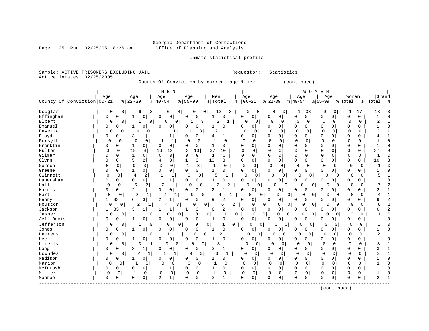# Georgia Department of Corrections<br>Office of Planning and Analysis

Page 25 Run  $02/25/05$  8:26 am

### Inmate statistical profile

Sample: ACTIVE PRISONERS EXCLUDING JAIL **Requestor:** Statistics Active inmates 02/25/2005

County Of Conviction by current age & sex (continued)

| Age<br>Age<br>Women<br>Grand<br>Age<br>Age<br>Age<br>Men<br>Age<br>Age<br>Age<br>$ 22-39$<br>$8155 - 99$<br>$ 22-39$<br>County Of Conviction 00-21<br>$8   40 - 54$<br>% Total<br>$00 - 21$<br>$8 40-54$<br>$8155 - 99$<br>% Total<br>%   Total<br>್ಠಿ<br>နွ<br>12<br>33<br>0<br>0<br>6<br>$\overline{3}$<br>0<br>0<br>3<br>0<br>0<br>0<br>0<br>0<br>17<br>13<br>6<br>4  <br><sup>0</sup><br>1<br>0<br>$\mathbf 0$<br>0<br>0<br>0<br>$\mathbf 0$<br>$\mathbf 0$<br>$\Omega$<br>$\mathbf 0$<br>O<br>0<br>0<br>0<br>$\mathbf 0$<br>0<br>0<br>1<br>0<br>0<br>1<br>2<br>0<br>2<br>0<br>0<br>0<br>$\overline{\mathbf{3}}$<br>0<br>0<br>0<br>0<br>0<br>$\Omega$<br>$\Omega$<br>$\mathbf{0}$<br>0<br>$\mathbf{1}$<br>1<br>0<br>0<br>0<br>0<br>$\Omega$<br>$\mathbf 0$<br>0<br>0<br>$\Omega$<br>$\Omega$<br>0<br>0<br>0<br>0<br>$\Omega$<br>$\Omega$<br>1<br>0<br>0<br>$\Omega$<br>1<br>$\Omega$<br>$\overline{2}$<br>$\mathbf 0$<br>$\mathbf 0$<br>$\overline{2}$<br>0<br>0<br>0<br>$\Omega$<br>0<br>0<br>$\Omega$<br>0<br>0<br>$\Omega$<br>0<br>0<br>1<br>-1<br>3<br>Floyd<br>$\mathbf 0$<br>3<br>0<br>0<br>0<br>$\Omega$<br>$\Omega$<br>$\mathbf 0$<br>0<br>1<br>0<br>4<br>0<br>0<br>0<br>$\Omega$<br>0<br>1<br>$\overline{0}$<br>0<br>$\Omega$<br>$\Omega$<br>$\mathbf 0$<br>$\Omega$<br>$\Omega$<br>$\Omega$<br>$\Omega$<br>0<br>$\Omega$<br>$\Omega$<br>$\Omega$<br>$\Omega$<br>1<br>$\Omega$<br>$\Omega$<br>$\Omega$<br>0<br>$\Omega$<br>1<br>O<br>0<br>$\Omega$<br>$\Omega$<br>0<br>$\Omega$<br>0<br>$\Omega$<br>$\Omega$<br>0<br>$\Omega$<br>1<br>$\Omega$<br>$\Omega$<br>$\Omega$<br>$\Omega$<br>$\Omega$<br>18<br>37<br>37<br>$\Omega$<br>8<br>16<br>12<br>3<br>10<br>10<br>$\Omega$<br>$\Omega$<br>$\Omega$<br>$\mathbf{0}$<br>$\mathbf 0$<br>$\Omega$<br>$\mathbf 0$<br>$\mathbf 0$<br>0<br>$\Omega$<br>$\Omega$<br>q<br>$\Omega$<br>$\mathbf 0$<br>0<br>$\mathsf{O}$<br>$\mathsf{O}$<br>$\Omega$<br>$\mathsf 0$<br>$\mathbf 0$<br>$\mathbf{1}$<br>$\Omega$<br>$\mathbf{1}$<br>$\mathbf 0$<br>$\mathbf 0$<br>0<br>0<br>0<br>0<br>0<br>$\Omega$<br>$\Omega$<br>1<br>3<br>5<br>2 <br>3<br>10<br>0<br>0<br>0<br>0<br>$\mathbf 0$<br>3<br>$\Omega$<br>$\Omega$<br>$\mathbf{0}$<br>0<br>0<br>0<br>10<br>4<br>0<br>Gordon<br>$\mathbf 0$<br>3<br>$\Omega$<br>$\mathbf 0$<br>$\Omega$<br>0<br>$\mathbf 0$<br>$\mathbf{1}$<br>$\mathbf 0$<br>$\mathbf 0$<br>$\mathbf 0$<br>0<br>$\mathbf 0$<br>$\mathbf 0$<br>0<br>$\mathbf 0$<br>$\mathbf{1}$<br>0<br>0<br>0<br>Greene<br>0<br>1<br>0<br>$\mathbf 0$<br>$\mathbf{1}$<br>$\Omega$<br>0<br>0<br>$\mathbf 0$<br>$\circ$<br>0<br>0<br>$\Omega$<br>$\Omega$<br>$\Omega$<br>$\Omega$<br>$\Omega$<br>0<br>0<br>0<br>Gwinnett<br>$\mathbf 0$<br>5<br>0<br>4<br>2<br>1<br>$\Omega$<br>0<br>5<br>0<br>0<br>$\Omega$<br>O<br>$\Omega$<br>0 <sup>1</sup><br>0<br>$\mathbf{1}$<br>0<br>$\mathbf{0}$<br>$\Omega$<br>$\Omega$<br>0<br>0<br>0<br>$\Omega$<br>1<br>$\Omega$<br>0<br>0<br>0<br>0<br>$\Omega$<br>0<br>0<br>$\mathbf{1}$<br>O<br>$\Omega$<br>$\Omega$<br><sup>0</sup><br>5<br>$\mathbf 0$<br>$\overline{2}$<br>7<br>7<br>0<br>2<br>$\Omega$<br>0<br>2<br>U<br>0<br><sup>0</sup><br>0<br>U<br>0<br>U<br>$\overline{0}$<br>0<br>$\Omega$<br>Harris<br>2<br>2<br>0<br>0<br>$\Omega$<br>$\mathbf 0$<br>2<br>0<br>$\mathbf 0$<br>$\overline{0}$<br>0<br>0<br>$1\vert$<br>$\Omega$<br>$\Omega$<br>0<br>0<br>$\Omega$<br>$\Omega$<br>0<br>2<br>Hart<br>0<br>$\overline{2}$<br>0<br>$\circ$<br>$\mathbf 0$<br>$\Omega$<br>1<br>1<br>0<br>O<br>0<br>0<br>0<br>$\Omega$<br>0<br>$\Omega$<br>$\Omega$<br>4<br>4<br>33<br>2<br>$\overline{2}$<br>3<br>0<br>0<br>9<br>0<br>0<br>0<br>0<br>0<br>0<br>9<br>Henry<br>1<br>6<br>1<br>$\Omega$<br>0<br>0<br>$\Omega$<br>$\Omega$<br>$\overline{2}$<br>6<br>$\Omega$<br> 0 <br>Houston<br>0<br>3<br>$\Omega$<br>0<br>$\overline{2}$<br>0<br>0<br>0<br>$\Omega$<br>$\Omega$<br>6<br>1<br>4<br>0<br><sup>0</sup><br>$\Omega$<br>0<br>33<br>3<br>3<br>2<br>$\mathbf 0$<br>0<br>2<br>1<br>1<br>1<br>6<br>$\Omega$<br>0<br>0<br>0<br>6<br>$\Omega$<br>0<br>$\Omega$<br>-1<br>1<br>0<br>Jasper<br>0<br>0<br>0<br>0<br>0<br>0<br>0<br>1<br>0<br>0<br>0<br>$\Omega$<br>0<br>0<br>$\Omega$<br>0<br>$\Omega$<br>0<br>0<br>$\mathbf 0$<br>$\mathbf 0$<br>0<br>$\mathbf 0$<br>$\Omega$<br>0<br>$\Omega$<br>O<br>$\Omega$<br>$\Omega$<br>0<br>$\Omega$<br>0<br>1<br>$\Omega$<br>0<br>$\Omega$<br>$\Omega$<br>-1<br>Jefferson<br>$\mathbf 0$<br>$\overline{0}$<br>0<br>0<br>0<br>0<br>0<br>0<br>0<br>$\Omega$<br>$\Omega$<br>0<br>$\mathbf{1}$<br>0<br>O<br>$\Omega$<br>0<br>$\Omega$<br>0<br>0<br>$\mathbf{0}$<br>0<br>Jones<br>$\Omega$<br>$\Omega$<br>$\Omega$<br>$\mathbf 0$<br>$\overline{0}$<br>$\Omega$<br>0<br>0<br>0<br>$\Omega$<br>$\Omega$<br>$\mathbf{1}$<br>$\Omega$<br>0<br>0<br>1<br>0<br>$\Omega$<br>0<br>$\Omega$<br>$\overline{0}$<br>0<br>0<br>2<br>0<br>$\mathbf{0}$<br>0<br>0<br>$\Omega$<br>0<br>$\Omega$<br>0<br>$\Omega$<br>2<br>Laurens<br>1<br>1<br>$\mathbf{1}$<br>1<br>Lee<br>$\mathbf 0$<br>0<br>$\mathbf 0$<br>0<br>$\overline{0}$<br>0<br>0<br>0<br>$\Omega$<br>0<br>0<br>0<br>0<br>O<br>0<br>0<br>0<br>0<br>Liberty<br>3<br>$\mathbf 0$<br>$\Omega$<br>$\Omega$<br>$\mathbf 0$<br>$\mathbf 0$<br>3<br>0<br>$\Omega$<br>3<br>1<br>$\Omega$<br>0<br>0<br>$\overline{0}$<br>0<br>0<br>0<br>0<br>0<br>0<br>Long<br>$\mathbf 0$<br>$\mathbf{1}$<br>0<br>0<br>3<br>0<br>$\Omega$<br>$\overline{0}$<br>0<br>0<br>ζ<br>0<br>3<br>$\Omega$<br>$\Omega$<br>0<br>$\Omega$<br>0<br>0<br>-1<br>Lowndes<br>$\mathbf 0$<br>$\overline{c}$<br>ς<br>$\mathbf 0$<br>$\mathbf 0$<br>$\mathbf 0$<br>$\Omega$<br>$\mathbf 0$<br>$\Omega$<br>O<br>0<br>$\Omega$<br>$\Omega$<br>$\mathbf 0$<br>0<br>$\Omega$<br>3<br>1<br>1<br>Madison<br>$\Omega$<br>0<br>0<br>0<br>0<br>0<br>0<br>$\Omega$<br>$\Omega$<br>0<br>$\Omega$<br>0<br>0<br>$\Omega$<br>0<br>$\Omega$<br>$\Omega$<br>0<br>$\mathbf 0$<br>$\Omega$<br>$\Omega$<br>$\Omega$<br>$\Omega$<br>$\Omega$<br>0<br>-1<br>0<br>$\cap$<br>0<br>$\Omega$<br>$\Omega$<br>$\Omega$<br>$\Omega$<br>$\Omega$<br>0<br>0<br>$\Omega$<br>McIntosh<br>$\mathbf 0$<br>$\mathbf 0$<br>$\mathbf 0$<br>$\mathbf 0$<br>0<br>0<br>$\Omega$<br>$\mathbf{0}$<br>$\Omega$<br>0<br>$\mathbf 0$<br>0<br>$\mathbf{1}$<br>0<br>1<br>0<br>0<br>0<br>0<br>Miller<br>$\mathbf 0$<br>0<br>$\mathbf 0$<br>0<br>$\mathbf 0$<br>$\mathbf 0$<br>$\mathbf 0$<br>$\mathbf{1}$<br>$\Omega$<br>0<br>$\mathbf 0$<br>$\mathbf{0}$<br>0<br>$\mathbf 0$<br>0<br>1<br>0<br>0<br>0<br>$\Omega$<br>0<br>$\mathbf 0$<br>$\overline{2}$<br>1<br>$\Omega$<br>$\mathbf{0}$<br>2<br>$\Omega$<br>0<br>$\mathbf 0$<br>$\Omega$<br>$\Omega$<br>$\mathbf 0$<br>0<br>2<br>0<br>$\Omega$<br>$\Omega$<br>0<br>0<br>$\mathbf{1}$ |            |  |  | M E N |  |  |  |  | WOMEN |  |  |  |
|----------------------------------------------------------------------------------------------------------------------------------------------------------------------------------------------------------------------------------------------------------------------------------------------------------------------------------------------------------------------------------------------------------------------------------------------------------------------------------------------------------------------------------------------------------------------------------------------------------------------------------------------------------------------------------------------------------------------------------------------------------------------------------------------------------------------------------------------------------------------------------------------------------------------------------------------------------------------------------------------------------------------------------------------------------------------------------------------------------------------------------------------------------------------------------------------------------------------------------------------------------------------------------------------------------------------------------------------------------------------------------------------------------------------------------------------------------------------------------------------------------------------------------------------------------------------------------------------------------------------------------------------------------------------------------------------------------------------------------------------------------------------------------------------------------------------------------------------------------------------------------------------------------------------------------------------------------------------------------------------------------------------------------------------------------------------------------------------------------------------------------------------------------------------------------------------------------------------------------------------------------------------------------------------------------------------------------------------------------------------------------------------------------------------------------------------------------------------------------------------------------------------------------------------------------------------------------------------------------------------------------------------------------------------------------------------------------------------------------------------------------------------------------------------------------------------------------------------------------------------------------------------------------------------------------------------------------------------------------------------------------------------------------------------------------------------------------------------------------------------------------------------------------------------------------------------------------------------------------------------------------------------------------------------------------------------------------------------------------------------------------------------------------------------------------------------------------------------------------------------------------------------------------------------------------------------------------------------------------------------------------------------------------------------------------------------------------------------------------------------------------------------------------------------------------------------------------------------------------------------------------------------------------------------------------------------------------------------------------------------------------------------------------------------------------------------------------------------------------------------------------------------------------------------------------------------------------------------------------------------------------------------------------------------------------------------------------------------------------------------------------------------------------------------------------------------------------------------------------------------------------------------------------------------------------------------------------------------------------------------------------------------------------------------------------------------------------------------------------------------------------------------------------------------------------------------------------------------------------------------------------------------------------------------------------------------------------------------------------------------------------------------------------------------------------------------------------------------------------------------------------------------------------------------------------------------------------------------------------------------------------------------------------------------------------------------------------------------------------------------------------------------------------------------------------------------------------------------------------------------------------------------------------------------------------------------------------------------------------------------------------------------------------------------------------------------------------------------------------------------------------------------------------------------------------------------------------------------------------------------------------------------------------------------------------------------------------------------------------------------------------------------------------------------------------------------------------------------------------------------------------------------------------------------------------------------------------------------------------------------------------------------------------------------------------------------------------------------------------------------------------------------------------------------------------------------------------------------------------------------------------------------------------------------------------------------------------------------------------------------------------------------------------------------------------------------|------------|--|--|-------|--|--|--|--|-------|--|--|--|
|                                                                                                                                                                                                                                                                                                                                                                                                                                                                                                                                                                                                                                                                                                                                                                                                                                                                                                                                                                                                                                                                                                                                                                                                                                                                                                                                                                                                                                                                                                                                                                                                                                                                                                                                                                                                                                                                                                                                                                                                                                                                                                                                                                                                                                                                                                                                                                                                                                                                                                                                                                                                                                                                                                                                                                                                                                                                                                                                                                                                                                                                                                                                                                                                                                                                                                                                                                                                                                                                                                                                                                                                                                                                                                                                                                                                                                                                                                                                                                                                                                                                                                                                                                                                                                                                                                                                                                                                                                                                                                                                                                                                                                                                                                                                                                                                                                                                                                                                                                                                                                                                                                                                                                                                                                                                                                                                                                                                                                                                                                                                                                                                                                                                                                                                                                                                                                                                                                                                                                                                                                                                                                                                                                                                                                                                                                                                                                                                                                                                                                                                                                                                                                                                                              |            |  |  |       |  |  |  |  |       |  |  |  |
|                                                                                                                                                                                                                                                                                                                                                                                                                                                                                                                                                                                                                                                                                                                                                                                                                                                                                                                                                                                                                                                                                                                                                                                                                                                                                                                                                                                                                                                                                                                                                                                                                                                                                                                                                                                                                                                                                                                                                                                                                                                                                                                                                                                                                                                                                                                                                                                                                                                                                                                                                                                                                                                                                                                                                                                                                                                                                                                                                                                                                                                                                                                                                                                                                                                                                                                                                                                                                                                                                                                                                                                                                                                                                                                                                                                                                                                                                                                                                                                                                                                                                                                                                                                                                                                                                                                                                                                                                                                                                                                                                                                                                                                                                                                                                                                                                                                                                                                                                                                                                                                                                                                                                                                                                                                                                                                                                                                                                                                                                                                                                                                                                                                                                                                                                                                                                                                                                                                                                                                                                                                                                                                                                                                                                                                                                                                                                                                                                                                                                                                                                                                                                                                                                              |            |  |  |       |  |  |  |  |       |  |  |  |
|                                                                                                                                                                                                                                                                                                                                                                                                                                                                                                                                                                                                                                                                                                                                                                                                                                                                                                                                                                                                                                                                                                                                                                                                                                                                                                                                                                                                                                                                                                                                                                                                                                                                                                                                                                                                                                                                                                                                                                                                                                                                                                                                                                                                                                                                                                                                                                                                                                                                                                                                                                                                                                                                                                                                                                                                                                                                                                                                                                                                                                                                                                                                                                                                                                                                                                                                                                                                                                                                                                                                                                                                                                                                                                                                                                                                                                                                                                                                                                                                                                                                                                                                                                                                                                                                                                                                                                                                                                                                                                                                                                                                                                                                                                                                                                                                                                                                                                                                                                                                                                                                                                                                                                                                                                                                                                                                                                                                                                                                                                                                                                                                                                                                                                                                                                                                                                                                                                                                                                                                                                                                                                                                                                                                                                                                                                                                                                                                                                                                                                                                                                                                                                                                                              | Douglas    |  |  |       |  |  |  |  |       |  |  |  |
|                                                                                                                                                                                                                                                                                                                                                                                                                                                                                                                                                                                                                                                                                                                                                                                                                                                                                                                                                                                                                                                                                                                                                                                                                                                                                                                                                                                                                                                                                                                                                                                                                                                                                                                                                                                                                                                                                                                                                                                                                                                                                                                                                                                                                                                                                                                                                                                                                                                                                                                                                                                                                                                                                                                                                                                                                                                                                                                                                                                                                                                                                                                                                                                                                                                                                                                                                                                                                                                                                                                                                                                                                                                                                                                                                                                                                                                                                                                                                                                                                                                                                                                                                                                                                                                                                                                                                                                                                                                                                                                                                                                                                                                                                                                                                                                                                                                                                                                                                                                                                                                                                                                                                                                                                                                                                                                                                                                                                                                                                                                                                                                                                                                                                                                                                                                                                                                                                                                                                                                                                                                                                                                                                                                                                                                                                                                                                                                                                                                                                                                                                                                                                                                                                              | Effingham  |  |  |       |  |  |  |  |       |  |  |  |
|                                                                                                                                                                                                                                                                                                                                                                                                                                                                                                                                                                                                                                                                                                                                                                                                                                                                                                                                                                                                                                                                                                                                                                                                                                                                                                                                                                                                                                                                                                                                                                                                                                                                                                                                                                                                                                                                                                                                                                                                                                                                                                                                                                                                                                                                                                                                                                                                                                                                                                                                                                                                                                                                                                                                                                                                                                                                                                                                                                                                                                                                                                                                                                                                                                                                                                                                                                                                                                                                                                                                                                                                                                                                                                                                                                                                                                                                                                                                                                                                                                                                                                                                                                                                                                                                                                                                                                                                                                                                                                                                                                                                                                                                                                                                                                                                                                                                                                                                                                                                                                                                                                                                                                                                                                                                                                                                                                                                                                                                                                                                                                                                                                                                                                                                                                                                                                                                                                                                                                                                                                                                                                                                                                                                                                                                                                                                                                                                                                                                                                                                                                                                                                                                                              | Elbert     |  |  |       |  |  |  |  |       |  |  |  |
|                                                                                                                                                                                                                                                                                                                                                                                                                                                                                                                                                                                                                                                                                                                                                                                                                                                                                                                                                                                                                                                                                                                                                                                                                                                                                                                                                                                                                                                                                                                                                                                                                                                                                                                                                                                                                                                                                                                                                                                                                                                                                                                                                                                                                                                                                                                                                                                                                                                                                                                                                                                                                                                                                                                                                                                                                                                                                                                                                                                                                                                                                                                                                                                                                                                                                                                                                                                                                                                                                                                                                                                                                                                                                                                                                                                                                                                                                                                                                                                                                                                                                                                                                                                                                                                                                                                                                                                                                                                                                                                                                                                                                                                                                                                                                                                                                                                                                                                                                                                                                                                                                                                                                                                                                                                                                                                                                                                                                                                                                                                                                                                                                                                                                                                                                                                                                                                                                                                                                                                                                                                                                                                                                                                                                                                                                                                                                                                                                                                                                                                                                                                                                                                                                              | Emanuel    |  |  |       |  |  |  |  |       |  |  |  |
|                                                                                                                                                                                                                                                                                                                                                                                                                                                                                                                                                                                                                                                                                                                                                                                                                                                                                                                                                                                                                                                                                                                                                                                                                                                                                                                                                                                                                                                                                                                                                                                                                                                                                                                                                                                                                                                                                                                                                                                                                                                                                                                                                                                                                                                                                                                                                                                                                                                                                                                                                                                                                                                                                                                                                                                                                                                                                                                                                                                                                                                                                                                                                                                                                                                                                                                                                                                                                                                                                                                                                                                                                                                                                                                                                                                                                                                                                                                                                                                                                                                                                                                                                                                                                                                                                                                                                                                                                                                                                                                                                                                                                                                                                                                                                                                                                                                                                                                                                                                                                                                                                                                                                                                                                                                                                                                                                                                                                                                                                                                                                                                                                                                                                                                                                                                                                                                                                                                                                                                                                                                                                                                                                                                                                                                                                                                                                                                                                                                                                                                                                                                                                                                                                              | Fayette    |  |  |       |  |  |  |  |       |  |  |  |
|                                                                                                                                                                                                                                                                                                                                                                                                                                                                                                                                                                                                                                                                                                                                                                                                                                                                                                                                                                                                                                                                                                                                                                                                                                                                                                                                                                                                                                                                                                                                                                                                                                                                                                                                                                                                                                                                                                                                                                                                                                                                                                                                                                                                                                                                                                                                                                                                                                                                                                                                                                                                                                                                                                                                                                                                                                                                                                                                                                                                                                                                                                                                                                                                                                                                                                                                                                                                                                                                                                                                                                                                                                                                                                                                                                                                                                                                                                                                                                                                                                                                                                                                                                                                                                                                                                                                                                                                                                                                                                                                                                                                                                                                                                                                                                                                                                                                                                                                                                                                                                                                                                                                                                                                                                                                                                                                                                                                                                                                                                                                                                                                                                                                                                                                                                                                                                                                                                                                                                                                                                                                                                                                                                                                                                                                                                                                                                                                                                                                                                                                                                                                                                                                                              |            |  |  |       |  |  |  |  |       |  |  |  |
|                                                                                                                                                                                                                                                                                                                                                                                                                                                                                                                                                                                                                                                                                                                                                                                                                                                                                                                                                                                                                                                                                                                                                                                                                                                                                                                                                                                                                                                                                                                                                                                                                                                                                                                                                                                                                                                                                                                                                                                                                                                                                                                                                                                                                                                                                                                                                                                                                                                                                                                                                                                                                                                                                                                                                                                                                                                                                                                                                                                                                                                                                                                                                                                                                                                                                                                                                                                                                                                                                                                                                                                                                                                                                                                                                                                                                                                                                                                                                                                                                                                                                                                                                                                                                                                                                                                                                                                                                                                                                                                                                                                                                                                                                                                                                                                                                                                                                                                                                                                                                                                                                                                                                                                                                                                                                                                                                                                                                                                                                                                                                                                                                                                                                                                                                                                                                                                                                                                                                                                                                                                                                                                                                                                                                                                                                                                                                                                                                                                                                                                                                                                                                                                                                              | Forsyth    |  |  |       |  |  |  |  |       |  |  |  |
|                                                                                                                                                                                                                                                                                                                                                                                                                                                                                                                                                                                                                                                                                                                                                                                                                                                                                                                                                                                                                                                                                                                                                                                                                                                                                                                                                                                                                                                                                                                                                                                                                                                                                                                                                                                                                                                                                                                                                                                                                                                                                                                                                                                                                                                                                                                                                                                                                                                                                                                                                                                                                                                                                                                                                                                                                                                                                                                                                                                                                                                                                                                                                                                                                                                                                                                                                                                                                                                                                                                                                                                                                                                                                                                                                                                                                                                                                                                                                                                                                                                                                                                                                                                                                                                                                                                                                                                                                                                                                                                                                                                                                                                                                                                                                                                                                                                                                                                                                                                                                                                                                                                                                                                                                                                                                                                                                                                                                                                                                                                                                                                                                                                                                                                                                                                                                                                                                                                                                                                                                                                                                                                                                                                                                                                                                                                                                                                                                                                                                                                                                                                                                                                                                              | Franklin   |  |  |       |  |  |  |  |       |  |  |  |
|                                                                                                                                                                                                                                                                                                                                                                                                                                                                                                                                                                                                                                                                                                                                                                                                                                                                                                                                                                                                                                                                                                                                                                                                                                                                                                                                                                                                                                                                                                                                                                                                                                                                                                                                                                                                                                                                                                                                                                                                                                                                                                                                                                                                                                                                                                                                                                                                                                                                                                                                                                                                                                                                                                                                                                                                                                                                                                                                                                                                                                                                                                                                                                                                                                                                                                                                                                                                                                                                                                                                                                                                                                                                                                                                                                                                                                                                                                                                                                                                                                                                                                                                                                                                                                                                                                                                                                                                                                                                                                                                                                                                                                                                                                                                                                                                                                                                                                                                                                                                                                                                                                                                                                                                                                                                                                                                                                                                                                                                                                                                                                                                                                                                                                                                                                                                                                                                                                                                                                                                                                                                                                                                                                                                                                                                                                                                                                                                                                                                                                                                                                                                                                                                                              | Fulton     |  |  |       |  |  |  |  |       |  |  |  |
|                                                                                                                                                                                                                                                                                                                                                                                                                                                                                                                                                                                                                                                                                                                                                                                                                                                                                                                                                                                                                                                                                                                                                                                                                                                                                                                                                                                                                                                                                                                                                                                                                                                                                                                                                                                                                                                                                                                                                                                                                                                                                                                                                                                                                                                                                                                                                                                                                                                                                                                                                                                                                                                                                                                                                                                                                                                                                                                                                                                                                                                                                                                                                                                                                                                                                                                                                                                                                                                                                                                                                                                                                                                                                                                                                                                                                                                                                                                                                                                                                                                                                                                                                                                                                                                                                                                                                                                                                                                                                                                                                                                                                                                                                                                                                                                                                                                                                                                                                                                                                                                                                                                                                                                                                                                                                                                                                                                                                                                                                                                                                                                                                                                                                                                                                                                                                                                                                                                                                                                                                                                                                                                                                                                                                                                                                                                                                                                                                                                                                                                                                                                                                                                                                              | Gilmer     |  |  |       |  |  |  |  |       |  |  |  |
|                                                                                                                                                                                                                                                                                                                                                                                                                                                                                                                                                                                                                                                                                                                                                                                                                                                                                                                                                                                                                                                                                                                                                                                                                                                                                                                                                                                                                                                                                                                                                                                                                                                                                                                                                                                                                                                                                                                                                                                                                                                                                                                                                                                                                                                                                                                                                                                                                                                                                                                                                                                                                                                                                                                                                                                                                                                                                                                                                                                                                                                                                                                                                                                                                                                                                                                                                                                                                                                                                                                                                                                                                                                                                                                                                                                                                                                                                                                                                                                                                                                                                                                                                                                                                                                                                                                                                                                                                                                                                                                                                                                                                                                                                                                                                                                                                                                                                                                                                                                                                                                                                                                                                                                                                                                                                                                                                                                                                                                                                                                                                                                                                                                                                                                                                                                                                                                                                                                                                                                                                                                                                                                                                                                                                                                                                                                                                                                                                                                                                                                                                                                                                                                                                              | Glynn      |  |  |       |  |  |  |  |       |  |  |  |
|                                                                                                                                                                                                                                                                                                                                                                                                                                                                                                                                                                                                                                                                                                                                                                                                                                                                                                                                                                                                                                                                                                                                                                                                                                                                                                                                                                                                                                                                                                                                                                                                                                                                                                                                                                                                                                                                                                                                                                                                                                                                                                                                                                                                                                                                                                                                                                                                                                                                                                                                                                                                                                                                                                                                                                                                                                                                                                                                                                                                                                                                                                                                                                                                                                                                                                                                                                                                                                                                                                                                                                                                                                                                                                                                                                                                                                                                                                                                                                                                                                                                                                                                                                                                                                                                                                                                                                                                                                                                                                                                                                                                                                                                                                                                                                                                                                                                                                                                                                                                                                                                                                                                                                                                                                                                                                                                                                                                                                                                                                                                                                                                                                                                                                                                                                                                                                                                                                                                                                                                                                                                                                                                                                                                                                                                                                                                                                                                                                                                                                                                                                                                                                                                                              |            |  |  |       |  |  |  |  |       |  |  |  |
|                                                                                                                                                                                                                                                                                                                                                                                                                                                                                                                                                                                                                                                                                                                                                                                                                                                                                                                                                                                                                                                                                                                                                                                                                                                                                                                                                                                                                                                                                                                                                                                                                                                                                                                                                                                                                                                                                                                                                                                                                                                                                                                                                                                                                                                                                                                                                                                                                                                                                                                                                                                                                                                                                                                                                                                                                                                                                                                                                                                                                                                                                                                                                                                                                                                                                                                                                                                                                                                                                                                                                                                                                                                                                                                                                                                                                                                                                                                                                                                                                                                                                                                                                                                                                                                                                                                                                                                                                                                                                                                                                                                                                                                                                                                                                                                                                                                                                                                                                                                                                                                                                                                                                                                                                                                                                                                                                                                                                                                                                                                                                                                                                                                                                                                                                                                                                                                                                                                                                                                                                                                                                                                                                                                                                                                                                                                                                                                                                                                                                                                                                                                                                                                                                              |            |  |  |       |  |  |  |  |       |  |  |  |
|                                                                                                                                                                                                                                                                                                                                                                                                                                                                                                                                                                                                                                                                                                                                                                                                                                                                                                                                                                                                                                                                                                                                                                                                                                                                                                                                                                                                                                                                                                                                                                                                                                                                                                                                                                                                                                                                                                                                                                                                                                                                                                                                                                                                                                                                                                                                                                                                                                                                                                                                                                                                                                                                                                                                                                                                                                                                                                                                                                                                                                                                                                                                                                                                                                                                                                                                                                                                                                                                                                                                                                                                                                                                                                                                                                                                                                                                                                                                                                                                                                                                                                                                                                                                                                                                                                                                                                                                                                                                                                                                                                                                                                                                                                                                                                                                                                                                                                                                                                                                                                                                                                                                                                                                                                                                                                                                                                                                                                                                                                                                                                                                                                                                                                                                                                                                                                                                                                                                                                                                                                                                                                                                                                                                                                                                                                                                                                                                                                                                                                                                                                                                                                                                                              |            |  |  |       |  |  |  |  |       |  |  |  |
|                                                                                                                                                                                                                                                                                                                                                                                                                                                                                                                                                                                                                                                                                                                                                                                                                                                                                                                                                                                                                                                                                                                                                                                                                                                                                                                                                                                                                                                                                                                                                                                                                                                                                                                                                                                                                                                                                                                                                                                                                                                                                                                                                                                                                                                                                                                                                                                                                                                                                                                                                                                                                                                                                                                                                                                                                                                                                                                                                                                                                                                                                                                                                                                                                                                                                                                                                                                                                                                                                                                                                                                                                                                                                                                                                                                                                                                                                                                                                                                                                                                                                                                                                                                                                                                                                                                                                                                                                                                                                                                                                                                                                                                                                                                                                                                                                                                                                                                                                                                                                                                                                                                                                                                                                                                                                                                                                                                                                                                                                                                                                                                                                                                                                                                                                                                                                                                                                                                                                                                                                                                                                                                                                                                                                                                                                                                                                                                                                                                                                                                                                                                                                                                                                              | Habersham  |  |  |       |  |  |  |  |       |  |  |  |
|                                                                                                                                                                                                                                                                                                                                                                                                                                                                                                                                                                                                                                                                                                                                                                                                                                                                                                                                                                                                                                                                                                                                                                                                                                                                                                                                                                                                                                                                                                                                                                                                                                                                                                                                                                                                                                                                                                                                                                                                                                                                                                                                                                                                                                                                                                                                                                                                                                                                                                                                                                                                                                                                                                                                                                                                                                                                                                                                                                                                                                                                                                                                                                                                                                                                                                                                                                                                                                                                                                                                                                                                                                                                                                                                                                                                                                                                                                                                                                                                                                                                                                                                                                                                                                                                                                                                                                                                                                                                                                                                                                                                                                                                                                                                                                                                                                                                                                                                                                                                                                                                                                                                                                                                                                                                                                                                                                                                                                                                                                                                                                                                                                                                                                                                                                                                                                                                                                                                                                                                                                                                                                                                                                                                                                                                                                                                                                                                                                                                                                                                                                                                                                                                                              | Hall       |  |  |       |  |  |  |  |       |  |  |  |
|                                                                                                                                                                                                                                                                                                                                                                                                                                                                                                                                                                                                                                                                                                                                                                                                                                                                                                                                                                                                                                                                                                                                                                                                                                                                                                                                                                                                                                                                                                                                                                                                                                                                                                                                                                                                                                                                                                                                                                                                                                                                                                                                                                                                                                                                                                                                                                                                                                                                                                                                                                                                                                                                                                                                                                                                                                                                                                                                                                                                                                                                                                                                                                                                                                                                                                                                                                                                                                                                                                                                                                                                                                                                                                                                                                                                                                                                                                                                                                                                                                                                                                                                                                                                                                                                                                                                                                                                                                                                                                                                                                                                                                                                                                                                                                                                                                                                                                                                                                                                                                                                                                                                                                                                                                                                                                                                                                                                                                                                                                                                                                                                                                                                                                                                                                                                                                                                                                                                                                                                                                                                                                                                                                                                                                                                                                                                                                                                                                                                                                                                                                                                                                                                                              |            |  |  |       |  |  |  |  |       |  |  |  |
|                                                                                                                                                                                                                                                                                                                                                                                                                                                                                                                                                                                                                                                                                                                                                                                                                                                                                                                                                                                                                                                                                                                                                                                                                                                                                                                                                                                                                                                                                                                                                                                                                                                                                                                                                                                                                                                                                                                                                                                                                                                                                                                                                                                                                                                                                                                                                                                                                                                                                                                                                                                                                                                                                                                                                                                                                                                                                                                                                                                                                                                                                                                                                                                                                                                                                                                                                                                                                                                                                                                                                                                                                                                                                                                                                                                                                                                                                                                                                                                                                                                                                                                                                                                                                                                                                                                                                                                                                                                                                                                                                                                                                                                                                                                                                                                                                                                                                                                                                                                                                                                                                                                                                                                                                                                                                                                                                                                                                                                                                                                                                                                                                                                                                                                                                                                                                                                                                                                                                                                                                                                                                                                                                                                                                                                                                                                                                                                                                                                                                                                                                                                                                                                                                              |            |  |  |       |  |  |  |  |       |  |  |  |
|                                                                                                                                                                                                                                                                                                                                                                                                                                                                                                                                                                                                                                                                                                                                                                                                                                                                                                                                                                                                                                                                                                                                                                                                                                                                                                                                                                                                                                                                                                                                                                                                                                                                                                                                                                                                                                                                                                                                                                                                                                                                                                                                                                                                                                                                                                                                                                                                                                                                                                                                                                                                                                                                                                                                                                                                                                                                                                                                                                                                                                                                                                                                                                                                                                                                                                                                                                                                                                                                                                                                                                                                                                                                                                                                                                                                                                                                                                                                                                                                                                                                                                                                                                                                                                                                                                                                                                                                                                                                                                                                                                                                                                                                                                                                                                                                                                                                                                                                                                                                                                                                                                                                                                                                                                                                                                                                                                                                                                                                                                                                                                                                                                                                                                                                                                                                                                                                                                                                                                                                                                                                                                                                                                                                                                                                                                                                                                                                                                                                                                                                                                                                                                                                                              |            |  |  |       |  |  |  |  |       |  |  |  |
|                                                                                                                                                                                                                                                                                                                                                                                                                                                                                                                                                                                                                                                                                                                                                                                                                                                                                                                                                                                                                                                                                                                                                                                                                                                                                                                                                                                                                                                                                                                                                                                                                                                                                                                                                                                                                                                                                                                                                                                                                                                                                                                                                                                                                                                                                                                                                                                                                                                                                                                                                                                                                                                                                                                                                                                                                                                                                                                                                                                                                                                                                                                                                                                                                                                                                                                                                                                                                                                                                                                                                                                                                                                                                                                                                                                                                                                                                                                                                                                                                                                                                                                                                                                                                                                                                                                                                                                                                                                                                                                                                                                                                                                                                                                                                                                                                                                                                                                                                                                                                                                                                                                                                                                                                                                                                                                                                                                                                                                                                                                                                                                                                                                                                                                                                                                                                                                                                                                                                                                                                                                                                                                                                                                                                                                                                                                                                                                                                                                                                                                                                                                                                                                                                              |            |  |  |       |  |  |  |  |       |  |  |  |
|                                                                                                                                                                                                                                                                                                                                                                                                                                                                                                                                                                                                                                                                                                                                                                                                                                                                                                                                                                                                                                                                                                                                                                                                                                                                                                                                                                                                                                                                                                                                                                                                                                                                                                                                                                                                                                                                                                                                                                                                                                                                                                                                                                                                                                                                                                                                                                                                                                                                                                                                                                                                                                                                                                                                                                                                                                                                                                                                                                                                                                                                                                                                                                                                                                                                                                                                                                                                                                                                                                                                                                                                                                                                                                                                                                                                                                                                                                                                                                                                                                                                                                                                                                                                                                                                                                                                                                                                                                                                                                                                                                                                                                                                                                                                                                                                                                                                                                                                                                                                                                                                                                                                                                                                                                                                                                                                                                                                                                                                                                                                                                                                                                                                                                                                                                                                                                                                                                                                                                                                                                                                                                                                                                                                                                                                                                                                                                                                                                                                                                                                                                                                                                                                                              | Jackson    |  |  |       |  |  |  |  |       |  |  |  |
|                                                                                                                                                                                                                                                                                                                                                                                                                                                                                                                                                                                                                                                                                                                                                                                                                                                                                                                                                                                                                                                                                                                                                                                                                                                                                                                                                                                                                                                                                                                                                                                                                                                                                                                                                                                                                                                                                                                                                                                                                                                                                                                                                                                                                                                                                                                                                                                                                                                                                                                                                                                                                                                                                                                                                                                                                                                                                                                                                                                                                                                                                                                                                                                                                                                                                                                                                                                                                                                                                                                                                                                                                                                                                                                                                                                                                                                                                                                                                                                                                                                                                                                                                                                                                                                                                                                                                                                                                                                                                                                                                                                                                                                                                                                                                                                                                                                                                                                                                                                                                                                                                                                                                                                                                                                                                                                                                                                                                                                                                                                                                                                                                                                                                                                                                                                                                                                                                                                                                                                                                                                                                                                                                                                                                                                                                                                                                                                                                                                                                                                                                                                                                                                                                              |            |  |  |       |  |  |  |  |       |  |  |  |
|                                                                                                                                                                                                                                                                                                                                                                                                                                                                                                                                                                                                                                                                                                                                                                                                                                                                                                                                                                                                                                                                                                                                                                                                                                                                                                                                                                                                                                                                                                                                                                                                                                                                                                                                                                                                                                                                                                                                                                                                                                                                                                                                                                                                                                                                                                                                                                                                                                                                                                                                                                                                                                                                                                                                                                                                                                                                                                                                                                                                                                                                                                                                                                                                                                                                                                                                                                                                                                                                                                                                                                                                                                                                                                                                                                                                                                                                                                                                                                                                                                                                                                                                                                                                                                                                                                                                                                                                                                                                                                                                                                                                                                                                                                                                                                                                                                                                                                                                                                                                                                                                                                                                                                                                                                                                                                                                                                                                                                                                                                                                                                                                                                                                                                                                                                                                                                                                                                                                                                                                                                                                                                                                                                                                                                                                                                                                                                                                                                                                                                                                                                                                                                                                                              | Jeff Davis |  |  |       |  |  |  |  |       |  |  |  |
|                                                                                                                                                                                                                                                                                                                                                                                                                                                                                                                                                                                                                                                                                                                                                                                                                                                                                                                                                                                                                                                                                                                                                                                                                                                                                                                                                                                                                                                                                                                                                                                                                                                                                                                                                                                                                                                                                                                                                                                                                                                                                                                                                                                                                                                                                                                                                                                                                                                                                                                                                                                                                                                                                                                                                                                                                                                                                                                                                                                                                                                                                                                                                                                                                                                                                                                                                                                                                                                                                                                                                                                                                                                                                                                                                                                                                                                                                                                                                                                                                                                                                                                                                                                                                                                                                                                                                                                                                                                                                                                                                                                                                                                                                                                                                                                                                                                                                                                                                                                                                                                                                                                                                                                                                                                                                                                                                                                                                                                                                                                                                                                                                                                                                                                                                                                                                                                                                                                                                                                                                                                                                                                                                                                                                                                                                                                                                                                                                                                                                                                                                                                                                                                                                              |            |  |  |       |  |  |  |  |       |  |  |  |
|                                                                                                                                                                                                                                                                                                                                                                                                                                                                                                                                                                                                                                                                                                                                                                                                                                                                                                                                                                                                                                                                                                                                                                                                                                                                                                                                                                                                                                                                                                                                                                                                                                                                                                                                                                                                                                                                                                                                                                                                                                                                                                                                                                                                                                                                                                                                                                                                                                                                                                                                                                                                                                                                                                                                                                                                                                                                                                                                                                                                                                                                                                                                                                                                                                                                                                                                                                                                                                                                                                                                                                                                                                                                                                                                                                                                                                                                                                                                                                                                                                                                                                                                                                                                                                                                                                                                                                                                                                                                                                                                                                                                                                                                                                                                                                                                                                                                                                                                                                                                                                                                                                                                                                                                                                                                                                                                                                                                                                                                                                                                                                                                                                                                                                                                                                                                                                                                                                                                                                                                                                                                                                                                                                                                                                                                                                                                                                                                                                                                                                                                                                                                                                                                                              |            |  |  |       |  |  |  |  |       |  |  |  |
|                                                                                                                                                                                                                                                                                                                                                                                                                                                                                                                                                                                                                                                                                                                                                                                                                                                                                                                                                                                                                                                                                                                                                                                                                                                                                                                                                                                                                                                                                                                                                                                                                                                                                                                                                                                                                                                                                                                                                                                                                                                                                                                                                                                                                                                                                                                                                                                                                                                                                                                                                                                                                                                                                                                                                                                                                                                                                                                                                                                                                                                                                                                                                                                                                                                                                                                                                                                                                                                                                                                                                                                                                                                                                                                                                                                                                                                                                                                                                                                                                                                                                                                                                                                                                                                                                                                                                                                                                                                                                                                                                                                                                                                                                                                                                                                                                                                                                                                                                                                                                                                                                                                                                                                                                                                                                                                                                                                                                                                                                                                                                                                                                                                                                                                                                                                                                                                                                                                                                                                                                                                                                                                                                                                                                                                                                                                                                                                                                                                                                                                                                                                                                                                                                              |            |  |  |       |  |  |  |  |       |  |  |  |
|                                                                                                                                                                                                                                                                                                                                                                                                                                                                                                                                                                                                                                                                                                                                                                                                                                                                                                                                                                                                                                                                                                                                                                                                                                                                                                                                                                                                                                                                                                                                                                                                                                                                                                                                                                                                                                                                                                                                                                                                                                                                                                                                                                                                                                                                                                                                                                                                                                                                                                                                                                                                                                                                                                                                                                                                                                                                                                                                                                                                                                                                                                                                                                                                                                                                                                                                                                                                                                                                                                                                                                                                                                                                                                                                                                                                                                                                                                                                                                                                                                                                                                                                                                                                                                                                                                                                                                                                                                                                                                                                                                                                                                                                                                                                                                                                                                                                                                                                                                                                                                                                                                                                                                                                                                                                                                                                                                                                                                                                                                                                                                                                                                                                                                                                                                                                                                                                                                                                                                                                                                                                                                                                                                                                                                                                                                                                                                                                                                                                                                                                                                                                                                                                                              |            |  |  |       |  |  |  |  |       |  |  |  |
|                                                                                                                                                                                                                                                                                                                                                                                                                                                                                                                                                                                                                                                                                                                                                                                                                                                                                                                                                                                                                                                                                                                                                                                                                                                                                                                                                                                                                                                                                                                                                                                                                                                                                                                                                                                                                                                                                                                                                                                                                                                                                                                                                                                                                                                                                                                                                                                                                                                                                                                                                                                                                                                                                                                                                                                                                                                                                                                                                                                                                                                                                                                                                                                                                                                                                                                                                                                                                                                                                                                                                                                                                                                                                                                                                                                                                                                                                                                                                                                                                                                                                                                                                                                                                                                                                                                                                                                                                                                                                                                                                                                                                                                                                                                                                                                                                                                                                                                                                                                                                                                                                                                                                                                                                                                                                                                                                                                                                                                                                                                                                                                                                                                                                                                                                                                                                                                                                                                                                                                                                                                                                                                                                                                                                                                                                                                                                                                                                                                                                                                                                                                                                                                                                              |            |  |  |       |  |  |  |  |       |  |  |  |
|                                                                                                                                                                                                                                                                                                                                                                                                                                                                                                                                                                                                                                                                                                                                                                                                                                                                                                                                                                                                                                                                                                                                                                                                                                                                                                                                                                                                                                                                                                                                                                                                                                                                                                                                                                                                                                                                                                                                                                                                                                                                                                                                                                                                                                                                                                                                                                                                                                                                                                                                                                                                                                                                                                                                                                                                                                                                                                                                                                                                                                                                                                                                                                                                                                                                                                                                                                                                                                                                                                                                                                                                                                                                                                                                                                                                                                                                                                                                                                                                                                                                                                                                                                                                                                                                                                                                                                                                                                                                                                                                                                                                                                                                                                                                                                                                                                                                                                                                                                                                                                                                                                                                                                                                                                                                                                                                                                                                                                                                                                                                                                                                                                                                                                                                                                                                                                                                                                                                                                                                                                                                                                                                                                                                                                                                                                                                                                                                                                                                                                                                                                                                                                                                                              |            |  |  |       |  |  |  |  |       |  |  |  |
|                                                                                                                                                                                                                                                                                                                                                                                                                                                                                                                                                                                                                                                                                                                                                                                                                                                                                                                                                                                                                                                                                                                                                                                                                                                                                                                                                                                                                                                                                                                                                                                                                                                                                                                                                                                                                                                                                                                                                                                                                                                                                                                                                                                                                                                                                                                                                                                                                                                                                                                                                                                                                                                                                                                                                                                                                                                                                                                                                                                                                                                                                                                                                                                                                                                                                                                                                                                                                                                                                                                                                                                                                                                                                                                                                                                                                                                                                                                                                                                                                                                                                                                                                                                                                                                                                                                                                                                                                                                                                                                                                                                                                                                                                                                                                                                                                                                                                                                                                                                                                                                                                                                                                                                                                                                                                                                                                                                                                                                                                                                                                                                                                                                                                                                                                                                                                                                                                                                                                                                                                                                                                                                                                                                                                                                                                                                                                                                                                                                                                                                                                                                                                                                                                              |            |  |  |       |  |  |  |  |       |  |  |  |
|                                                                                                                                                                                                                                                                                                                                                                                                                                                                                                                                                                                                                                                                                                                                                                                                                                                                                                                                                                                                                                                                                                                                                                                                                                                                                                                                                                                                                                                                                                                                                                                                                                                                                                                                                                                                                                                                                                                                                                                                                                                                                                                                                                                                                                                                                                                                                                                                                                                                                                                                                                                                                                                                                                                                                                                                                                                                                                                                                                                                                                                                                                                                                                                                                                                                                                                                                                                                                                                                                                                                                                                                                                                                                                                                                                                                                                                                                                                                                                                                                                                                                                                                                                                                                                                                                                                                                                                                                                                                                                                                                                                                                                                                                                                                                                                                                                                                                                                                                                                                                                                                                                                                                                                                                                                                                                                                                                                                                                                                                                                                                                                                                                                                                                                                                                                                                                                                                                                                                                                                                                                                                                                                                                                                                                                                                                                                                                                                                                                                                                                                                                                                                                                                                              |            |  |  |       |  |  |  |  |       |  |  |  |
|                                                                                                                                                                                                                                                                                                                                                                                                                                                                                                                                                                                                                                                                                                                                                                                                                                                                                                                                                                                                                                                                                                                                                                                                                                                                                                                                                                                                                                                                                                                                                                                                                                                                                                                                                                                                                                                                                                                                                                                                                                                                                                                                                                                                                                                                                                                                                                                                                                                                                                                                                                                                                                                                                                                                                                                                                                                                                                                                                                                                                                                                                                                                                                                                                                                                                                                                                                                                                                                                                                                                                                                                                                                                                                                                                                                                                                                                                                                                                                                                                                                                                                                                                                                                                                                                                                                                                                                                                                                                                                                                                                                                                                                                                                                                                                                                                                                                                                                                                                                                                                                                                                                                                                                                                                                                                                                                                                                                                                                                                                                                                                                                                                                                                                                                                                                                                                                                                                                                                                                                                                                                                                                                                                                                                                                                                                                                                                                                                                                                                                                                                                                                                                                                                              | Marion     |  |  |       |  |  |  |  |       |  |  |  |
|                                                                                                                                                                                                                                                                                                                                                                                                                                                                                                                                                                                                                                                                                                                                                                                                                                                                                                                                                                                                                                                                                                                                                                                                                                                                                                                                                                                                                                                                                                                                                                                                                                                                                                                                                                                                                                                                                                                                                                                                                                                                                                                                                                                                                                                                                                                                                                                                                                                                                                                                                                                                                                                                                                                                                                                                                                                                                                                                                                                                                                                                                                                                                                                                                                                                                                                                                                                                                                                                                                                                                                                                                                                                                                                                                                                                                                                                                                                                                                                                                                                                                                                                                                                                                                                                                                                                                                                                                                                                                                                                                                                                                                                                                                                                                                                                                                                                                                                                                                                                                                                                                                                                                                                                                                                                                                                                                                                                                                                                                                                                                                                                                                                                                                                                                                                                                                                                                                                                                                                                                                                                                                                                                                                                                                                                                                                                                                                                                                                                                                                                                                                                                                                                                              |            |  |  |       |  |  |  |  |       |  |  |  |
|                                                                                                                                                                                                                                                                                                                                                                                                                                                                                                                                                                                                                                                                                                                                                                                                                                                                                                                                                                                                                                                                                                                                                                                                                                                                                                                                                                                                                                                                                                                                                                                                                                                                                                                                                                                                                                                                                                                                                                                                                                                                                                                                                                                                                                                                                                                                                                                                                                                                                                                                                                                                                                                                                                                                                                                                                                                                                                                                                                                                                                                                                                                                                                                                                                                                                                                                                                                                                                                                                                                                                                                                                                                                                                                                                                                                                                                                                                                                                                                                                                                                                                                                                                                                                                                                                                                                                                                                                                                                                                                                                                                                                                                                                                                                                                                                                                                                                                                                                                                                                                                                                                                                                                                                                                                                                                                                                                                                                                                                                                                                                                                                                                                                                                                                                                                                                                                                                                                                                                                                                                                                                                                                                                                                                                                                                                                                                                                                                                                                                                                                                                                                                                                                                              |            |  |  |       |  |  |  |  |       |  |  |  |
|                                                                                                                                                                                                                                                                                                                                                                                                                                                                                                                                                                                                                                                                                                                                                                                                                                                                                                                                                                                                                                                                                                                                                                                                                                                                                                                                                                                                                                                                                                                                                                                                                                                                                                                                                                                                                                                                                                                                                                                                                                                                                                                                                                                                                                                                                                                                                                                                                                                                                                                                                                                                                                                                                                                                                                                                                                                                                                                                                                                                                                                                                                                                                                                                                                                                                                                                                                                                                                                                                                                                                                                                                                                                                                                                                                                                                                                                                                                                                                                                                                                                                                                                                                                                                                                                                                                                                                                                                                                                                                                                                                                                                                                                                                                                                                                                                                                                                                                                                                                                                                                                                                                                                                                                                                                                                                                                                                                                                                                                                                                                                                                                                                                                                                                                                                                                                                                                                                                                                                                                                                                                                                                                                                                                                                                                                                                                                                                                                                                                                                                                                                                                                                                                                              | Monroe     |  |  |       |  |  |  |  |       |  |  |  |

(continued)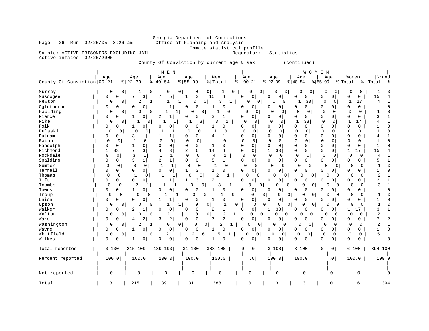# Georgia Department of Corrections<br>Page 26 Run 02/25/05 8:26 am 60ffice of Planning and Analysis Office of Planning and Analysis

Inmate statistical profile<br>Requestor: Statistics

Sample: ACTIVE PRISONERS EXCLUDING JAIL Active inmates 02/25/2005

County Of Conviction by current age & sex (continued)

| County Of Conviction 00-21 | Age                   | Age<br>$ 22-39$       | Age<br>$\frac{1}{6}$   40-54 | M E N<br>Age<br>$8 55-99$   |                    | Men<br>% Total                 |   | Age<br>$8   00 - 21$       |                | Age<br>$ 22-39$                             | Age<br>$ 40-54$     | WOMEN<br>$ 55-99$ | Age                             | Women<br>% Total |               | Grand<br>%   Total | ႜ   |
|----------------------------|-----------------------|-----------------------|------------------------------|-----------------------------|--------------------|--------------------------------|---|----------------------------|----------------|---------------------------------------------|---------------------|-------------------|---------------------------------|------------------|---------------|--------------------|-----|
| Murray                     | 0                     | 0<br>1                | $\overline{0}$               | 0<br>0                      | 0                  | 0  <br>1                       | 0 | 0                          | 0              | 0<br>0                                      | $\mathbf 0$         | $\circ$           | 0<br>0                          | 0                | 0             | -1                 |     |
| Muscogee                   | 0<br>0                | 7<br>3                |                              | 5<br>1                      | 3                  | 15<br>4                        |   | 0<br>0                     |                | 0<br>0                                      | 0<br>0              |                   | $\mathbf 0$<br>0 <sup>1</sup>   | 0                | 0             | 15                 | 4   |
| Newton                     | 0                     | 2<br>0                | 1                            | 1<br>1                      | 0<br>0             | 3                              | 1 | 0                          | 0              | Ω<br>0                                      | 1<br>33             |                   | 0<br>0                          | 1                | 17            | 4                  |     |
| Oglethorpe                 | 0<br>0                | $\Omega$<br>U         | 1                            | 1<br>0                      | 0                  | 1                              |   | 0<br>0                     |                | 0<br>O                                      | $\overline{0}$<br>0 |                   | 0<br>0                          | O                | 0             | 1                  |     |
| Paulding                   | 0                     | 0<br>0                | 0                            | 1                           | 0<br>0             |                                | U | $\mathbf 0$                | 0              | $\Omega$<br>0                               | $\Omega$            | 0                 | $\mathbf 0$<br>$\Omega$         | 0                | $\Omega$      | $\mathbf{1}$       |     |
| Pierce                     | 0<br>0                | U                     | 2                            | 1<br>$\Omega$               | 0                  | 3<br>$\mathbf{1}$              |   | 0<br>0                     |                | O<br>0                                      | 0<br>0              |                   | $\mathbf 0$<br>0                | 0                | $\mathbf 0$   | 3                  |     |
| Pike                       | 0                     | 0                     | 0<br>-1                      | 1<br>-1                     | 3                  | 3<br>1                         |   | $\Omega$                   | 0              | ∩<br>0                                      | 1<br>33             |                   | $\mathbf 0$<br>0                | $\mathbf{1}$     | 17            |                    |     |
| Polk                       | 0<br>0                | 0<br>1                | 0                            | 0<br>0                      | $\circ$            | 1<br>0                         |   | 0<br>0                     |                | 0<br>$\Omega$                               | $\mathbf 0$<br>0    |                   | $\mathbf{0}$<br>$\mathbf 0$     | 0                | 0             |                    |     |
| Pulaski                    | $\mathbf 0$           | $\Omega$<br>0         | 0                            | $\mathbf 0$<br>1            | $\mathbf 0$        | 0<br>-1                        |   | $\mathbf 0$<br>$\mathbf 0$ |                | $\mathbf 0$<br>0                            | $\mathbf 0$<br>0    |                   | $\mathbf{0}$<br>0               | 0                | $\mathbf 0$   |                    |     |
| Putnam                     | 0<br>0                | 1<br>3                | 1                            | 1 <br>0                     | $\mathbf 0$        | 4<br>1                         |   | 0<br>0                     |                | <sup>0</sup><br>$\Omega$                    | 0<br>$\Omega$       |                   | $\Omega$<br>$\Omega$            | $\Omega$         | 0             |                    |     |
| Rabun                      | $\mathbf{0}$<br>0     | $\mathbf{1}$          | $\mathbf 0$<br>$\mathbf 0$   | $\mathbf 0$<br>$\mathbf 0$  | $\mathbf 0$        | $\mathbf{1}$<br>0              |   | $\Omega$<br>$\mathbf 0$    |                | 0<br>$\Omega$                               | $\mathbf 0$<br>0    |                   | $\Omega$<br>$\Omega$            | $\Omega$         | $\Omega$      |                    |     |
| Randolph                   | U<br>0                | 1<br>0                | 0                            | 0<br>$\mathbf 0$            | 0                  | 1<br>0                         |   | 0<br>0                     |                | 0<br>$\Omega$                               | $\mathbf 0$<br>0    |                   | $\mathbf 0$<br>0                | 0                | 0             |                    |     |
| Richmond                   | 33<br>1               | 7<br>3                | 4                            | 3<br>2                      | 6 <sub>1</sub>     | 14<br>4                        |   | 0<br>0                     |                | 1<br>33                                     | 0<br>0              |                   | 0<br>0                          | 1                | 17            | 15                 |     |
| Rockdale                   | $\Omega$<br>0         | 3                     | $\mathbf 1$<br>$\mathbf{1}$  | $\mathbf{1}$<br>$\mathbf 0$ | 0                  | $\mathbf{1}$<br>4              |   | $\mathbf 0$<br>$\mathbf 0$ |                | $\overline{0}$<br>0                         | $\mathbf 0$<br>0    |                   | 0<br>0                          | $\Omega$         | 0             | 4                  |     |
| Spalding                   | 0<br>0                | 3<br>$\mathbf 1$      | $\overline{2}$               | $\mathbf 1$<br>$\mathbf 0$  | $\overline{0}$     | 5<br>1                         |   | $\Omega$<br>0              |                | $\mathbf 0$<br>0 <sup>1</sup>               | 0<br>$\overline{0}$ |                   | $\mathbf 0$<br>$\overline{0}$   | $\Omega$         | $\mathbf 0$   | 5                  |     |
| Sumter                     | $\Omega$<br>0         | 0                     | 0<br>1                       | $\mathbf{1}$<br>$\Omega$    | $\mathbf 0$        | 1<br>$\Omega$                  |   | $\Omega$                   | $\mathbf 0$    | $\Omega$<br>0                               | O                   | $\mathbf 0$       | 0<br>0                          | $\mathbf 0$      | 0             |                    |     |
| Terrell                    | 0<br>0                | 0                     | $\overline{0}$<br>0          | 0 <sup>1</sup><br>1         | 3                  | $\mathbf{1}$<br>O              |   | 0<br>0                     |                | 0<br>$\Omega$                               | 0<br>0              |                   | 0<br>0 <sup>1</sup>             | 0                | 0             | $\mathbf{1}$       |     |
| Thomas<br>Tift             | $\mathbf 0$<br>0      | 1                     | 1<br>0<br>1                  | 0<br>1                      | 0                  | $\overline{2}$<br>-1           |   | 0                          | 0              | 0<br>0 <sup>1</sup><br>O                    | O                   | $\mathbf{0}$      | 0 <sup>1</sup><br>O             | 0                | $\Omega$      | $\overline{2}$     |     |
|                            | 0<br>0                | $\mathbf 0$           | 0                            | $\mathbf{1}$<br>1           | 3                  | 2<br>3                         |   | 0<br>0                     |                | 0                                           | 0<br>0              |                   | 0<br>O                          | 0                | 0             | 2                  |     |
| Toombs                     | 0                     | 2<br>0                | 1<br>1<br>O                  | 1                           | 0<br>$\mathbf 0$   | 1<br>O                         |   | $\mathbf 0$<br>O           | 0              | 0<br>0                                      | 0                   | 0                 | $\overline{0}$<br>$\Omega$<br>∩ | $\mathbf 0$<br>0 | $\Omega$      | 3<br>1             |     |
| Towns                      | 0<br>0<br>$\mathbf 0$ | 1<br>$\mathbf 0$<br>0 | 0<br>0<br>1                  | 0<br>0                      | 0<br>$\Omega$<br>0 |                                | 0 | 0<br>0                     | 0              | 0<br>$\Omega$<br>$\mathbf 0$<br>$\mathbf 0$ | 0<br>0<br>0         | 0                 | 0<br>U                          | $\mathbf 0$      | 0<br>$\Omega$ | $\mathbf{1}$       |     |
| Troup                      | 0<br>0                | $\mathbf 0$<br>0      |                              | 1<br>1<br>$\Omega$          |                    | $\mathbf{1}$<br>O              |   | 0                          |                | 0<br>0                                      | 0<br>0              |                   | 0<br>0<br>0                     | 0                | 0             | 1                  |     |
| Union                      | 0                     | 0<br>$\mathbf{0}$     | 0                            | 1<br>1                      | 0<br>0             | 0<br>1                         | 0 | 0<br>$\mathbf 0$           | 0              | 0<br>0                                      | O                   | 0                 | $\overline{0}$<br>O             | 0                | 0             | $\mathbf{1}$       |     |
| Upson<br>Walker            | 0<br>0                | 2                     | 0                            | 0<br>0                      | 0                  | $\overline{2}$<br>$\mathbf{1}$ |   | 0<br>0                     |                | 33<br>1                                     | 0<br>0              |                   | 0<br>0                          | 1                | 17            | 3                  |     |
| Walton                     | 0                     | 0<br>0                | 0                            | 2<br>$\mathbf{1}$           | $\mathbf 0$        | $\overline{0}$<br>2            | 1 | 0                          | $\overline{0}$ | 0<br>0                                      | 0                   | 0                 | $\mathbf 0$<br>$\mathbf 0$      | $\Omega$         | $\Omega$      | $\overline{2}$     |     |
| Ware                       | 0<br>0                | 4                     | 2<br>3                       | 2<br>0                      | 0                  | $\overline{2}$<br>7            |   | 0<br>0                     |                | 0<br>$\Omega$                               | 0<br>0              |                   | 0<br>$\overline{0}$             | 0                | 0             | 7                  |     |
| Washington                 | 0                     | 2<br>0                | 1                            | 0<br>0                      | 0<br>$\Omega$      | 2                              |   | $\Omega$                   | 0              | 0<br>0                                      | <sup>0</sup>        | 0                 | 0<br>0                          | 0                | $\Omega$      | 2                  |     |
| Wayne                      | 0<br>0                | 0<br>1                | 0                            | 0<br>$\Omega$               | $\mathbf 0$        | 1                              |   | 0<br>0                     |                | 0<br>0                                      | 0<br>$\overline{0}$ |                   | 0<br>$\overline{0}$             | 0                | 0             | 1                  |     |
| Whitfield                  | 0                     | 0<br>1                | 0<br>2                       | $\mathbf{1}$                | 2<br>6             | 5                              |   | Ω                          | 0              | 0<br>0                                      | 0                   | 0                 | $\mathbf 0$<br>0                | $\mathsf 0$      | 0             | 5                  |     |
| Wilkes                     | 0<br>0                | 0<br>-1               | O                            | 0<br><sup>0</sup>           | 0                  |                                |   | 0<br>C                     |                | U<br>0                                      | 0<br>0              |                   | 0<br>0                          | 0                | 0             |                    |     |
|                            |                       |                       |                              |                             |                    |                                |   |                            |                |                                             |                     |                   |                                 |                  |               |                    |     |
| Total reported             | 3 100                 | 215 100               | 139 100                      | 31 100                      |                    | 388 100                        |   | 0<br>$\Omega$              |                | 3 100                                       | 3 100               |                   | 0<br>0 <sup>1</sup>             | 6 100            |               | 394 100            |     |
| Percent reported           | 100.0                 | 100.0                 | 100.0                        |                             | 100.0              | 100.0                          |   | .0                         |                | 100.0                                       | 100.0               |                   | .0 <sub>1</sub>                 | 100.0            |               | 100.0              |     |
|                            |                       |                       |                              |                             |                    |                                |   |                            |                |                                             |                     |                   |                                 |                  |               |                    |     |
| Not reported               | 0                     | 0                     | 0                            |                             | $\mathbf 0$        | 0                              |   | 0                          |                | 0                                           | 0                   |                   | 0                               |                  | O             |                    |     |
| Total                      | 3                     | 215                   | 139                          | 31                          |                    | 388                            |   | $\mathbf 0$                |                | 3                                           | 3                   |                   | $\mathbf 0$                     |                  | 6             |                    | 394 |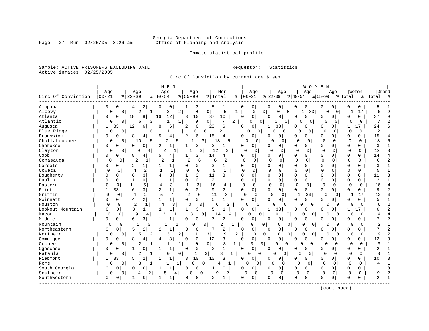# Georgia Department of Corrections<br>Page 27 Run 02/25/05 8:26 am 60ffice of Planning and Analysis Office of Planning and Analysis

Inmate statistical profile

Sample: ACTIVE PRISONERS EXCLUDING JAIL **Requestor:** Statistics Active inmates 02/25/2005

Circ Of Conviction by current age & sex

|                    |            |                            | M E N                               |                              |                            |                   |                            |                                     |                            | WOMEN                    |                          |                |                |
|--------------------|------------|----------------------------|-------------------------------------|------------------------------|----------------------------|-------------------|----------------------------|-------------------------------------|----------------------------|--------------------------|--------------------------|----------------|----------------|
|                    | Age        | Age                        | Age                                 | Age                          |                            | Men               | Age                        | Age                                 | Age                        | Age                      | Women                    | Grand          |                |
| Circ Of Conviction | $ 00 - 21$ | $ 22-39$                   | $8   40 - 54$                       | $8155 - 99$                  | % Total                    | $\approx$         | $00 - 21$                  | $ 22-39 $                           | $ 40-54$                   | $ 55-99$                 | % Total                  | %   Total      | ్య             |
| Alapaha            | 0          | 0<br>4                     | 2<br>0<br>0                         | 3                            | 5                          | 1                 | 0<br>0                     | 0<br>0                              | 0<br>0                     | 0<br>0                   | $\Omega$<br>0            |                |                |
| Alcovy             | 0          | 2<br>0                     | 1<br>3                              | 2<br>0                       | 0                          | 5<br>1            | $\mathbf 0$                | 0 <br>0<br>0                        | 33<br>1                    | $\Omega$<br>$\Omega$     | 17                       | 6              | $\overline{2}$ |
| Atlanta            | 0          | 18<br>$\Omega$             | 8<br>12<br>16                       | 10<br>3                      | 37                         | 10                | 0<br>$\Omega$              | $\mathsf 0$<br>$\Omega$             | 0<br>0                     | 0<br>0                   | 0<br>$\Omega$            | 37             | $\mathsf{Q}$   |
| Atlantic           | 0          | 6<br>0                     | 3<br>1                              | $\Omega$<br>1                | $\mathbf{0}$               | 7<br>2            | $\Omega$                   | $\Omega$<br>0<br>$\mathbf{0}$       | $\Omega$<br>$\Omega$       | $\Omega$<br>0            | $\Omega$<br>$\Omega$     | 7              | $\mathcal{D}$  |
| Augusta            | 1          | 12<br>33                   | 6<br>8<br>6                         | 6<br>2                       | 23                         | б                 | 0<br>$\Omega$              | 33                                  | U<br>$\Omega$              | $\Omega$<br>0            | 17<br>-1                 | 24             |                |
| Blue Ridge         | $\Omega$   | $\Omega$<br>1              | 0<br>1                              | $\mathbf 1$<br>O             | $\Omega$<br>$\overline{c}$ | $\mathbf{1}$      | 0<br>$\Omega$              | U<br>$\Omega$                       | U<br>0                     | $\Omega$<br>$\Omega$     | $\Omega$<br>$\Omega$     | $\overline{2}$ |                |
| Brunswick          | 0          | $\Omega$<br>8              | 4<br>5<br>4                         | 2<br>6                       | 15                         | 4                 | 0<br>0                     | 0<br>O                              | 0<br>$\Omega$              | O<br>$\Omega$            | 0<br>0                   | 15             |                |
| Chattahoochee      | 0          | 0<br>10                    | 5                                   | 5                            | 3<br>18                    | 5                 | $\Omega$<br>0              | $\Omega$<br>0                       | 0<br>$\mathbf 0$           | 0<br>0                   | $\Omega$<br>$\Omega$     | 18             | 5              |
| Cherokee           | O          | $\Omega$<br>$\Omega$       | 0<br>$\overline{2}$<br>$\mathbf{1}$ | $\overline{3}$<br>-1         | 3                          | 1                 | $\overline{0}$<br>O        | <sup>0</sup><br>0                   | 0<br>0                     | $\Omega$<br>$\Omega$     | $\Omega$<br>$\Omega$     | 3              | $\mathbf{1}$   |
| Clayton            | $\Omega$   | 9<br>0                     | $\overline{2}$<br>4                 | 1                            | 12<br>3                    | 3                 | 0<br>$\Omega$              | $\mathbf 0$<br>∩                    | $\Omega$<br>0              | $\mathbf 0$<br>$\Omega$  | $\Omega$<br>$\Omega$     | 12             | 3              |
| Cobb               | $\Omega$   | 8<br>O                     | 5<br>4<br>4                         | $\overline{3}$               | 14                         | 4                 | 0<br>0                     | 0<br>$\Omega$                       | 0<br>$\Omega$              | $\Omega$<br>$\Omega$     | $\mathbf 0$<br>$\Omega$  | 14             | $\overline{4}$ |
| Conasauga          | $\Omega$   | $\overline{2}$<br>0        | $\overline{a}$<br>$\mathbf{1}$      | $\overline{a}$<br>1          | 6<br>6                     | 2                 | $\Omega$<br>$\Omega$       | $\Omega$<br>$\Omega$                | $\Omega$<br>0              | $\Omega$<br>$\Omega$     | $\Omega$<br>0            | 6              | $\overline{c}$ |
| Cordele            | 0          | 2<br>0                     | 1<br>1                              | $\Omega$<br>0                | 3                          | 1                 | 0<br>0                     | $\Omega$<br>O                       | 0<br>$\Omega$              | 0<br>$\Omega$            | 0<br>0                   | 3              |                |
| Coweta             | $\Omega$   | 4<br>0                     | 2<br>$\mathbf{1}$<br>1              | $\mathbf 0$<br>$\mathbf 0$   | 5                          | 1                 | $\mathbf 0$<br>$\Omega$    | $\Omega$<br>$\mathbf 0$             | $\mathbf 0$<br>$\mathbf 0$ | $\Omega$<br>$\Omega$     | $\mathbf 0$<br>U         | 5              |                |
| Dougherty          | O          | <sup>0</sup><br>6          | 3<br>3<br>4                         | $\overline{\mathsf{3}}$<br>1 | 11                         | 3                 | $\Omega$<br>O              | $\Omega$<br>$\Omega$                | O<br>0                     | $\Omega$<br>$\Omega$     | $\mathbf 0$<br>0         | 11             | 3              |
| Dublin             | O          | 0<br>$\mathbf{1}$          | 0<br>$\mathbf{1}$<br>1              | $\Omega$<br>$\mathbf 0$      | $\overline{2}$             | 1                 | $\Omega$<br>0              | $\Omega$<br>0                       | 0<br>0                     | $\mathbf 0$<br>$\Omega$  | $\mathbf 0$<br>0         | 2              | $\mathbf{1}$   |
| Eastern            | $\cap$     | 11<br>$\Omega$             | 3<br>5<br>4                         | $\mathbf{1}$<br>3            | 16                         | 4                 | $\Omega$<br>0              | $\Omega$<br>$\Omega$                | $\mathbf 0$<br>0           | $\Omega$<br>0            | $\Omega$<br>$\Omega$     | 16             | $\overline{4}$ |
| Flint              | 33<br>1    | 6                          | $\overline{3}$<br>2<br>$\mathbf{1}$ | $\Omega$<br>$\Omega$         | 9                          | $\overline{2}$    | 0<br><sup>0</sup>          | $\Omega$<br>0                       | 0<br>0 <sup>1</sup>        | $\Omega$<br>0            | $\Omega$<br>0            | 9              | $\overline{c}$ |
| Griffin            | 0          | 0<br>$\overline{4}$        | 2<br>5<br>4                         | 2                            | 11<br>6                    | 3                 | $\mathbf 0$<br>0           | 0<br>0                              | 33<br>1                    | $\Omega$<br>0            | 17<br>1                  | 12             |                |
| Gwinnett           | $\Omega$   | $\overline{4}$<br>0        | 2<br>$\mathbf{1}$<br>$\mathbf{1}$   | $\Omega$<br>$\circ$          | 5                          | $\mathbf{1}$      | 0<br>0                     | 0<br><sup>0</sup>                   | $\Omega$<br>$\mathbf 0$    | $\mathbf 0$<br>0         | $\Omega$<br>$\Omega$     | 5              |                |
| Houston            | $\Omega$   | $\overline{2}$<br>0        | 1<br>$\overline{4}$                 | 3<br>$\Omega$                | 0<br>6                     | $\overline{2}$    | $\Omega$<br>0              | 0<br>$\circ$                        | 0<br>O                     | $\Omega$<br>$\Omega$     | O<br>0                   | 6              |                |
| Lookout Mountain   | $\Omega$   | 3<br>0                     | 1<br>1<br>1                         | 3<br>1                       | 5                          | -1                | 0<br>O                     | 33<br>1                             | O<br>O                     | <sup>0</sup><br>0        | 17<br>1                  | 6              | $\overline{c}$ |
| Macon              | $\Omega$   | 9<br>$\Omega$              | $\overline{2}$<br>$\overline{4}$    | 3<br>1                       | 10<br>14                   |                   | O                          | 0<br>O<br>0                         | $\Omega$<br>O              | $\Omega$                 | U<br>$\Omega$            | 14             |                |
| Middle             | $\Omega$   | 6<br>0                     | 31<br>1<br>$\mathbf{1}$             | $\circ$<br>0                 | 7                          | 2                 | 0<br>0                     | 0<br><sup>0</sup>                   | 0<br>0                     | 0<br>0                   | O<br>0                   | 7              | $\overline{a}$ |
| Mountain           | $\Omega$   | 0<br>1                     | 0                                   | 0<br>1                       | 0                          | 2                 | 0                          | 0<br>0<br>0                         | $\overline{0}$<br>O        | O<br>$\Omega$            | $\Omega$<br>0            | 2              |                |
| Northeastern       | $\Omega$   | 5<br>$\Omega$              | 2<br>1                              | 0<br>0                       | 7                          | 2                 | $\Omega$<br>0              | $\mathsf 0$<br>O                    | O<br>0                     | <sup>0</sup><br>0        | $\Omega$<br>0            | 7              | $\overline{c}$ |
| Northern           | 0          | 5<br>0                     | 2<br>3                              | 2<br>1                       | 3                          | 9<br>2            | $\mathbf 0$                | 0 <br>0<br>0                        | $\Omega$<br>0 <sup>1</sup> | O<br>$\Omega$            | $\Omega$<br>0            | 9              |                |
| Ocmulgee           | $\Omega$   | $\mathsf{R}$<br>O          | 3<br>4                              | $\mathbf 0$<br>$\Omega$      | 12                         | 3                 | 0<br>$\Omega$              | $\mathbf 0$<br>$\Omega$             | 0<br>U                     | O<br>0                   | $\Omega$<br>0            | 12             | 3              |
| Oconee             | O          | $\overline{2}$<br>$\Omega$ | 1<br>1                              | 1<br>$\Omega$                | 0                          | 3<br>$\mathbf{1}$ | 0                          | $\overline{0}$<br>0<br>$\mathbf{0}$ | U<br>$\Omega$              | $\cap$<br>$\Omega$       | $\Omega$<br>U            | ζ              |                |
| Ogeechee           | 0          | 0                          | 0<br>1<br>1                         | $\mathbf 0$<br>$\Omega$      | 2                          | $\mathbf{1}$      | 0<br><sup>0</sup>          | 0<br>$\Omega$                       | 0<br>0                     | 0<br>0                   | 0<br>0                   | 2              |                |
| Pataula            | 0          | 2<br>0                     | 1<br>0                              | 0<br>1                       | 3                          | ζ<br>1            | 0<br>0                     | 0<br>0 <sup>1</sup>                 | $\cap$<br>0                | $\Omega$<br>$\mathbf 0$  | $\Omega$<br>0            | 3              |                |
| Piedmont           | 1          | 33<br>5                    | 2<br>$\mathbf{1}$<br>-1             | 10 <sup>1</sup><br>3         | 10                         | 3                 | 0<br>U                     | 0<br>U                              | U<br>0                     | $\Omega$<br>0            | $\mathbf 0$<br>0         | 10             | 3              |
| Rome               | O          | 0<br>3                     | 1                                   | $\Omega$<br>1                | 0<br>4                     |                   | 0                          | 0<br>0                              | $\Omega$<br>0              | $\Omega$<br>$\mathbf 0$  | 0<br>0                   | 4              |                |
| South Georgia      | $\Omega$   | <sup>0</sup><br>O          | $\mathbf{1}$<br>U<br>1              | 0<br>$\mathbf 0$             | $\mathbf{1}$               | U                 | 0<br>U                     | 0<br>0                              | 0<br>0                     | <sup>0</sup><br>$\Omega$ | $\Omega$<br>0            |                | $\Omega$       |
| Southern           | 0          | $\mathbf{0}$<br>4          | $\overline{2}$                      | 0<br>4                       | 9<br>0 <sup>1</sup>        | $\overline{c}$    | $\mathbf 0$<br>$\mathbf 0$ | $\mathbf 0$<br>$\Omega$             | $\mathbf 0$<br>0           | $\mathbf 0$<br>0         | $\mathbf{0}$<br>$\Omega$ | 9              |                |
| Southwestern       | 0          | 0                          | 0<br>1                              | 0<br>$\mathbf 0$             | 2                          | 1                 | 0<br>0                     | 0<br>O                              | 0<br>$\mathbf{0}$          | $\Omega$<br>$\mathbf 0$  | $\Omega$<br>U            | $\overline{a}$ | $\mathbf{1}$   |
|                    |            |                            |                                     |                              |                            |                   |                            |                                     |                            |                          |                          |                |                |

(continued)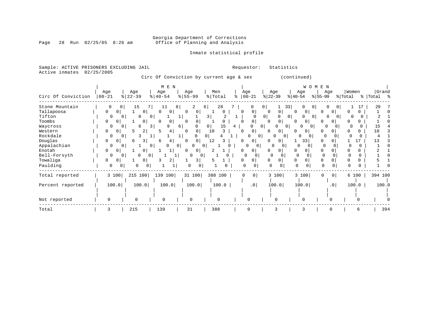# Georgia Department of Corrections<br>Office of Planning and Analysis

Page 28 Run  $02/25/05$  8:26 am

# Inmate statistical profile

|  | Sample: ACTIVE PRISONERS EXCLUDING JAIL<br>Active inmates 02/25/2005 |     |     |       |     | Requestor:                              |                                                                                                                        | Statistics   |     |       |       |
|--|----------------------------------------------------------------------|-----|-----|-------|-----|-----------------------------------------|------------------------------------------------------------------------------------------------------------------------|--------------|-----|-------|-------|
|  |                                                                      |     |     |       |     | Circ Of Conviction by current age & sex |                                                                                                                        | (continued)  |     |       |       |
|  |                                                                      |     |     | M E N |     |                                         |                                                                                                                        | <b>WOMEN</b> |     |       |       |
|  | Age                                                                  | Age | Age | Age   | Men | Aqe                                     | Age<br>the contract of the contract of the contract of the contract of the contract of the contract of the contract of | Age          | Age | Women | Grand |

| Circ Of Conviction | $00 - 21$ |                | $8   22 - 39$ |          | $8   40 - 54$ | $8 55-99$      |                |    | %   Total        |   | %            | $00 - 21$       |                | $\frac{2}{2}$   22-39 |                     | $ 40-54 $    |                     | $ 55-99 $ |                 | % Total      |       |    | %   Total |     |
|--------------------|-----------|----------------|---------------|----------|---------------|----------------|----------------|----|------------------|---|--------------|-----------------|----------------|-----------------------|---------------------|--------------|---------------------|-----------|-----------------|--------------|-------|----|-----------|-----|
| Stone Mountain     | 0         | 0              | 15            |          | 11            | 8              | 2              | 6  | 28               |   |              | $\Omega$        | 0              |                       | 33<br>1             |              | 0<br>$\overline{0}$ |           |                 | $\mathbf{0}$ |       | 17 | 29        |     |
| Tallapoosa         | $\Omega$  | 0              | 0             |          | $\Omega$      | 0              | $\Omega$       |    | $\left( \right)$ |   | $\Omega$     | 0               |                |                       | 0 <sup>1</sup>      | <sup>0</sup> | $\Omega$            | $\Omega$  | $\Omega$        |              |       |    |           |     |
| Tifton             | O         | 0              | $\Omega$      | $\Omega$ |               |                |                | 3  |                  |   |              |                 | 0              |                       | 0 <sup>1</sup><br>0 |              | $\Omega$            | $\Omega$  |                 | 0            |       |    |           |     |
| Toombs             | 0         |                | 0             |          | 0             |                |                |    | 0                |   |              | 0               |                |                       | $\Omega$            | n.           |                     |           |                 |              |       |    |           |     |
| Waycross           | $\Omega$  | $\Omega$       | 6             | 31       | 9             | 6              |                | 0  | 15               | 4 |              |                 | 0              |                       | 0<br>0 <sup>1</sup> |              | 0 <sup>1</sup>      |           |                 |              |       |    |           |     |
| Western            | 0         | 0 <sup>1</sup> | 2<br>Б.       |          | 4             |                | $\Omega$       | 10 | 3.               |   | <sup>n</sup> | 0               |                |                       | 0 <sup>1</sup>      | 0            |                     |           |                 |              |       |    | 10        |     |
| Rockdale           | $\Omega$  | 0              |               |          |               |                |                | 0  |                  |   |              |                 | 0 <sup>1</sup> |                       |                     |              |                     |           |                 |              |       |    |           |     |
| Douglas            | 0         |                | 6             |          | 4             | O              | 0 <sup>1</sup> | 12 |                  |   | 0            | 0               |                |                       | 0 <sup>1</sup>      |              | 33                  |           |                 |              | 17    |    |           |     |
| Appalachian        | 0         | $\Omega$       |               | 01       |               | 0 <sup>1</sup> |                | 0  |                  |   |              | 0               |                |                       |                     |              |                     |           |                 |              |       |    |           |     |
| Enotah             | 0         |                |               |          |               | 0              | 0 <sup>1</sup> |    |                  |   |              |                 |                |                       | $\Omega$            | 0            |                     | 0         |                 |              |       |    |           |     |
| Bell-Forsyth       | $\Omega$  | $\Omega$       | O             | $\Omega$ |               |                | O              | 01 |                  |   |              |                 |                |                       |                     |              |                     |           |                 |              |       |    |           |     |
| Towaliga           | 0         |                | 0             |          | 2             |                | 31             |    |                  |   | 0            | 0               |                |                       |                     | 0            |                     | 0         |                 |              |       |    |           |     |
| Paulding           | 0         |                | 0             | 0        |               |                | 0              |    |                  |   |              | 0               |                | $\Omega$              | 0                   | <sup>0</sup> |                     |           |                 |              |       |    |           |     |
| Total reported     |           | 3 100          | 215 100       |          | 100<br>139    |                | 31 100         |    | 388 100          |   | 0            | 0               |                | 3 100                 |                     |              | 3 100               | 0         | $\circ$         |              | 6 100 |    | 394 100   |     |
| Percent reported   |           | 100.0          | 100.0         |          | 100.0         |                | 100.0          |    | 100.0            |   |              | .0 <sub>1</sub> |                | 100.0                 |                     |              | 100.0               |           | .0 <sub>1</sub> |              | 100.0 |    | 100.0     |     |
|                    |           |                |               |          |               |                |                |    |                  |   |              |                 |                |                       |                     |              |                     |           |                 |              |       |    |           |     |
| Not reported       | O         |                | $\Omega$      |          | $\Omega$      |                | $\mathbf 0$    |    | <sup>0</sup>     |   |              |                 |                | $\Omega$              |                     |              |                     |           |                 |              |       |    |           |     |
| Total              |           |                | 215           |          | 139           |                | 31             |    | 388              |   |              |                 |                |                       |                     |              | 3                   |           |                 |              |       |    |           | 394 |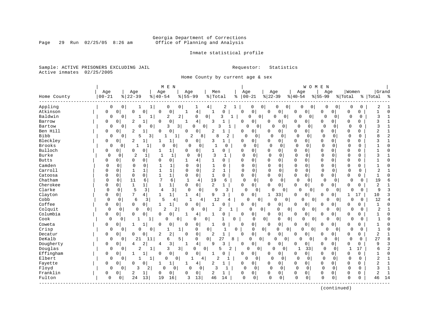# Georgia Department of Corrections<br>Page 29 Run 02/25/05 8:26 am 60ffice of Planning and Analysis Office of Planning and Analysis

Inmate statistical profile

Sample: ACTIVE PRISONERS EXCLUDING JAIL **Requestor:** Statistics Active inmates 02/25/2005

Home County by current age & sex

| Grand<br>Age<br>Women<br>Age<br>Age<br>Age<br>Men<br>Age<br>Age<br>Age<br>Age<br>$8   22 - 39$<br>$8 55-99$<br>$ 00-21$<br>$ 22-39$<br>$00 - 21$<br>$8   40 - 54$<br>%   Total<br>$8 55-99$<br>Home County<br>$ 40-54$<br>% Total<br>%   Total<br>ႜ<br>း -<br>Appling<br>0<br>0<br>0<br>4 <br>2<br>0<br>0<br>0<br>0<br>0<br>0<br>0<br>0<br>2<br>1<br>1<br>0<br>1<br>1<br>0<br>$\Omega$<br>Atkinson<br>$\overline{4}$<br>0<br>0<br>0<br>0<br>0<br>$\mathbf 0$<br>0<br>$\Omega$<br>0<br>0<br>0<br>0<br>0<br>0<br>0<br>0<br>0<br>0<br>1<br>Baldwin<br>2<br>$\overline{a}$<br>0<br>0<br>3<br>$\mathbf 0$<br>$\mathbf 0$<br>0<br>$\Omega$<br>3<br>0<br>$\overline{0}$<br>1<br>1<br>0<br>0<br>$\Omega$<br>0<br>$\overline{0}$<br>0<br>$\mathbf{1}$<br>1<br>$\overline{4}$<br>$\mathbf 0$<br>0<br>3<br>0<br>0<br>$\mathbf 0$<br>0<br>0<br>ζ<br>1<br>Barrow<br>0<br>2<br>$\mathbf{1}$<br>$\Omega$<br>-1<br>$\Omega$<br>$\Omega$<br>0<br>0<br>0<br>1<br>Bartow<br>0<br>$\frac{3}{ }$<br>0<br>$\Omega$<br>0<br>0<br>3<br>0<br>0<br>$\Omega$<br>0<br>0<br>$\Omega$<br>0<br>3<br>C<br>$\Omega$<br>$\Omega$<br>Ben Hill<br>$\overline{2}$<br>0<br>$\mathbf 0$<br>2<br>$\mathbf 0$<br>0<br>0<br>$\overline{2}$<br>1<br>0<br>$\Omega$<br>$\Omega$<br>$\Omega$<br>$\Omega$<br>0<br>$\Omega$<br>0<br>$\Omega$<br>0<br>O<br>Bibb<br>5<br>3 <br>2<br>8<br>8<br>2<br>$\Omega$<br>0 <sup>1</sup><br>$\Omega$<br>$\mathbf 0$<br>$\Omega$<br>$\mathbf 0$<br>$\mathbf 0$<br>$\mathbf 0$<br>8<br>$\overline{c}$<br>0<br>0<br><sup>0</sup><br>$\Omega$<br>1<br>1<br>0<br>Bleckley<br>2<br>0<br>3<br>$\mathbf 0$<br>0<br>$\mathbf 0$<br>0<br>0<br>$\Omega$<br>0<br>$\mathbf 0$<br>0<br>3<br>0<br>0<br>1<br>1<br>0<br>1<br><b>Brooks</b><br>$\mathbf 0$<br>$\mathbf 0$<br>0<br>$\Omega$<br>$\mathbf{0}$<br>$\mathbf{1}$<br>$\mathbf 0$<br>$\Omega$<br>$\Omega$<br>$\mathbf 0$<br>0<br>$\circ$<br>1<br>0<br>0<br>$\Omega$<br>0<br>0<br>0<br>$\Omega$<br>1<br>Bulloch<br>0<br>$\Omega$<br>$\mathbf 0$<br>0<br>0<br>0<br>$\mathbf 0$<br>$\Omega$<br>0<br>0<br>$\Omega$<br>0<br>$\mathbf{1}$<br>0<br>0<br>0<br>0<br>$\Omega$<br>0<br>1<br>$\mathbf 0$<br>Burke<br>0<br>$\overline{c}$<br>$\mathbf{1}$<br>$\mathbf{1}$<br>$\mathbf{C}$<br>3<br>0<br>$\Omega$<br>$\mathbf 0$<br>$\Omega$<br>$\mathbf 0$<br>$\Omega$<br>-1<br>0<br>1<br>$\Omega$<br>0<br>0<br>0<br>3<br>0<br><b>Butts</b><br>0<br>$\Omega$<br>$\Omega$<br>$\Omega$<br>$\Omega$<br>$\Omega$<br>$\mathbf 0$<br>$\Omega$<br>$\Omega$<br>0<br>$\Omega$<br>$\Omega$<br>$\Omega$<br>O<br>4<br>1<br>0<br>$\Omega$<br>0<br>1<br>Camden<br>0<br>0<br>$\Omega$<br>$\Omega$<br>$\mathbf 0$<br>0<br>0<br>$\Omega$<br>$\mathbf 0$<br>0<br>0<br>0<br>1<br>0<br>1<br>$\Omega$<br>$\Omega$<br>0<br>0<br><sup>0</sup><br>1<br>Carroll<br>$\mathbf 1$<br>$\overline{2}$<br>$\mathbf 0$<br>$\mathsf 0$<br>$\overline{c}$<br>$\Omega$<br>$\mathbf{1}$<br>$\mathbf 0$<br>$\mathbf 0$<br>$\Omega$<br>$\mathbf 0$<br>$\Omega$<br>0<br>$\Omega$<br>0<br>$\mathbf{1}$<br>1<br>1<br>0<br>0<br>0<br>$\mathbf{1}$<br>$\mathbf{1}$<br>$\mathbf{1}$<br>$\mathbf 0$<br>$\Omega$<br>$\mathbf 0$<br>0<br>$\mathbf 0$<br>0<br>$\mathbf 0$<br>0<br>0<br>$\mathbf 0$<br>0<br>$\mathbf 0$<br>Catoosa<br>0<br>0<br>0<br>0<br>0<br>$\mathbf{1}$<br>$\Omega$<br>Chatham<br>11<br>7<br>6<br>19<br>$\Omega$<br>0<br>19<br>$\Omega$<br>0<br>1<br>4<br>6<br>0<br>$\Omega$<br>0<br>0<br>$\Omega$<br>0<br>$\Omega$<br>6<br>0<br>Cherokee<br>$\overline{2}$<br>$\overline{2}$<br>$\mathbf{1}$<br>$\mathbf{1}$<br>$\mathbf{1}$<br>$\mathbf 0$<br>$\mathbf 0$<br>$\Omega$<br>0<br>0<br>0<br>0<br>0<br>0<br>$\mathbf 0$<br>0<br>0<br>$\mathbf{1}$<br>0<br>0<br>Clarke<br>5<br>$\mathbf 0$<br>3<br>$\overline{4}$<br>3<br>$\mathbf 0$<br>$\mathbf 0$<br>9<br>3<br>$\Omega$<br>$\mathbf 0$<br>$\Omega$<br>0<br>$\mathbf{0}$<br>0<br>9<br>0<br>U<br>$\Omega$<br>$\Omega$<br>0<br>Clayton<br>7<br>$\overline{4}$<br>9<br>3<br>$\mathbf 0$<br>0<br>33<br>0<br>0<br>10<br>3<br>0<br>0<br>4<br>$\mathbf{1}$<br>1<br>1<br>0<br>0<br>1<br>17<br>1<br>Cobb<br>6<br>5<br>12<br>$\Omega$<br>12<br>0<br>3<br>$\mathbf{1}$<br>U<br>0<br>0<br>0<br>0<br>0 <sup>1</sup><br>0<br>$\Omega$<br>$\Omega$<br>0<br>4<br>4<br>4<br>Coffee<br>$\mathsf{O}$<br>0<br>$\mathbf 0$<br>0<br>$\mathbf 0$<br>$\mathbf 0$<br>$\Omega$<br>$\mathbf 0$<br>0<br>0<br>$\mathbf{1}$<br>$\Omega$<br>0<br>1<br>1<br>$\mathbf{1}$<br>0<br>0<br>0<br>0<br>$\Omega$<br>$\Omega$<br>$\overline{a}$<br>$\overline{c}$<br>Colquit<br>$\mathbf 0$<br>$\mathbf 0$<br>$\overline{2}$<br>$\Omega$<br>0<br>2<br>0<br>0<br>0<br>0<br>0<br>0 <sup>1</sup><br>$\Omega$<br>$\Omega$<br>0<br>0<br>0<br>U<br>Columbia<br>$\mathbf 0$<br>$\mathbf 0$<br>0<br>0<br>$\Omega$<br>$\Omega$<br>$\Omega$<br>0<br>1<br>4<br>1<br>0<br>$\Omega$<br>0<br>0<br>$\Omega$<br><sup>0</sup><br>$\Omega$<br>0<br>$\Omega$<br>O<br>Cook<br>0<br>0<br>$\mathbf 0$<br> 0 <br>0<br>0<br>0<br>0<br>0<br>$\Omega$<br>0<br>0<br>0 <sup>1</sup><br>0<br>$\Omega$<br>0<br>$\cap$<br>$1\vert$<br>0<br>0<br>0<br>Coweta<br>0<br>0<br>0<br>$\Omega$<br>0<br>0<br>0<br>0<br>0<br>0<br>0<br>0<br>0<br>0<br>0<br>Crisp<br>0<br>0<br>0<br> 0 <br>0<br>$\mathbf{1}$<br>0<br>$\overline{0}$<br>0<br>0<br>1<br>1<br>$\mathbf{1}$<br>0<br>0<br>0<br>0<br>$\Omega$<br>0<br>$\Omega$<br>0<br>$\cap$<br>2<br>$\mathbf 0$<br>$\mathbf 0$<br>2<br>$\mathbf 0$<br>0<br>2<br>Decatur<br>0<br>0<br>0<br>2<br>$\Omega$<br>$\mathbf{1}$<br>0<br>0<br>0<br>0<br>0<br>0<br>0<br>0<br>DeKalb<br>5<br>27<br>8<br>27<br>0<br>21<br>0<br>$\mathbf 0$<br>$\Omega$<br>0<br>$\mathbf 0$<br>0<br>11<br>6<br>$\Omega$<br>O<br>$\Omega$<br>$\Omega$<br>0<br>0<br>0<br>3<br>Dougherty<br>2<br>4<br>3<br>0<br>0<br>0<br>9<br>0<br>$\Omega$<br>0<br>0<br>0<br>0<br>0<br>0<br>9<br>3<br>0<br>$\overline{4}$<br>4<br>1<br>$\overline{2}$<br>Douglas<br>2<br>3<br>3<br>0 <sup>1</sup><br>2<br>0<br>17<br>6<br>0<br>0<br>1<br>0<br>5<br>ი<br>0<br>0<br>33<br>$\mathbf 0$<br>0<br>1<br>-1<br>Effingham<br>0<br>$\mathbf 0$<br>0<br>0<br>0 <sup>1</sup><br>0<br>$\mathbf 0$<br>0<br>$\Omega$<br>0<br>0<br>0<br>0<br>0<br>0<br>0<br>0<br>1<br>0<br>$\overline{2}$<br>$\overline{2}$<br>Elbert<br>0<br>$\mathbf 0$<br>$\mathbf 0$<br>$\mathbf{0}$<br>$\mathbf 0$<br>$\mathbf 0$<br>$\mathbf 0$<br>$\Omega$<br> 1 <br>0<br>$\overline{0}$<br>1<br>0<br>0<br>0<br>$\mathbf{1}$<br>$\overline{0}$<br>-1<br>$\frac{4}{ }$<br>-1<br>Fayette<br>1<br>2<br>0<br>0<br>0<br>4<br>2<br>0<br>0<br>0<br>0<br>0<br>0<br>0<br>0<br>0<br>0<br>$\Omega$<br>1<br>$\mathbf 0$<br>Floyd<br>3<br>2<br>$\Omega$<br>3<br>$\Omega$<br>$\mathbf 0$<br>$\mathbf 0$<br>$\Omega$<br>$\mathbf 0$<br>$\mathbf 0$<br>3<br>O<br>$\Omega$<br>$\Omega$<br>0<br>0<br>1<br>$\Omega$<br>0<br>0<br>$\mathbf{1}$<br>Franklin<br>0<br>2<br>0<br>0<br>0<br>2<br>0<br>0<br>0<br>0<br>0<br>0<br>0<br>0<br>0<br>0<br>0<br>2<br>1<br>0<br>1<br>24<br>0<br>$\mathbf 0$<br>$\mathbf 0$<br>Fulton<br>$\mathbf 0$<br>19<br>16<br>46<br>$\Omega$<br>$\mathbf 0$<br>0<br>$\Omega$<br>46<br>14<br>13<br>3<br>13<br>14<br>0<br>0<br>0<br>0 |  |  |  | M E N |  |  |  |  |  | WOMEN |  |  |  |
|--------------------------------------------------------------------------------------------------------------------------------------------------------------------------------------------------------------------------------------------------------------------------------------------------------------------------------------------------------------------------------------------------------------------------------------------------------------------------------------------------------------------------------------------------------------------------------------------------------------------------------------------------------------------------------------------------------------------------------------------------------------------------------------------------------------------------------------------------------------------------------------------------------------------------------------------------------------------------------------------------------------------------------------------------------------------------------------------------------------------------------------------------------------------------------------------------------------------------------------------------------------------------------------------------------------------------------------------------------------------------------------------------------------------------------------------------------------------------------------------------------------------------------------------------------------------------------------------------------------------------------------------------------------------------------------------------------------------------------------------------------------------------------------------------------------------------------------------------------------------------------------------------------------------------------------------------------------------------------------------------------------------------------------------------------------------------------------------------------------------------------------------------------------------------------------------------------------------------------------------------------------------------------------------------------------------------------------------------------------------------------------------------------------------------------------------------------------------------------------------------------------------------------------------------------------------------------------------------------------------------------------------------------------------------------------------------------------------------------------------------------------------------------------------------------------------------------------------------------------------------------------------------------------------------------------------------------------------------------------------------------------------------------------------------------------------------------------------------------------------------------------------------------------------------------------------------------------------------------------------------------------------------------------------------------------------------------------------------------------------------------------------------------------------------------------------------------------------------------------------------------------------------------------------------------------------------------------------------------------------------------------------------------------------------------------------------------------------------------------------------------------------------------------------------------------------------------------------------------------------------------------------------------------------------------------------------------------------------------------------------------------------------------------------------------------------------------------------------------------------------------------------------------------------------------------------------------------------------------------------------------------------------------------------------------------------------------------------------------------------------------------------------------------------------------------------------------------------------------------------------------------------------------------------------------------------------------------------------------------------------------------------------------------------------------------------------------------------------------------------------------------------------------------------------------------------------------------------------------------------------------------------------------------------------------------------------------------------------------------------------------------------------------------------------------------------------------------------------------------------------------------------------------------------------------------------------------------------------------------------------------------------------------------------------------------------------------------------------------------------------------------------------------------------------------------------------------------------------------------------------------------------------------------------------------------------------------------------------------------------------------------------------------------------------------------------------------------------------------------------------------------------------------------------------------------------------------------------------------------------------------------------------------------------------------------------------------------------------------------------------------------------------------------------------------------------------------------------------------------------------------------------------------------------------------------------------------------------------------------------------------------------------------------------------------------------------------------------------------------------------------------------------------------------------------------------------------------------------------------------------------------------------------------------------------------------------------------------------------------------------------------------------------------------------------------------------------------------------------------------------------------------------------------------------------------------------------------------------------------------------------------------------------------------------------------------------------------------------------------------------------------------------------------|--|--|--|-------|--|--|--|--|--|-------|--|--|--|
|                                                                                                                                                                                                                                                                                                                                                                                                                                                                                                                                                                                                                                                                                                                                                                                                                                                                                                                                                                                                                                                                                                                                                                                                                                                                                                                                                                                                                                                                                                                                                                                                                                                                                                                                                                                                                                                                                                                                                                                                                                                                                                                                                                                                                                                                                                                                                                                                                                                                                                                                                                                                                                                                                                                                                                                                                                                                                                                                                                                                                                                                                                                                                                                                                                                                                                                                                                                                                                                                                                                                                                                                                                                                                                                                                                                                                                                                                                                                                                                                                                                                                                                                                                                                                                                                                                                                                                                                                                                                                                                                                                                                                                                                                                                                                                                                                                                                                                                                                                                                                                                                                                                                                                                                                                                                                                                                                                                                                                                                                                                                                                                                                                                                                                                                                                                                                                                                                                                                                                                                                                                                                                                                                                                                                                                                                                                                                                                                                                                                                                                                                                                                                                                                                                                                                                                                                                                                                                                                                                                                                                      |  |  |  |       |  |  |  |  |  |       |  |  |  |
|                                                                                                                                                                                                                                                                                                                                                                                                                                                                                                                                                                                                                                                                                                                                                                                                                                                                                                                                                                                                                                                                                                                                                                                                                                                                                                                                                                                                                                                                                                                                                                                                                                                                                                                                                                                                                                                                                                                                                                                                                                                                                                                                                                                                                                                                                                                                                                                                                                                                                                                                                                                                                                                                                                                                                                                                                                                                                                                                                                                                                                                                                                                                                                                                                                                                                                                                                                                                                                                                                                                                                                                                                                                                                                                                                                                                                                                                                                                                                                                                                                                                                                                                                                                                                                                                                                                                                                                                                                                                                                                                                                                                                                                                                                                                                                                                                                                                                                                                                                                                                                                                                                                                                                                                                                                                                                                                                                                                                                                                                                                                                                                                                                                                                                                                                                                                                                                                                                                                                                                                                                                                                                                                                                                                                                                                                                                                                                                                                                                                                                                                                                                                                                                                                                                                                                                                                                                                                                                                                                                                                                      |  |  |  |       |  |  |  |  |  |       |  |  |  |
|                                                                                                                                                                                                                                                                                                                                                                                                                                                                                                                                                                                                                                                                                                                                                                                                                                                                                                                                                                                                                                                                                                                                                                                                                                                                                                                                                                                                                                                                                                                                                                                                                                                                                                                                                                                                                                                                                                                                                                                                                                                                                                                                                                                                                                                                                                                                                                                                                                                                                                                                                                                                                                                                                                                                                                                                                                                                                                                                                                                                                                                                                                                                                                                                                                                                                                                                                                                                                                                                                                                                                                                                                                                                                                                                                                                                                                                                                                                                                                                                                                                                                                                                                                                                                                                                                                                                                                                                                                                                                                                                                                                                                                                                                                                                                                                                                                                                                                                                                                                                                                                                                                                                                                                                                                                                                                                                                                                                                                                                                                                                                                                                                                                                                                                                                                                                                                                                                                                                                                                                                                                                                                                                                                                                                                                                                                                                                                                                                                                                                                                                                                                                                                                                                                                                                                                                                                                                                                                                                                                                                                      |  |  |  |       |  |  |  |  |  |       |  |  |  |
|                                                                                                                                                                                                                                                                                                                                                                                                                                                                                                                                                                                                                                                                                                                                                                                                                                                                                                                                                                                                                                                                                                                                                                                                                                                                                                                                                                                                                                                                                                                                                                                                                                                                                                                                                                                                                                                                                                                                                                                                                                                                                                                                                                                                                                                                                                                                                                                                                                                                                                                                                                                                                                                                                                                                                                                                                                                                                                                                                                                                                                                                                                                                                                                                                                                                                                                                                                                                                                                                                                                                                                                                                                                                                                                                                                                                                                                                                                                                                                                                                                                                                                                                                                                                                                                                                                                                                                                                                                                                                                                                                                                                                                                                                                                                                                                                                                                                                                                                                                                                                                                                                                                                                                                                                                                                                                                                                                                                                                                                                                                                                                                                                                                                                                                                                                                                                                                                                                                                                                                                                                                                                                                                                                                                                                                                                                                                                                                                                                                                                                                                                                                                                                                                                                                                                                                                                                                                                                                                                                                                                                      |  |  |  |       |  |  |  |  |  |       |  |  |  |
|                                                                                                                                                                                                                                                                                                                                                                                                                                                                                                                                                                                                                                                                                                                                                                                                                                                                                                                                                                                                                                                                                                                                                                                                                                                                                                                                                                                                                                                                                                                                                                                                                                                                                                                                                                                                                                                                                                                                                                                                                                                                                                                                                                                                                                                                                                                                                                                                                                                                                                                                                                                                                                                                                                                                                                                                                                                                                                                                                                                                                                                                                                                                                                                                                                                                                                                                                                                                                                                                                                                                                                                                                                                                                                                                                                                                                                                                                                                                                                                                                                                                                                                                                                                                                                                                                                                                                                                                                                                                                                                                                                                                                                                                                                                                                                                                                                                                                                                                                                                                                                                                                                                                                                                                                                                                                                                                                                                                                                                                                                                                                                                                                                                                                                                                                                                                                                                                                                                                                                                                                                                                                                                                                                                                                                                                                                                                                                                                                                                                                                                                                                                                                                                                                                                                                                                                                                                                                                                                                                                                                                      |  |  |  |       |  |  |  |  |  |       |  |  |  |
|                                                                                                                                                                                                                                                                                                                                                                                                                                                                                                                                                                                                                                                                                                                                                                                                                                                                                                                                                                                                                                                                                                                                                                                                                                                                                                                                                                                                                                                                                                                                                                                                                                                                                                                                                                                                                                                                                                                                                                                                                                                                                                                                                                                                                                                                                                                                                                                                                                                                                                                                                                                                                                                                                                                                                                                                                                                                                                                                                                                                                                                                                                                                                                                                                                                                                                                                                                                                                                                                                                                                                                                                                                                                                                                                                                                                                                                                                                                                                                                                                                                                                                                                                                                                                                                                                                                                                                                                                                                                                                                                                                                                                                                                                                                                                                                                                                                                                                                                                                                                                                                                                                                                                                                                                                                                                                                                                                                                                                                                                                                                                                                                                                                                                                                                                                                                                                                                                                                                                                                                                                                                                                                                                                                                                                                                                                                                                                                                                                                                                                                                                                                                                                                                                                                                                                                                                                                                                                                                                                                                                                      |  |  |  |       |  |  |  |  |  |       |  |  |  |
|                                                                                                                                                                                                                                                                                                                                                                                                                                                                                                                                                                                                                                                                                                                                                                                                                                                                                                                                                                                                                                                                                                                                                                                                                                                                                                                                                                                                                                                                                                                                                                                                                                                                                                                                                                                                                                                                                                                                                                                                                                                                                                                                                                                                                                                                                                                                                                                                                                                                                                                                                                                                                                                                                                                                                                                                                                                                                                                                                                                                                                                                                                                                                                                                                                                                                                                                                                                                                                                                                                                                                                                                                                                                                                                                                                                                                                                                                                                                                                                                                                                                                                                                                                                                                                                                                                                                                                                                                                                                                                                                                                                                                                                                                                                                                                                                                                                                                                                                                                                                                                                                                                                                                                                                                                                                                                                                                                                                                                                                                                                                                                                                                                                                                                                                                                                                                                                                                                                                                                                                                                                                                                                                                                                                                                                                                                                                                                                                                                                                                                                                                                                                                                                                                                                                                                                                                                                                                                                                                                                                                                      |  |  |  |       |  |  |  |  |  |       |  |  |  |
|                                                                                                                                                                                                                                                                                                                                                                                                                                                                                                                                                                                                                                                                                                                                                                                                                                                                                                                                                                                                                                                                                                                                                                                                                                                                                                                                                                                                                                                                                                                                                                                                                                                                                                                                                                                                                                                                                                                                                                                                                                                                                                                                                                                                                                                                                                                                                                                                                                                                                                                                                                                                                                                                                                                                                                                                                                                                                                                                                                                                                                                                                                                                                                                                                                                                                                                                                                                                                                                                                                                                                                                                                                                                                                                                                                                                                                                                                                                                                                                                                                                                                                                                                                                                                                                                                                                                                                                                                                                                                                                                                                                                                                                                                                                                                                                                                                                                                                                                                                                                                                                                                                                                                                                                                                                                                                                                                                                                                                                                                                                                                                                                                                                                                                                                                                                                                                                                                                                                                                                                                                                                                                                                                                                                                                                                                                                                                                                                                                                                                                                                                                                                                                                                                                                                                                                                                                                                                                                                                                                                                                      |  |  |  |       |  |  |  |  |  |       |  |  |  |
|                                                                                                                                                                                                                                                                                                                                                                                                                                                                                                                                                                                                                                                                                                                                                                                                                                                                                                                                                                                                                                                                                                                                                                                                                                                                                                                                                                                                                                                                                                                                                                                                                                                                                                                                                                                                                                                                                                                                                                                                                                                                                                                                                                                                                                                                                                                                                                                                                                                                                                                                                                                                                                                                                                                                                                                                                                                                                                                                                                                                                                                                                                                                                                                                                                                                                                                                                                                                                                                                                                                                                                                                                                                                                                                                                                                                                                                                                                                                                                                                                                                                                                                                                                                                                                                                                                                                                                                                                                                                                                                                                                                                                                                                                                                                                                                                                                                                                                                                                                                                                                                                                                                                                                                                                                                                                                                                                                                                                                                                                                                                                                                                                                                                                                                                                                                                                                                                                                                                                                                                                                                                                                                                                                                                                                                                                                                                                                                                                                                                                                                                                                                                                                                                                                                                                                                                                                                                                                                                                                                                                                      |  |  |  |       |  |  |  |  |  |       |  |  |  |
|                                                                                                                                                                                                                                                                                                                                                                                                                                                                                                                                                                                                                                                                                                                                                                                                                                                                                                                                                                                                                                                                                                                                                                                                                                                                                                                                                                                                                                                                                                                                                                                                                                                                                                                                                                                                                                                                                                                                                                                                                                                                                                                                                                                                                                                                                                                                                                                                                                                                                                                                                                                                                                                                                                                                                                                                                                                                                                                                                                                                                                                                                                                                                                                                                                                                                                                                                                                                                                                                                                                                                                                                                                                                                                                                                                                                                                                                                                                                                                                                                                                                                                                                                                                                                                                                                                                                                                                                                                                                                                                                                                                                                                                                                                                                                                                                                                                                                                                                                                                                                                                                                                                                                                                                                                                                                                                                                                                                                                                                                                                                                                                                                                                                                                                                                                                                                                                                                                                                                                                                                                                                                                                                                                                                                                                                                                                                                                                                                                                                                                                                                                                                                                                                                                                                                                                                                                                                                                                                                                                                                                      |  |  |  |       |  |  |  |  |  |       |  |  |  |
|                                                                                                                                                                                                                                                                                                                                                                                                                                                                                                                                                                                                                                                                                                                                                                                                                                                                                                                                                                                                                                                                                                                                                                                                                                                                                                                                                                                                                                                                                                                                                                                                                                                                                                                                                                                                                                                                                                                                                                                                                                                                                                                                                                                                                                                                                                                                                                                                                                                                                                                                                                                                                                                                                                                                                                                                                                                                                                                                                                                                                                                                                                                                                                                                                                                                                                                                                                                                                                                                                                                                                                                                                                                                                                                                                                                                                                                                                                                                                                                                                                                                                                                                                                                                                                                                                                                                                                                                                                                                                                                                                                                                                                                                                                                                                                                                                                                                                                                                                                                                                                                                                                                                                                                                                                                                                                                                                                                                                                                                                                                                                                                                                                                                                                                                                                                                                                                                                                                                                                                                                                                                                                                                                                                                                                                                                                                                                                                                                                                                                                                                                                                                                                                                                                                                                                                                                                                                                                                                                                                                                                      |  |  |  |       |  |  |  |  |  |       |  |  |  |
|                                                                                                                                                                                                                                                                                                                                                                                                                                                                                                                                                                                                                                                                                                                                                                                                                                                                                                                                                                                                                                                                                                                                                                                                                                                                                                                                                                                                                                                                                                                                                                                                                                                                                                                                                                                                                                                                                                                                                                                                                                                                                                                                                                                                                                                                                                                                                                                                                                                                                                                                                                                                                                                                                                                                                                                                                                                                                                                                                                                                                                                                                                                                                                                                                                                                                                                                                                                                                                                                                                                                                                                                                                                                                                                                                                                                                                                                                                                                                                                                                                                                                                                                                                                                                                                                                                                                                                                                                                                                                                                                                                                                                                                                                                                                                                                                                                                                                                                                                                                                                                                                                                                                                                                                                                                                                                                                                                                                                                                                                                                                                                                                                                                                                                                                                                                                                                                                                                                                                                                                                                                                                                                                                                                                                                                                                                                                                                                                                                                                                                                                                                                                                                                                                                                                                                                                                                                                                                                                                                                                                                      |  |  |  |       |  |  |  |  |  |       |  |  |  |
|                                                                                                                                                                                                                                                                                                                                                                                                                                                                                                                                                                                                                                                                                                                                                                                                                                                                                                                                                                                                                                                                                                                                                                                                                                                                                                                                                                                                                                                                                                                                                                                                                                                                                                                                                                                                                                                                                                                                                                                                                                                                                                                                                                                                                                                                                                                                                                                                                                                                                                                                                                                                                                                                                                                                                                                                                                                                                                                                                                                                                                                                                                                                                                                                                                                                                                                                                                                                                                                                                                                                                                                                                                                                                                                                                                                                                                                                                                                                                                                                                                                                                                                                                                                                                                                                                                                                                                                                                                                                                                                                                                                                                                                                                                                                                                                                                                                                                                                                                                                                                                                                                                                                                                                                                                                                                                                                                                                                                                                                                                                                                                                                                                                                                                                                                                                                                                                                                                                                                                                                                                                                                                                                                                                                                                                                                                                                                                                                                                                                                                                                                                                                                                                                                                                                                                                                                                                                                                                                                                                                                                      |  |  |  |       |  |  |  |  |  |       |  |  |  |
|                                                                                                                                                                                                                                                                                                                                                                                                                                                                                                                                                                                                                                                                                                                                                                                                                                                                                                                                                                                                                                                                                                                                                                                                                                                                                                                                                                                                                                                                                                                                                                                                                                                                                                                                                                                                                                                                                                                                                                                                                                                                                                                                                                                                                                                                                                                                                                                                                                                                                                                                                                                                                                                                                                                                                                                                                                                                                                                                                                                                                                                                                                                                                                                                                                                                                                                                                                                                                                                                                                                                                                                                                                                                                                                                                                                                                                                                                                                                                                                                                                                                                                                                                                                                                                                                                                                                                                                                                                                                                                                                                                                                                                                                                                                                                                                                                                                                                                                                                                                                                                                                                                                                                                                                                                                                                                                                                                                                                                                                                                                                                                                                                                                                                                                                                                                                                                                                                                                                                                                                                                                                                                                                                                                                                                                                                                                                                                                                                                                                                                                                                                                                                                                                                                                                                                                                                                                                                                                                                                                                                                      |  |  |  |       |  |  |  |  |  |       |  |  |  |
|                                                                                                                                                                                                                                                                                                                                                                                                                                                                                                                                                                                                                                                                                                                                                                                                                                                                                                                                                                                                                                                                                                                                                                                                                                                                                                                                                                                                                                                                                                                                                                                                                                                                                                                                                                                                                                                                                                                                                                                                                                                                                                                                                                                                                                                                                                                                                                                                                                                                                                                                                                                                                                                                                                                                                                                                                                                                                                                                                                                                                                                                                                                                                                                                                                                                                                                                                                                                                                                                                                                                                                                                                                                                                                                                                                                                                                                                                                                                                                                                                                                                                                                                                                                                                                                                                                                                                                                                                                                                                                                                                                                                                                                                                                                                                                                                                                                                                                                                                                                                                                                                                                                                                                                                                                                                                                                                                                                                                                                                                                                                                                                                                                                                                                                                                                                                                                                                                                                                                                                                                                                                                                                                                                                                                                                                                                                                                                                                                                                                                                                                                                                                                                                                                                                                                                                                                                                                                                                                                                                                                                      |  |  |  |       |  |  |  |  |  |       |  |  |  |
|                                                                                                                                                                                                                                                                                                                                                                                                                                                                                                                                                                                                                                                                                                                                                                                                                                                                                                                                                                                                                                                                                                                                                                                                                                                                                                                                                                                                                                                                                                                                                                                                                                                                                                                                                                                                                                                                                                                                                                                                                                                                                                                                                                                                                                                                                                                                                                                                                                                                                                                                                                                                                                                                                                                                                                                                                                                                                                                                                                                                                                                                                                                                                                                                                                                                                                                                                                                                                                                                                                                                                                                                                                                                                                                                                                                                                                                                                                                                                                                                                                                                                                                                                                                                                                                                                                                                                                                                                                                                                                                                                                                                                                                                                                                                                                                                                                                                                                                                                                                                                                                                                                                                                                                                                                                                                                                                                                                                                                                                                                                                                                                                                                                                                                                                                                                                                                                                                                                                                                                                                                                                                                                                                                                                                                                                                                                                                                                                                                                                                                                                                                                                                                                                                                                                                                                                                                                                                                                                                                                                                                      |  |  |  |       |  |  |  |  |  |       |  |  |  |
|                                                                                                                                                                                                                                                                                                                                                                                                                                                                                                                                                                                                                                                                                                                                                                                                                                                                                                                                                                                                                                                                                                                                                                                                                                                                                                                                                                                                                                                                                                                                                                                                                                                                                                                                                                                                                                                                                                                                                                                                                                                                                                                                                                                                                                                                                                                                                                                                                                                                                                                                                                                                                                                                                                                                                                                                                                                                                                                                                                                                                                                                                                                                                                                                                                                                                                                                                                                                                                                                                                                                                                                                                                                                                                                                                                                                                                                                                                                                                                                                                                                                                                                                                                                                                                                                                                                                                                                                                                                                                                                                                                                                                                                                                                                                                                                                                                                                                                                                                                                                                                                                                                                                                                                                                                                                                                                                                                                                                                                                                                                                                                                                                                                                                                                                                                                                                                                                                                                                                                                                                                                                                                                                                                                                                                                                                                                                                                                                                                                                                                                                                                                                                                                                                                                                                                                                                                                                                                                                                                                                                                      |  |  |  |       |  |  |  |  |  |       |  |  |  |
|                                                                                                                                                                                                                                                                                                                                                                                                                                                                                                                                                                                                                                                                                                                                                                                                                                                                                                                                                                                                                                                                                                                                                                                                                                                                                                                                                                                                                                                                                                                                                                                                                                                                                                                                                                                                                                                                                                                                                                                                                                                                                                                                                                                                                                                                                                                                                                                                                                                                                                                                                                                                                                                                                                                                                                                                                                                                                                                                                                                                                                                                                                                                                                                                                                                                                                                                                                                                                                                                                                                                                                                                                                                                                                                                                                                                                                                                                                                                                                                                                                                                                                                                                                                                                                                                                                                                                                                                                                                                                                                                                                                                                                                                                                                                                                                                                                                                                                                                                                                                                                                                                                                                                                                                                                                                                                                                                                                                                                                                                                                                                                                                                                                                                                                                                                                                                                                                                                                                                                                                                                                                                                                                                                                                                                                                                                                                                                                                                                                                                                                                                                                                                                                                                                                                                                                                                                                                                                                                                                                                                                      |  |  |  |       |  |  |  |  |  |       |  |  |  |
|                                                                                                                                                                                                                                                                                                                                                                                                                                                                                                                                                                                                                                                                                                                                                                                                                                                                                                                                                                                                                                                                                                                                                                                                                                                                                                                                                                                                                                                                                                                                                                                                                                                                                                                                                                                                                                                                                                                                                                                                                                                                                                                                                                                                                                                                                                                                                                                                                                                                                                                                                                                                                                                                                                                                                                                                                                                                                                                                                                                                                                                                                                                                                                                                                                                                                                                                                                                                                                                                                                                                                                                                                                                                                                                                                                                                                                                                                                                                                                                                                                                                                                                                                                                                                                                                                                                                                                                                                                                                                                                                                                                                                                                                                                                                                                                                                                                                                                                                                                                                                                                                                                                                                                                                                                                                                                                                                                                                                                                                                                                                                                                                                                                                                                                                                                                                                                                                                                                                                                                                                                                                                                                                                                                                                                                                                                                                                                                                                                                                                                                                                                                                                                                                                                                                                                                                                                                                                                                                                                                                                                      |  |  |  |       |  |  |  |  |  |       |  |  |  |
|                                                                                                                                                                                                                                                                                                                                                                                                                                                                                                                                                                                                                                                                                                                                                                                                                                                                                                                                                                                                                                                                                                                                                                                                                                                                                                                                                                                                                                                                                                                                                                                                                                                                                                                                                                                                                                                                                                                                                                                                                                                                                                                                                                                                                                                                                                                                                                                                                                                                                                                                                                                                                                                                                                                                                                                                                                                                                                                                                                                                                                                                                                                                                                                                                                                                                                                                                                                                                                                                                                                                                                                                                                                                                                                                                                                                                                                                                                                                                                                                                                                                                                                                                                                                                                                                                                                                                                                                                                                                                                                                                                                                                                                                                                                                                                                                                                                                                                                                                                                                                                                                                                                                                                                                                                                                                                                                                                                                                                                                                                                                                                                                                                                                                                                                                                                                                                                                                                                                                                                                                                                                                                                                                                                                                                                                                                                                                                                                                                                                                                                                                                                                                                                                                                                                                                                                                                                                                                                                                                                                                                      |  |  |  |       |  |  |  |  |  |       |  |  |  |
|                                                                                                                                                                                                                                                                                                                                                                                                                                                                                                                                                                                                                                                                                                                                                                                                                                                                                                                                                                                                                                                                                                                                                                                                                                                                                                                                                                                                                                                                                                                                                                                                                                                                                                                                                                                                                                                                                                                                                                                                                                                                                                                                                                                                                                                                                                                                                                                                                                                                                                                                                                                                                                                                                                                                                                                                                                                                                                                                                                                                                                                                                                                                                                                                                                                                                                                                                                                                                                                                                                                                                                                                                                                                                                                                                                                                                                                                                                                                                                                                                                                                                                                                                                                                                                                                                                                                                                                                                                                                                                                                                                                                                                                                                                                                                                                                                                                                                                                                                                                                                                                                                                                                                                                                                                                                                                                                                                                                                                                                                                                                                                                                                                                                                                                                                                                                                                                                                                                                                                                                                                                                                                                                                                                                                                                                                                                                                                                                                                                                                                                                                                                                                                                                                                                                                                                                                                                                                                                                                                                                                                      |  |  |  |       |  |  |  |  |  |       |  |  |  |
|                                                                                                                                                                                                                                                                                                                                                                                                                                                                                                                                                                                                                                                                                                                                                                                                                                                                                                                                                                                                                                                                                                                                                                                                                                                                                                                                                                                                                                                                                                                                                                                                                                                                                                                                                                                                                                                                                                                                                                                                                                                                                                                                                                                                                                                                                                                                                                                                                                                                                                                                                                                                                                                                                                                                                                                                                                                                                                                                                                                                                                                                                                                                                                                                                                                                                                                                                                                                                                                                                                                                                                                                                                                                                                                                                                                                                                                                                                                                                                                                                                                                                                                                                                                                                                                                                                                                                                                                                                                                                                                                                                                                                                                                                                                                                                                                                                                                                                                                                                                                                                                                                                                                                                                                                                                                                                                                                                                                                                                                                                                                                                                                                                                                                                                                                                                                                                                                                                                                                                                                                                                                                                                                                                                                                                                                                                                                                                                                                                                                                                                                                                                                                                                                                                                                                                                                                                                                                                                                                                                                                                      |  |  |  |       |  |  |  |  |  |       |  |  |  |
|                                                                                                                                                                                                                                                                                                                                                                                                                                                                                                                                                                                                                                                                                                                                                                                                                                                                                                                                                                                                                                                                                                                                                                                                                                                                                                                                                                                                                                                                                                                                                                                                                                                                                                                                                                                                                                                                                                                                                                                                                                                                                                                                                                                                                                                                                                                                                                                                                                                                                                                                                                                                                                                                                                                                                                                                                                                                                                                                                                                                                                                                                                                                                                                                                                                                                                                                                                                                                                                                                                                                                                                                                                                                                                                                                                                                                                                                                                                                                                                                                                                                                                                                                                                                                                                                                                                                                                                                                                                                                                                                                                                                                                                                                                                                                                                                                                                                                                                                                                                                                                                                                                                                                                                                                                                                                                                                                                                                                                                                                                                                                                                                                                                                                                                                                                                                                                                                                                                                                                                                                                                                                                                                                                                                                                                                                                                                                                                                                                                                                                                                                                                                                                                                                                                                                                                                                                                                                                                                                                                                                                      |  |  |  |       |  |  |  |  |  |       |  |  |  |
|                                                                                                                                                                                                                                                                                                                                                                                                                                                                                                                                                                                                                                                                                                                                                                                                                                                                                                                                                                                                                                                                                                                                                                                                                                                                                                                                                                                                                                                                                                                                                                                                                                                                                                                                                                                                                                                                                                                                                                                                                                                                                                                                                                                                                                                                                                                                                                                                                                                                                                                                                                                                                                                                                                                                                                                                                                                                                                                                                                                                                                                                                                                                                                                                                                                                                                                                                                                                                                                                                                                                                                                                                                                                                                                                                                                                                                                                                                                                                                                                                                                                                                                                                                                                                                                                                                                                                                                                                                                                                                                                                                                                                                                                                                                                                                                                                                                                                                                                                                                                                                                                                                                                                                                                                                                                                                                                                                                                                                                                                                                                                                                                                                                                                                                                                                                                                                                                                                                                                                                                                                                                                                                                                                                                                                                                                                                                                                                                                                                                                                                                                                                                                                                                                                                                                                                                                                                                                                                                                                                                                                      |  |  |  |       |  |  |  |  |  |       |  |  |  |
|                                                                                                                                                                                                                                                                                                                                                                                                                                                                                                                                                                                                                                                                                                                                                                                                                                                                                                                                                                                                                                                                                                                                                                                                                                                                                                                                                                                                                                                                                                                                                                                                                                                                                                                                                                                                                                                                                                                                                                                                                                                                                                                                                                                                                                                                                                                                                                                                                                                                                                                                                                                                                                                                                                                                                                                                                                                                                                                                                                                                                                                                                                                                                                                                                                                                                                                                                                                                                                                                                                                                                                                                                                                                                                                                                                                                                                                                                                                                                                                                                                                                                                                                                                                                                                                                                                                                                                                                                                                                                                                                                                                                                                                                                                                                                                                                                                                                                                                                                                                                                                                                                                                                                                                                                                                                                                                                                                                                                                                                                                                                                                                                                                                                                                                                                                                                                                                                                                                                                                                                                                                                                                                                                                                                                                                                                                                                                                                                                                                                                                                                                                                                                                                                                                                                                                                                                                                                                                                                                                                                                                      |  |  |  |       |  |  |  |  |  |       |  |  |  |
|                                                                                                                                                                                                                                                                                                                                                                                                                                                                                                                                                                                                                                                                                                                                                                                                                                                                                                                                                                                                                                                                                                                                                                                                                                                                                                                                                                                                                                                                                                                                                                                                                                                                                                                                                                                                                                                                                                                                                                                                                                                                                                                                                                                                                                                                                                                                                                                                                                                                                                                                                                                                                                                                                                                                                                                                                                                                                                                                                                                                                                                                                                                                                                                                                                                                                                                                                                                                                                                                                                                                                                                                                                                                                                                                                                                                                                                                                                                                                                                                                                                                                                                                                                                                                                                                                                                                                                                                                                                                                                                                                                                                                                                                                                                                                                                                                                                                                                                                                                                                                                                                                                                                                                                                                                                                                                                                                                                                                                                                                                                                                                                                                                                                                                                                                                                                                                                                                                                                                                                                                                                                                                                                                                                                                                                                                                                                                                                                                                                                                                                                                                                                                                                                                                                                                                                                                                                                                                                                                                                                                                      |  |  |  |       |  |  |  |  |  |       |  |  |  |
|                                                                                                                                                                                                                                                                                                                                                                                                                                                                                                                                                                                                                                                                                                                                                                                                                                                                                                                                                                                                                                                                                                                                                                                                                                                                                                                                                                                                                                                                                                                                                                                                                                                                                                                                                                                                                                                                                                                                                                                                                                                                                                                                                                                                                                                                                                                                                                                                                                                                                                                                                                                                                                                                                                                                                                                                                                                                                                                                                                                                                                                                                                                                                                                                                                                                                                                                                                                                                                                                                                                                                                                                                                                                                                                                                                                                                                                                                                                                                                                                                                                                                                                                                                                                                                                                                                                                                                                                                                                                                                                                                                                                                                                                                                                                                                                                                                                                                                                                                                                                                                                                                                                                                                                                                                                                                                                                                                                                                                                                                                                                                                                                                                                                                                                                                                                                                                                                                                                                                                                                                                                                                                                                                                                                                                                                                                                                                                                                                                                                                                                                                                                                                                                                                                                                                                                                                                                                                                                                                                                                                                      |  |  |  |       |  |  |  |  |  |       |  |  |  |
|                                                                                                                                                                                                                                                                                                                                                                                                                                                                                                                                                                                                                                                                                                                                                                                                                                                                                                                                                                                                                                                                                                                                                                                                                                                                                                                                                                                                                                                                                                                                                                                                                                                                                                                                                                                                                                                                                                                                                                                                                                                                                                                                                                                                                                                                                                                                                                                                                                                                                                                                                                                                                                                                                                                                                                                                                                                                                                                                                                                                                                                                                                                                                                                                                                                                                                                                                                                                                                                                                                                                                                                                                                                                                                                                                                                                                                                                                                                                                                                                                                                                                                                                                                                                                                                                                                                                                                                                                                                                                                                                                                                                                                                                                                                                                                                                                                                                                                                                                                                                                                                                                                                                                                                                                                                                                                                                                                                                                                                                                                                                                                                                                                                                                                                                                                                                                                                                                                                                                                                                                                                                                                                                                                                                                                                                                                                                                                                                                                                                                                                                                                                                                                                                                                                                                                                                                                                                                                                                                                                                                                      |  |  |  |       |  |  |  |  |  |       |  |  |  |
|                                                                                                                                                                                                                                                                                                                                                                                                                                                                                                                                                                                                                                                                                                                                                                                                                                                                                                                                                                                                                                                                                                                                                                                                                                                                                                                                                                                                                                                                                                                                                                                                                                                                                                                                                                                                                                                                                                                                                                                                                                                                                                                                                                                                                                                                                                                                                                                                                                                                                                                                                                                                                                                                                                                                                                                                                                                                                                                                                                                                                                                                                                                                                                                                                                                                                                                                                                                                                                                                                                                                                                                                                                                                                                                                                                                                                                                                                                                                                                                                                                                                                                                                                                                                                                                                                                                                                                                                                                                                                                                                                                                                                                                                                                                                                                                                                                                                                                                                                                                                                                                                                                                                                                                                                                                                                                                                                                                                                                                                                                                                                                                                                                                                                                                                                                                                                                                                                                                                                                                                                                                                                                                                                                                                                                                                                                                                                                                                                                                                                                                                                                                                                                                                                                                                                                                                                                                                                                                                                                                                                                      |  |  |  |       |  |  |  |  |  |       |  |  |  |
|                                                                                                                                                                                                                                                                                                                                                                                                                                                                                                                                                                                                                                                                                                                                                                                                                                                                                                                                                                                                                                                                                                                                                                                                                                                                                                                                                                                                                                                                                                                                                                                                                                                                                                                                                                                                                                                                                                                                                                                                                                                                                                                                                                                                                                                                                                                                                                                                                                                                                                                                                                                                                                                                                                                                                                                                                                                                                                                                                                                                                                                                                                                                                                                                                                                                                                                                                                                                                                                                                                                                                                                                                                                                                                                                                                                                                                                                                                                                                                                                                                                                                                                                                                                                                                                                                                                                                                                                                                                                                                                                                                                                                                                                                                                                                                                                                                                                                                                                                                                                                                                                                                                                                                                                                                                                                                                                                                                                                                                                                                                                                                                                                                                                                                                                                                                                                                                                                                                                                                                                                                                                                                                                                                                                                                                                                                                                                                                                                                                                                                                                                                                                                                                                                                                                                                                                                                                                                                                                                                                                                                      |  |  |  |       |  |  |  |  |  |       |  |  |  |
|                                                                                                                                                                                                                                                                                                                                                                                                                                                                                                                                                                                                                                                                                                                                                                                                                                                                                                                                                                                                                                                                                                                                                                                                                                                                                                                                                                                                                                                                                                                                                                                                                                                                                                                                                                                                                                                                                                                                                                                                                                                                                                                                                                                                                                                                                                                                                                                                                                                                                                                                                                                                                                                                                                                                                                                                                                                                                                                                                                                                                                                                                                                                                                                                                                                                                                                                                                                                                                                                                                                                                                                                                                                                                                                                                                                                                                                                                                                                                                                                                                                                                                                                                                                                                                                                                                                                                                                                                                                                                                                                                                                                                                                                                                                                                                                                                                                                                                                                                                                                                                                                                                                                                                                                                                                                                                                                                                                                                                                                                                                                                                                                                                                                                                                                                                                                                                                                                                                                                                                                                                                                                                                                                                                                                                                                                                                                                                                                                                                                                                                                                                                                                                                                                                                                                                                                                                                                                                                                                                                                                                      |  |  |  |       |  |  |  |  |  |       |  |  |  |
|                                                                                                                                                                                                                                                                                                                                                                                                                                                                                                                                                                                                                                                                                                                                                                                                                                                                                                                                                                                                                                                                                                                                                                                                                                                                                                                                                                                                                                                                                                                                                                                                                                                                                                                                                                                                                                                                                                                                                                                                                                                                                                                                                                                                                                                                                                                                                                                                                                                                                                                                                                                                                                                                                                                                                                                                                                                                                                                                                                                                                                                                                                                                                                                                                                                                                                                                                                                                                                                                                                                                                                                                                                                                                                                                                                                                                                                                                                                                                                                                                                                                                                                                                                                                                                                                                                                                                                                                                                                                                                                                                                                                                                                                                                                                                                                                                                                                                                                                                                                                                                                                                                                                                                                                                                                                                                                                                                                                                                                                                                                                                                                                                                                                                                                                                                                                                                                                                                                                                                                                                                                                                                                                                                                                                                                                                                                                                                                                                                                                                                                                                                                                                                                                                                                                                                                                                                                                                                                                                                                                                                      |  |  |  |       |  |  |  |  |  |       |  |  |  |
|                                                                                                                                                                                                                                                                                                                                                                                                                                                                                                                                                                                                                                                                                                                                                                                                                                                                                                                                                                                                                                                                                                                                                                                                                                                                                                                                                                                                                                                                                                                                                                                                                                                                                                                                                                                                                                                                                                                                                                                                                                                                                                                                                                                                                                                                                                                                                                                                                                                                                                                                                                                                                                                                                                                                                                                                                                                                                                                                                                                                                                                                                                                                                                                                                                                                                                                                                                                                                                                                                                                                                                                                                                                                                                                                                                                                                                                                                                                                                                                                                                                                                                                                                                                                                                                                                                                                                                                                                                                                                                                                                                                                                                                                                                                                                                                                                                                                                                                                                                                                                                                                                                                                                                                                                                                                                                                                                                                                                                                                                                                                                                                                                                                                                                                                                                                                                                                                                                                                                                                                                                                                                                                                                                                                                                                                                                                                                                                                                                                                                                                                                                                                                                                                                                                                                                                                                                                                                                                                                                                                                                      |  |  |  |       |  |  |  |  |  |       |  |  |  |
|                                                                                                                                                                                                                                                                                                                                                                                                                                                                                                                                                                                                                                                                                                                                                                                                                                                                                                                                                                                                                                                                                                                                                                                                                                                                                                                                                                                                                                                                                                                                                                                                                                                                                                                                                                                                                                                                                                                                                                                                                                                                                                                                                                                                                                                                                                                                                                                                                                                                                                                                                                                                                                                                                                                                                                                                                                                                                                                                                                                                                                                                                                                                                                                                                                                                                                                                                                                                                                                                                                                                                                                                                                                                                                                                                                                                                                                                                                                                                                                                                                                                                                                                                                                                                                                                                                                                                                                                                                                                                                                                                                                                                                                                                                                                                                                                                                                                                                                                                                                                                                                                                                                                                                                                                                                                                                                                                                                                                                                                                                                                                                                                                                                                                                                                                                                                                                                                                                                                                                                                                                                                                                                                                                                                                                                                                                                                                                                                                                                                                                                                                                                                                                                                                                                                                                                                                                                                                                                                                                                                                                      |  |  |  |       |  |  |  |  |  |       |  |  |  |
|                                                                                                                                                                                                                                                                                                                                                                                                                                                                                                                                                                                                                                                                                                                                                                                                                                                                                                                                                                                                                                                                                                                                                                                                                                                                                                                                                                                                                                                                                                                                                                                                                                                                                                                                                                                                                                                                                                                                                                                                                                                                                                                                                                                                                                                                                                                                                                                                                                                                                                                                                                                                                                                                                                                                                                                                                                                                                                                                                                                                                                                                                                                                                                                                                                                                                                                                                                                                                                                                                                                                                                                                                                                                                                                                                                                                                                                                                                                                                                                                                                                                                                                                                                                                                                                                                                                                                                                                                                                                                                                                                                                                                                                                                                                                                                                                                                                                                                                                                                                                                                                                                                                                                                                                                                                                                                                                                                                                                                                                                                                                                                                                                                                                                                                                                                                                                                                                                                                                                                                                                                                                                                                                                                                                                                                                                                                                                                                                                                                                                                                                                                                                                                                                                                                                                                                                                                                                                                                                                                                                                                      |  |  |  |       |  |  |  |  |  |       |  |  |  |
|                                                                                                                                                                                                                                                                                                                                                                                                                                                                                                                                                                                                                                                                                                                                                                                                                                                                                                                                                                                                                                                                                                                                                                                                                                                                                                                                                                                                                                                                                                                                                                                                                                                                                                                                                                                                                                                                                                                                                                                                                                                                                                                                                                                                                                                                                                                                                                                                                                                                                                                                                                                                                                                                                                                                                                                                                                                                                                                                                                                                                                                                                                                                                                                                                                                                                                                                                                                                                                                                                                                                                                                                                                                                                                                                                                                                                                                                                                                                                                                                                                                                                                                                                                                                                                                                                                                                                                                                                                                                                                                                                                                                                                                                                                                                                                                                                                                                                                                                                                                                                                                                                                                                                                                                                                                                                                                                                                                                                                                                                                                                                                                                                                                                                                                                                                                                                                                                                                                                                                                                                                                                                                                                                                                                                                                                                                                                                                                                                                                                                                                                                                                                                                                                                                                                                                                                                                                                                                                                                                                                                                      |  |  |  |       |  |  |  |  |  |       |  |  |  |
|                                                                                                                                                                                                                                                                                                                                                                                                                                                                                                                                                                                                                                                                                                                                                                                                                                                                                                                                                                                                                                                                                                                                                                                                                                                                                                                                                                                                                                                                                                                                                                                                                                                                                                                                                                                                                                                                                                                                                                                                                                                                                                                                                                                                                                                                                                                                                                                                                                                                                                                                                                                                                                                                                                                                                                                                                                                                                                                                                                                                                                                                                                                                                                                                                                                                                                                                                                                                                                                                                                                                                                                                                                                                                                                                                                                                                                                                                                                                                                                                                                                                                                                                                                                                                                                                                                                                                                                                                                                                                                                                                                                                                                                                                                                                                                                                                                                                                                                                                                                                                                                                                                                                                                                                                                                                                                                                                                                                                                                                                                                                                                                                                                                                                                                                                                                                                                                                                                                                                                                                                                                                                                                                                                                                                                                                                                                                                                                                                                                                                                                                                                                                                                                                                                                                                                                                                                                                                                                                                                                                                                      |  |  |  |       |  |  |  |  |  |       |  |  |  |
|                                                                                                                                                                                                                                                                                                                                                                                                                                                                                                                                                                                                                                                                                                                                                                                                                                                                                                                                                                                                                                                                                                                                                                                                                                                                                                                                                                                                                                                                                                                                                                                                                                                                                                                                                                                                                                                                                                                                                                                                                                                                                                                                                                                                                                                                                                                                                                                                                                                                                                                                                                                                                                                                                                                                                                                                                                                                                                                                                                                                                                                                                                                                                                                                                                                                                                                                                                                                                                                                                                                                                                                                                                                                                                                                                                                                                                                                                                                                                                                                                                                                                                                                                                                                                                                                                                                                                                                                                                                                                                                                                                                                                                                                                                                                                                                                                                                                                                                                                                                                                                                                                                                                                                                                                                                                                                                                                                                                                                                                                                                                                                                                                                                                                                                                                                                                                                                                                                                                                                                                                                                                                                                                                                                                                                                                                                                                                                                                                                                                                                                                                                                                                                                                                                                                                                                                                                                                                                                                                                                                                                      |  |  |  |       |  |  |  |  |  |       |  |  |  |

(continued)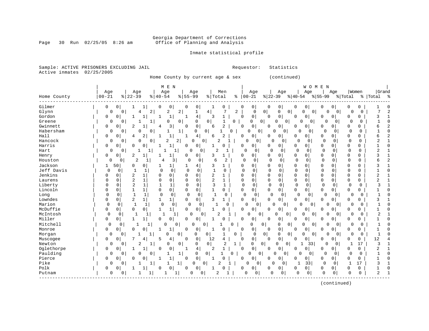### Georgia Department of Corrections<br>Page 30 Run 02/25/05 8:26 am 60ffice of Planning and Analysis Office of Planning and Analysis

Inmate statistical profile

Sample: ACTIVE PRISONERS EXCLUDING JAIL **Requestor:** Statistics Active inmates 02/25/2005

Home County by current age & sex (continued)

|             |             |                                            | M E N                      |                            |                                |          |                               |                            |                      | WOMEN                        |             |             |                     |
|-------------|-------------|--------------------------------------------|----------------------------|----------------------------|--------------------------------|----------|-------------------------------|----------------------------|----------------------|------------------------------|-------------|-------------|---------------------|
|             | Age         | Age                                        | Age                        | Age                        | Men                            |          | Age                           | Age                        | Age                  | Age                          | Women       |             | Grand               |
| Home County | $00 - 21$   | $\frac{8}{22} - 39$                        | $40 - 54$<br>%             | $8155 - 99$                | % Total                        | ိ        | $00 - 21$                     | $ 22-39$                   | $ 40-54$             | $8 55-99$                    | % Total     | ိင<br>Total | ္က                  |
| Gilmer      | 0           | 0                                          | 0<br>0                     | 0<br>0                     | 0                              | C        | 0                             | 0<br>$\Omega$              | 0<br>0               | 0<br>0                       | 0           | 0           |                     |
| Glynn       | 0           | 0<br>4                                     | $\overline{c}$<br>2        | 2<br>1                     | 7<br>4                         | 2        | $\cap$                        | 0 <br>0<br>$\mathbf 0$     | 0                    | 0<br>0                       | O           | $\Omega$    | $\overline{7}$<br>2 |
| Gordon      | 0           | 0                                          | $\mathbf{1}$<br>-1         | $\overline{4}$             | 3<br>$\mathbf{1}$              | $\Omega$ | 0                             | $\mathbf 0$<br>$\Omega$    | 0<br>0               | 0<br>0                       | 0           | 0           | 3                   |
| Greene      | 0           | 0                                          | 1<br>0                     | 0<br>$\mathbf 0$           | $\overline{0}$                 | 0        | $\mathbf 0$<br>$\overline{0}$ | 0<br>0                     | 0<br>$\overline{0}$  | 0<br>$\Omega$                | $\Omega$    | O           |                     |
| Gwinnett    | 0           | 0<br>2<br>1                                | 3<br>4                     | 0<br>0                     | 2<br>6                         |          | 0<br>$\Omega$                 | 0<br>$\Omega$              | 0<br>0               | 0<br>$\Omega$                | 0           | 0           | б                   |
| Habersham   | 0           | $\Omega$<br>$\Omega$                       | $\mathbf 0$<br>1           | 1<br>$\Omega$              | 0<br>1                         | $\Omega$ | $\Omega$<br>$\Omega$          | $\Omega$<br>0              | U<br>0               | $\Omega$<br>0                | $\Omega$    | $\Omega$    | 1                   |
| Hall        | 0<br>0      | 2<br>4                                     | $\mathbf{1}$               | 4                          | 2<br>6                         | 0        | 0                             | 0<br>U                     | 0<br>0               | 0<br>0                       | 0           | 0           | б                   |
| Hancock     | 0           | $\Omega$<br>0                              | 0<br>2                     | $\overline{2}$<br>$\Omega$ | 0<br>$\overline{c}$            |          | 0<br>Ω                        | $\Omega$<br>$\Omega$       | $\Omega$<br>0        | $\Omega$<br>0                | 0           | $\Omega$    | $\overline{a}$      |
| Harris      | 0           | 0<br>0<br>$\Omega$                         | 1<br>-1                    | $\mathbf 0$<br>0           | 1<br>O                         | 0        | 0                             | $\Omega$<br><sup>0</sup>   | 0<br>$\Omega$        | $\Omega$<br>0                | 0           | 0           | C                   |
| Hart        | 0           | 0                                          | 1                          | 1<br>$\Omega$              | $\overline{2}$<br>0<br>1       |          | $\Omega$<br>$\Omega$          | $\Omega$<br>$\Omega$       | $\Omega$<br>$\Omega$ | $\Omega$<br>$\Omega$         | $\Omega$    | $\Omega$    | 2                   |
| Henry       | 0<br>0      | 2                                          | $\mathbf{1}$               | 0<br>0                     | $\mathbf{1}$<br>3              | 0        | 0                             | 0<br>0                     | 0<br>0               | $\Omega$<br>0                | 0           | 0           | 3                   |
| Houston     | 0           | $\overline{2}$<br>0                        | 1<br>4                     | 3<br>0<br>$\mathbf 0$      | 2<br>6                         |          | $\mathbf 0$<br>0              | $\Omega$<br>0              | $\mathbf 0$<br>0     | $\Omega$<br>0                | $\mathbf 0$ | $\mathbf 0$ | 2<br>6              |
| Jackson     | 50<br>1     | 0<br>$\Omega$                              | $\mathbf{1}$<br>1          | 4 <sub>1</sub><br>1        | 3<br>$\mathbf{1}$              | 0        | 0                             | $\Omega$<br>0              | 0<br>0               | $\Omega$<br>$\Omega$         | 0           | $\Omega$    | 3                   |
| Jeff Davis  | $\mathbf 0$ | 0<br>1<br>$\mathbf 1$                      | $\Omega$<br>$\mathbf 0$    | $\mathbf 0$<br>$\mathbf 0$ | $\overline{1}$<br>0            |          | $\Omega$<br>0                 | $\mathbf 0$<br>0           | $\mathbf 0$<br>0     | $\Omega$<br>0                | 0           | $\Omega$    | $\sqrt{ }$          |
| Jenkins     | 0<br>O      | $\overline{a}$<br>1                        | 0<br>0                     | 0<br>0                     | $\overline{2}$<br>1            | O        | 0                             | $\mathbf 0$<br>$\mathbf 0$ | 0<br>0               | $\Omega$<br>0                | 0           | 0           | 2                   |
| Laurens     | $\Omega$    | 2<br>1<br>0                                | 0<br>$\Omega$              | 0<br>0                     | $\overline{2}$<br>1            |          | $\Omega$<br>0                 | $\Omega$<br>$\mathbf 0$    | 0<br>0               | $\mathbf 0$<br>0             | 0           | 0           | 2                   |
| Liberty     | $\Omega$    | $\overline{2}$<br>$\mathbf{1}$<br>$\Omega$ | $\mathbf{1}$<br>1          | $\Omega$<br>0              | 3<br>1                         |          | $\Omega$<br>0                 | $\Omega$<br>$\Omega$       | $\Omega$<br>$\Omega$ | $\Omega$<br>0                | $\mathbf 0$ | $\Omega$    |                     |
| Lincoln     | 0<br>O      | 1<br>1                                     | 0<br>0                     | 0<br>0                     | $\mathbf{1}$<br>0              |          | 0<br>0                        | $\Omega$<br>$\mathbf 0$    | 0<br>0               | $\mathbf 0$<br>0             | 0           | 0           |                     |
| Long        | 0           | 0<br>$\mathbf{1}$<br>1                     | $\mathbf 0$<br>$\mathbf 0$ | $\mathbf 0$<br>$\mathbf 0$ | $\Omega$<br>1                  |          | $\mathbf 0$<br>0              | 0<br>0                     | 0<br>0               | 0<br>$\Omega$                | 0           | $\Omega$    | $\mathbf{1}$        |
| Lowndes     | 0           | 2<br>$\mathbf{1}$<br>0                     | $\mathbf{1}$<br>1          | 0<br>$\overline{0}$        | $\mathbf{1}$<br>3              | 0        | 0                             | $\mathbf 0$<br>0           | 0<br>0               | 0<br>$\mathbf 0$             | 0           | 0           | 3                   |
| Marion      | $\Omega$    | $\mathbf{1}$<br>$\Omega$<br>1              | $\Omega$                   | $\mathbf 0$<br>0           | 1<br>$\Omega$<br>$\Omega$      |          | $\Omega$<br>0                 | U<br>$\Omega$              | $\Omega$             | 0<br>$\Omega$<br>$\Omega$    | $\Omega$    | $\Omega$    | 1                   |
| McDuffie    | 0           | $\Omega$<br>0<br>0                         | 1<br>$\mathbf{1}$          | 0<br>$\mathbf 0$           | O                              | 0        | 0                             | 0<br><sup>0</sup>          | $\Omega$<br>0        | 0<br>$\Omega$                | O           | 0           |                     |
| McIntosh    | 0           | 0<br>1                                     | 1                          | $\Omega$<br>1              | 2<br>0                         |          | 0<br>$\Omega$                 | 0<br>$\Omega$              | 0                    | 0<br>0                       | O           | 0           | 2                   |
| Miller      | 0<br>0      | $\mathbf{1}$                               | $\mathbf 0$<br>0           | 0<br>$\mathbf 0$           | 1<br>O                         |          | $\mathbf 0$<br>0              | 0<br>$\Omega$              | 0<br>0               | $\Omega$<br>0                | 0           | 0           |                     |
| Mitchell    | $\mathbf 0$ | 0<br>1                                     | 1<br>0                     | 0<br>$\Omega$              | $\Omega$                       | $\Omega$ | $\Omega$                      | 0<br>0<br>0                | 0                    | 0<br>0<br>U                  | 0           | $\Omega$    |                     |
| Monroe      | 0           | $\mathbf 0$<br>$\mathbf{0}$<br>0           | 1<br>1                     | 0<br>0                     | 1<br>U                         | $\Omega$ | 0                             | $\mathbf 0$<br>$\Omega$    | 0<br>0               | $\Omega$<br><sup>0</sup>     | $\Omega$    | 0           | 1                   |
| Morgan      | $\Omega$    | 0                                          | $\mathbf{1}$<br>0          | 0<br>0                     | 0                              | $\Omega$ | $\mathbf 0$                   | 0 <br>0<br>0               | $\Omega$             | $\mathbf 0$<br>$\Omega$<br>0 | $\Omega$    | $\mathbf 0$ | $\mathbf{1}$        |
| Muscogee    | 0           | 0<br>4                                     | 4<br>5                     | $\mathsf 0$<br>$\Omega$    | 12<br>4                        | $\Omega$ | 0                             | $\mathsf 0$<br>$\Omega$    | 0<br>0               | 0<br>0                       | 0           | 12<br>0     |                     |
| Newton      | 0           | 2<br>0                                     | 1<br>0                     | 0<br>$\mathbf 0$           | 0  <br>$\overline{2}$          | 1        | 0                             | $\overline{0}$<br>0<br>0,  | 33                   | $\Omega$<br>$\Omega$         |             | 17          | 3                   |
| Oglethorpe  | 0<br>0      | 1<br>1                                     | $\mathbf 0$<br>0           | 4<br>1                     | $\overline{2}$<br>$\mathbf{1}$ |          | 0<br>0                        | $\mathbf 0$<br>$\Omega$    | 0<br>0               | 0<br>0                       | 0           | 0           | 2<br>$\mathbf{1}$   |
| Paulding    | 0           | 0<br>0                                     | 0<br>1                     | 1<br>0                     | 0                              | 0        | $\mathbf 0$<br>O              | $\Omega$<br>$\overline{0}$ | U<br>0               | $\Omega$<br>0                | $\Omega$    | 0           | $\cap$              |
| Pierce      | $\Omega$    | $\Omega$<br>0<br>$\Omega$                  | $\mathbf{1}$<br>1          | $\mathbf 0$<br>$\mathbf 0$ | $\Omega$<br>1                  |          | 0<br>$\Omega$                 | $\mathbf 0$<br>$\Omega$    | 0<br>0               | 0<br>0                       | $\Omega$    | 0           | $\bigcap$           |
| Pike        | 0           | $\Omega$<br>1                              | 1<br>1                     | 1 <br>0                    | 2<br>0                         |          | 0                             | O<br>0                     | 1<br>33              | $\Omega$<br>$\Omega$         | 1           | 17          | 3                   |
| Polk        | 0           | 0                                          | 0<br>0                     | 0<br>0                     | O<br>1                         | 0        | 0                             | 0<br>0                     | 0<br>0               | 0<br>0                       | 0           | 0           |                     |
| Putnam      | 0           | 0                                          |                            | 0<br>1                     | $\mathbf 0$<br>2               |          | O<br>0                        | 0<br>0                     | 0<br>0               | 0<br>0                       | 0           | 0           | $\overline{2}$      |

(continued)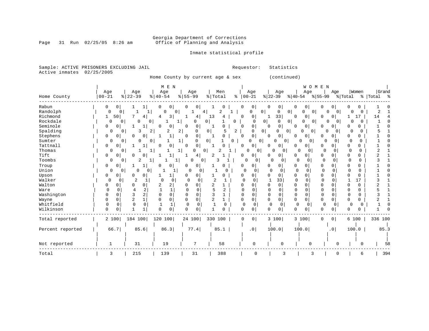# Georgia Department of Corrections<br>Page 31 Run 02/25/05 8:26 am 60ffice of Planning and Analysis Office of Planning and Analysis

Inmate statistical profile

Sample: ACTIVE PRISONERS EXCLUDING JAIL **Requestor:** Statistics Active inmates 02/25/2005

Home County by current age & sex (continued)

|                  |                      |                      | M E N         |                     |                            |                      |                                        | WOMEN                                 |                         |                      |                |
|------------------|----------------------|----------------------|---------------|---------------------|----------------------------|----------------------|----------------------------------------|---------------------------------------|-------------------------|----------------------|----------------|
|                  | Age                  | Age                  | Age           | Age                 | Men                        | Age                  | Age                                    | Age                                   | Age                     | Women                | Grand          |
| Home County      | $00 - 21$            | $8   22 - 39$        | $8   40 - 54$ | $8 55-99$           | % Total                    | $8   00 - 21$        | $ 22-39 $                              | $ 40-54 $                             | $ 55-99$                | % Total              | % Total %      |
| Rabun            | 0<br>0               |                      | 0             | U                   |                            | 0                    | 0                                      | 0<br>0                                | 0                       |                      |                |
| Randolph         | $\Omega$<br>0        | $\mathbf{1}$         | $\Omega$<br>0 | 1<br>4              | 2                          | 0                    | 0<br>0                                 | 0<br>$\Omega$<br>$\circ$              | O<br>0 <sup>1</sup>     | 0<br>0               | $\overline{2}$ |
| Richmond         | 50<br>1              | 4                    | 3<br>4        | 4<br>1              | 13<br>4                    | 0<br>0               | 33                                     | $\mathbf{0}$<br>0                     | 0<br>0                  | 17                   | 14             |
| Rockdale         | 0<br>0               | 0<br>0 <sup>1</sup>  | 1             | 0                   | 0<br>0                     | $\Omega$             | 0 <br>0                                | 0 <sup>1</sup><br>0<br>$\overline{0}$ | O<br>$\overline{0}$     | O<br>0               |                |
| Seminole         | 0<br>0               |                      | 0<br>O        | $\Omega$<br>0       | O                          | 0<br>$\Omega$        | $\mathbf 0$<br>$\Omega$                | 0 <sup>1</sup><br>0                   | 0<br>0                  | O<br>0               |                |
| Spalding         | 0                    | $\Omega$<br>3        | 2<br>2        | $\overline{2}$<br>O | $\mathbf 0$                | 2<br>U               | 0 <sup>1</sup><br>$\Omega$<br>$\Omega$ | 0<br>O                                | $\Omega$<br>$\Omega$    | ∩<br>O               |                |
| Stephens         | 0<br>0               | $\Omega$             | 1             | 0<br><sup>0</sup>   | O                          | 0<br>$\Omega$        | 0<br>$\cap$                            | 0<br>$\overline{0}$                   | 0<br>O                  | 0<br>∩               |                |
| Sumter           | 0                    | 0<br>0               | 0             | $\mathbf{1}$<br>O   | 0 <sup>1</sup><br>$\Omega$ | O                    | 0<br>0<br>0                            | $\Omega$<br>0                         | O<br>0                  | 0<br>0               |                |
| Tattnall         | 0<br>0               |                      | 0             | 0<br>O              |                            | $\Omega$<br>0        | 0                                      | 0<br>0                                | 0<br>0                  | 0<br>Ω               |                |
| Thomas           | 0<br>0               |                      | 1             | 0<br>$\mathbf 0$    | 2                          | 0                    | 0<br>$\Omega$<br>0                     | $\Omega$<br>$\Omega$                  | $\Omega$<br>$\Omega$    | $\Omega$<br>$\Omega$ |                |
| Tift             | 0<br>0               | O                    |               | 4 <sup>1</sup>      | 2                          | 0<br>0               | O<br>0                                 | 0<br>0                                | 0<br>0                  | 0<br>Ω               |                |
| Toombs           | 0                    | 2<br>1  <br>0        |               | 0<br>0              | 3                          | 0<br>0               | 0<br>0                                 | 0<br>0                                | $\Omega$<br>0           | 0<br>0               |                |
| Troup            | 0<br>0               |                      | 0<br>O        | 0<br>0              | 0                          | 0<br>0               | $\Omega$<br>0                          | 0<br>O                                | 0<br>0                  | 0<br>Ω               |                |
| Union            | 0<br><sup>n</sup>    | <sup>0</sup><br>U    | 1             | ∩<br>∩              |                            | $\Omega$<br>$\Omega$ | $\Omega$<br>∩                          | $\Omega$<br>0                         | n<br>U                  | 0                    |                |
| Upson            | 0<br>0               | $\Omega$             | 1             | 0<br>0              | U                          | 0<br>0               | 0<br>0                                 | 0<br>O                                | $\Omega$<br>0           | $\Omega$<br>U        |                |
| Walker           | $\Omega$<br>0        | 2                    | 0<br>U        | $\Omega$<br>0       | 2                          | O<br><sup>0</sup>    | 33                                     | 0<br>$\Omega$                         | $\Omega$<br>$\Omega$    | 17                   |                |
| Walton           | 0<br>0               | $\Omega$<br>0        | 2             | 0                   | 2                          | 0<br>0               | 0<br>$\Omega$                          | 0<br>0                                | $\Omega$<br>0           | 0<br>O               |                |
| Ware             | 0<br>0               | 2                    | $\mathbf 1$   | 0<br>0              | 5<br>2                     | U<br>$\Omega$        | 0<br>0                                 | $\mathbf 0$<br>0                      | 0<br>$\Omega$           | 0<br>O               |                |
| Washington       | U<br>$\Omega$        | 2<br>3               | 0<br>$\Omega$ | O<br>$\Omega$       | 3<br>1                     | 0<br>$\Omega$        | $\Omega$<br>$\Omega$                   | 0<br>$\Omega$                         | 0<br>0                  | $\Omega$<br>$\Omega$ |                |
| Wayne            | 0<br>$\Omega$        | $\overline{2}$       | 0<br>$\Omega$ | $\Omega$<br>0       | 2<br>1                     | 0<br>$\Omega$        | 0<br>0                                 | 0<br>$\mathbf 0$                      | 0<br>0                  | $\Omega$<br>0        |                |
| Whitfield        | $\Omega$<br>$\Omega$ | $\Omega$<br>$\Omega$ | 1             | $\Omega$<br>0       | 0                          | $\mathbf 0$<br>0     | $\mathbf 0$<br>0                       | $\Omega$<br>$\Omega$                  | $\mathbf 0$<br>$\Omega$ | 0                    |                |
| Wilkinson        | 0<br>O               |                      | 0<br>$\cap$   | $\Omega$            |                            | 0<br>$\Omega$        | 0<br>0                                 | 0<br>$\Omega$                         | $\mathbf 0$<br>0        | Λ<br>ი               |                |
| Total reported   | 2 100                | 184 100              | 120 100       | 24 100              | 330 100                    | $\mathbf 0$<br>0     | 3 100                                  | 3 100                                 | 0 <sup>1</sup><br>0     | 6 100                | 336 100        |
| Percent reported | 66.7                 | 85.6                 | 86.3          | 77.4                | 85.1                       | .0 <sub>1</sub>      | 100.0                                  | 100.0                                 | .0 <sub>1</sub>         | 100.0                | 85.3           |
|                  |                      |                      |               |                     |                            |                      |                                        |                                       |                         |                      |                |
| Not reported     | $\mathbf{1}$         | 31                   | 19            | 7                   | 58                         | $\mathbf 0$          | $\Omega$                               | $\mathbf 0$                           |                         | 0                    | 58             |
| Total            | 3                    | 215                  | 139           | 31                  | 388                        | 0                    | 3                                      | 3                                     |                         | 6                    | 394            |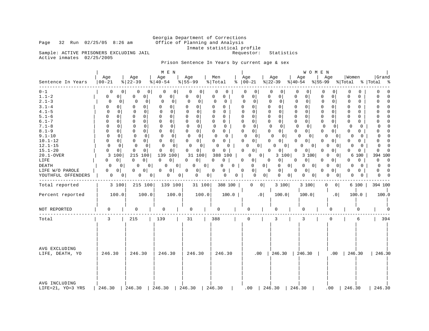# Georgia Department of Corrections<br>Page 32 Run 02/25/05 8:26 am 60ffice of Planning and Analysis Office of Planning and Analysis Inmate statistical profile<br>Requestor: Statistics

Sample: ACTIVE PRISONERS EXCLUDING JAIL Active inmates 02/25/2005

Prison Sentence In Years by current age & sex

| Sentence In Years<br>-----------                                                                                                                                                                                                                             | Age<br>  00-21                                                                                                                                                                                                                                                                                                                                                                                                                            | Age<br>$ 22-39$                                                                                                                                                                                                                                                                                                                                                                                | M E N<br>Age<br>$\frac{1}{6}$   40-54                                                                                                                                                                                                                                                                                                                                                                            | Age<br>$8 55-99$                                                                                                                                                                                                                                                                                                                                                                                                                                   | Men<br>% Total                                                                                                                                                                                                                                                                                                                                               | Age<br>$8   00 - 21$                                                                                                                                                                                                                                                                                                                                                                                                                                             | Age<br>% 22−39<br>$ 40-54 $                                                                                                                                                                                                                                                                                                                                                                                                                                                                                                                                 | WOMEN<br>Age<br>Age                                                                                                                                                                                                                                                                                                                                                                                                  | Women<br>$ \$ 55-99$ $ \$ Total$ $ \$ Total$                                                                                                                                                                                                                                                                                                                                                                                                                                                                                                                                                                                 | Grand<br>ႜ                                                                                                                                                                                                                                                                                                                                                                                                                                             |
|--------------------------------------------------------------------------------------------------------------------------------------------------------------------------------------------------------------------------------------------------------------|-------------------------------------------------------------------------------------------------------------------------------------------------------------------------------------------------------------------------------------------------------------------------------------------------------------------------------------------------------------------------------------------------------------------------------------------|------------------------------------------------------------------------------------------------------------------------------------------------------------------------------------------------------------------------------------------------------------------------------------------------------------------------------------------------------------------------------------------------|------------------------------------------------------------------------------------------------------------------------------------------------------------------------------------------------------------------------------------------------------------------------------------------------------------------------------------------------------------------------------------------------------------------|----------------------------------------------------------------------------------------------------------------------------------------------------------------------------------------------------------------------------------------------------------------------------------------------------------------------------------------------------------------------------------------------------------------------------------------------------|--------------------------------------------------------------------------------------------------------------------------------------------------------------------------------------------------------------------------------------------------------------------------------------------------------------------------------------------------------------|------------------------------------------------------------------------------------------------------------------------------------------------------------------------------------------------------------------------------------------------------------------------------------------------------------------------------------------------------------------------------------------------------------------------------------------------------------------|-------------------------------------------------------------------------------------------------------------------------------------------------------------------------------------------------------------------------------------------------------------------------------------------------------------------------------------------------------------------------------------------------------------------------------------------------------------------------------------------------------------------------------------------------------------|----------------------------------------------------------------------------------------------------------------------------------------------------------------------------------------------------------------------------------------------------------------------------------------------------------------------------------------------------------------------------------------------------------------------|------------------------------------------------------------------------------------------------------------------------------------------------------------------------------------------------------------------------------------------------------------------------------------------------------------------------------------------------------------------------------------------------------------------------------------------------------------------------------------------------------------------------------------------------------------------------------------------------------------------------------|--------------------------------------------------------------------------------------------------------------------------------------------------------------------------------------------------------------------------------------------------------------------------------------------------------------------------------------------------------------------------------------------------------------------------------------------------------|
| $0 - 1$<br>$1.1 - 2$<br>$2.1 - 3$<br>$3.1 - 4$<br>$4.1 - 5$<br>$5.1 - 6$<br>$6.1 - 7$<br>$7.1 - 8$<br>$8.1 - 9$<br>$9.1 - 10$<br>$10.1 - 12$<br>$12.1 - 15$<br>$15.1 - 20$<br>$20.1 - OVER$<br>LIFE<br><b>DEATH</b><br>LIFE W/O PAROLE<br>YOUTHFUL OFFENDERS | 0<br>$\mathbf{0}$<br>$\mathbf 0$<br>$\Omega$<br>0<br>$\circ$<br>$\mathbf 0$<br>0<br>$\Omega$<br>$\Omega$<br>$\Omega$<br>$\mathbf 0$<br>$\Omega$<br>$\Omega$<br>$\Omega$<br>$\Omega$<br>$\mathbf 0$<br>0 <sup>1</sup><br>$\mathbf 0$<br>$\Omega$<br>$\mathbf 0$<br>$\overline{0}$<br>$\mathbf 0$<br>$\mathbf 0$<br>$\Omega$<br>$\Omega$<br>3<br>100 <br>$\Omega$<br>0 <sup>1</sup><br>0<br>$\Omega$<br>0 <sup>1</sup><br>$\mathbf{0}$<br>0 | 0<br>0<br>0<br>0<br>0<br>0<br>$\Omega$<br>0<br>$\Omega$<br>$\Omega$<br>$\mathbf 0$<br>$\Omega$<br>$\mathbf 0$<br>$\Omega$<br>$\Omega$<br>0<br>$\mathbf{0}$<br>$\mathbf 0$<br>$\mathbf 0$<br>$\mathbf{0}$<br>0<br>0<br>$\mathbf 0$<br>$\mathbf{0}$<br>0<br>0<br>215<br>100<br>$\Omega$<br>$\Omega$<br>0 <sup>1</sup><br>0<br>0 <sup>1</sup><br>$\overline{0}$<br>0<br>0 <sup>1</sup><br>$\circ$ | 0<br>0<br>$\mathbf 0$<br>0<br>$\mathbf 0$<br>$\mathbf 0$<br>$\Omega$<br>$\mathbf{0}$<br>$\Omega$<br>$\Omega$<br>$\overline{0}$<br>$\Omega$<br>0 <sup>1</sup><br>0<br>$\Omega$<br>$\mathbf 0$<br>0<br>0 <sup>1</sup><br>0<br>0 <sup>1</sup><br>0<br>0 <sup>1</sup><br>0<br>0 <sup>1</sup><br>0 <sup>1</sup><br>$\Omega$<br>139 100<br>$\Omega$<br>0<br>0<br>0 <sup>1</sup><br>0 <sup>1</sup><br>0<br>0<br>$\circ$ | 0<br>$\mathbf{0}$<br>0 <sup>1</sup><br>0<br>$\mathbf 0$<br>$\mathbf 0$<br>0<br>0 <sup>1</sup><br>$\Omega$<br>$\Omega$<br>$\mathbf 0$<br>$\circ$<br>$\mathbf 0$<br>$\circ$<br>$\Omega$<br>$\mathbf 0$<br>$\mathbf 0$<br>0 <sup>1</sup><br>$\Omega$<br>0<br>0<br>0 <sup>1</sup><br>$\Omega$<br>0 <sup>1</sup><br>$\Omega$<br>0 I<br>31 100<br>$\overline{0}$<br>$\Omega$<br>$\Omega$<br>0 <sup>1</sup><br>0 <sup>1</sup><br>0<br>0<br>0 <sup>1</sup> | 0<br>0<br>0<br>0<br>$\Omega$<br>$\mathbf 0$<br>0<br>$\Omega$<br>$\Omega$<br>$\Omega$<br>$\mathbf 0$<br>$\Omega$<br>$\mathbf 0$<br>$\Omega$<br>$\Omega$<br>$\Omega$<br>$\mathbf 0$<br>$\Omega$<br>$\Omega$<br>$\Omega$<br>$\Omega$<br>0<br>0<br>0<br>$\Omega$<br>0<br>388<br>100<br>$\Omega$<br>$\mathbf 0$<br>$\Omega$<br>0<br>$\overline{0}$<br>0<br>0<br>0 | 0<br>0<br>$\mathbf 0$<br>$\overline{0}$<br>$\mathbf 0$<br>0 <sup>1</sup><br>$\Omega$<br>$\overline{0}$<br>$\Omega$<br>$\Omega$<br>$\overline{0}$<br>$\mathbf 0$<br>$\mathbf 0$<br>$\circ$<br>$\mathbf 0$<br>$\circ$<br>0 <sup>1</sup><br>$\Omega$<br>$\Omega$<br>0<br>0 <sup>1</sup><br>0<br>$\Omega$<br>0 <sup>1</sup><br>$\Omega$<br>$\Omega$<br>0 <sup>1</sup><br>$\Omega$<br>$\Omega$<br>0 <sup>1</sup><br>$\mathbf 0$<br>0 <sup>1</sup><br>$\mathbf 0$<br>0 | 0<br>0<br>0<br>0<br>$\overline{0}$<br>$\mathbf 0$<br>$\mathbf 0$<br>$\mathbf{0}$<br>0<br>$\mathbf 0$<br>$\mathbf 0$<br>0<br>$\Omega$<br>$\Omega$<br>$\Omega$<br>0<br>$\mathbf 0$<br>$\mathbf 0$<br>$\mathbf 0$<br>0<br>0<br>$\mathbf 0$<br>$\mathbf 0$<br>$\Omega$<br>$\mathbf 0$<br>$\overline{0}$<br>0<br>$\Omega$<br>$\mathbf{0}$<br>0<br>0<br>0<br>0 <sup>1</sup><br>U<br>0<br>$\Omega$<br>$\Omega$<br>3 100<br>0 <sup>1</sup><br>0<br><sup>n</sup><br>0 <sup>1</sup><br>0 <sup>1</sup><br>$\mathbf 0$<br>$\mathbf 0$<br>$\circ$<br>0<br>0<br> 0 <br> 0 | $\Omega$<br>$\Omega$<br>$\mathbf 0$<br>$\Omega$<br> 0 <br>0<br>$\mathbf 0$<br>$\mathbf 0$<br>$\mathbf 0$<br>$\Omega$<br>$\Omega$<br>$\mathbf 0$<br>0<br>$\mathbf 0$<br>0<br>0<br>0<br>0 <sup>1</sup><br>$\Omega$<br>0<br>$\Omega$<br>0<br>$\mathbf 0$<br>0<br>$\mathbf 0$<br>0<br>0 <sup>1</sup><br>$\Omega$<br>0<br>O<br>3 100<br>0<br>0<br>$\Omega$<br>0<br>$\mathbf 0$<br>$\Omega$<br>$\circ$<br>0<br>0<br>0<br>0 | 0<br>$\Omega$<br>$\Omega$<br>$\Omega$<br>$\Omega$<br>$\Omega$<br>$\mathbf 0$<br>$\mathbf 0$<br>0<br>$\Omega$<br>$\Omega$<br>$\Omega$<br>$\Omega$<br>$\Omega$<br>0 <sup>1</sup><br>$\mathbf 0$<br>$\mathbf 0$<br>$\Omega$<br>$\Omega$<br>$\Omega$<br>$\mathbf 0$<br>$\Omega$<br>$\Omega$<br>0 <sup>1</sup><br>0<br>$\overline{0}$<br>$\mathbf 0$<br>$\circ$<br>O<br>0 <sup>1</sup><br>0<br>0<br>0 <sup>1</sup><br>$\Omega$<br>$\mathbf 0$<br>$\Omega$<br>0<br>0 <sup>1</sup><br>6 100<br>0<br>$\overline{0}$<br>0 <sup>1</sup><br>$\Omega$<br>$\mathbf 0$<br>0<br>0 <sup>1</sup><br>0<br>$\Omega$<br>0 <sup>1</sup><br>0<br>0 | $\Omega$<br>0<br>$\Omega$<br>$\Omega$<br>$\Omega$<br>$\Omega$<br>$\mathbf 0$<br>$\Omega$<br>$\Omega$<br>$\Omega$<br>$\mathbf 0$<br>$\Omega$<br>$\mathbf 0$<br>$\Omega$<br>$\Omega$<br>$\Omega$<br>$\Omega$<br>$\Omega$<br>$\mathbf 0$<br>$\Omega$<br>$\Omega$<br>$\Omega$<br>$\mathbf 0$<br>$\Omega$<br>$\Omega$<br>$\Omega$<br>394 100<br>$\Omega$<br>$\Omega$<br>$\overline{\phantom{0}}$<br>$\Omega$<br>$\Omega$<br>$\Omega$<br>$\overline{0}$<br>0 |
| Total reported                                                                                                                                                                                                                                               | 3 100                                                                                                                                                                                                                                                                                                                                                                                                                                     | 215 100                                                                                                                                                                                                                                                                                                                                                                                        | 139 100                                                                                                                                                                                                                                                                                                                                                                                                          | 31 100                                                                                                                                                                                                                                                                                                                                                                                                                                             | 388 100                                                                                                                                                                                                                                                                                                                                                      | $\mathbf{0}$<br>0 <sup>1</sup>                                                                                                                                                                                                                                                                                                                                                                                                                                   | 3 100                                                                                                                                                                                                                                                                                                                                                                                                                                                                                                                                                       | 3 100<br>$\Omega$                                                                                                                                                                                                                                                                                                                                                                                                    | 0 <sup>1</sup><br>6100                                                                                                                                                                                                                                                                                                                                                                                                                                                                                                                                                                                                       | 394 100                                                                                                                                                                                                                                                                                                                                                                                                                                                |
| Percent reported                                                                                                                                                                                                                                             | 100.0                                                                                                                                                                                                                                                                                                                                                                                                                                     | 100.0                                                                                                                                                                                                                                                                                                                                                                                          | 100.0                                                                                                                                                                                                                                                                                                                                                                                                            | 100.0                                                                                                                                                                                                                                                                                                                                                                                                                                              | 100.0                                                                                                                                                                                                                                                                                                                                                        | $.0$                                                                                                                                                                                                                                                                                                                                                                                                                                                             | 100.0                                                                                                                                                                                                                                                                                                                                                                                                                                                                                                                                                       | 100.0                                                                                                                                                                                                                                                                                                                                                                                                                | $.0$  <br>100.0                                                                                                                                                                                                                                                                                                                                                                                                                                                                                                                                                                                                              | 100.0                                                                                                                                                                                                                                                                                                                                                                                                                                                  |
| NOT REPORTED                                                                                                                                                                                                                                                 | $\mathbf 0$                                                                                                                                                                                                                                                                                                                                                                                                                               | $\mathbf 0$                                                                                                                                                                                                                                                                                                                                                                                    | 0                                                                                                                                                                                                                                                                                                                                                                                                                | 0                                                                                                                                                                                                                                                                                                                                                                                                                                                  | 0                                                                                                                                                                                                                                                                                                                                                            | 0                                                                                                                                                                                                                                                                                                                                                                                                                                                                | 0                                                                                                                                                                                                                                                                                                                                                                                                                                                                                                                                                           | 0<br>$\Omega$                                                                                                                                                                                                                                                                                                                                                                                                        | 0                                                                                                                                                                                                                                                                                                                                                                                                                                                                                                                                                                                                                            |                                                                                                                                                                                                                                                                                                                                                                                                                                                        |
| Total                                                                                                                                                                                                                                                        | 3                                                                                                                                                                                                                                                                                                                                                                                                                                         | 215                                                                                                                                                                                                                                                                                                                                                                                            | 139                                                                                                                                                                                                                                                                                                                                                                                                              | 31                                                                                                                                                                                                                                                                                                                                                                                                                                                 | 388                                                                                                                                                                                                                                                                                                                                                          | 0                                                                                                                                                                                                                                                                                                                                                                                                                                                                | 3                                                                                                                                                                                                                                                                                                                                                                                                                                                                                                                                                           | 3<br>$\Omega$                                                                                                                                                                                                                                                                                                                                                                                                        | 6                                                                                                                                                                                                                                                                                                                                                                                                                                                                                                                                                                                                                            | 394                                                                                                                                                                                                                                                                                                                                                                                                                                                    |
| AVG EXCLUDING<br>LIFE, DEATH, YO                                                                                                                                                                                                                             | 246.30                                                                                                                                                                                                                                                                                                                                                                                                                                    | 246.30                                                                                                                                                                                                                                                                                                                                                                                         | 246.30                                                                                                                                                                                                                                                                                                                                                                                                           | 246.30                                                                                                                                                                                                                                                                                                                                                                                                                                             | 246.30                                                                                                                                                                                                                                                                                                                                                       | .00                                                                                                                                                                                                                                                                                                                                                                                                                                                              | 246.30                                                                                                                                                                                                                                                                                                                                                                                                                                                                                                                                                      | $246.30$                                                                                                                                                                                                                                                                                                                                                                                                             | $.00$   246.30                                                                                                                                                                                                                                                                                                                                                                                                                                                                                                                                                                                                               | 246.30                                                                                                                                                                                                                                                                                                                                                                                                                                                 |
| AVG INCLUDING<br>LIFE=21, YO=3 YRS                                                                                                                                                                                                                           | $\vert$ 246.30 $\vert$ 246.30                                                                                                                                                                                                                                                                                                                                                                                                             |                                                                                                                                                                                                                                                                                                                                                                                                | 246.30                                                                                                                                                                                                                                                                                                                                                                                                           | 246.30                                                                                                                                                                                                                                                                                                                                                                                                                                             | 246.30                                                                                                                                                                                                                                                                                                                                                       | .00                                                                                                                                                                                                                                                                                                                                                                                                                                                              | 246.30                                                                                                                                                                                                                                                                                                                                                                                                                                                                                                                                                      | 246.30<br>.00                                                                                                                                                                                                                                                                                                                                                                                                        | 246.30                                                                                                                                                                                                                                                                                                                                                                                                                                                                                                                                                                                                                       | 246.30                                                                                                                                                                                                                                                                                                                                                                                                                                                 |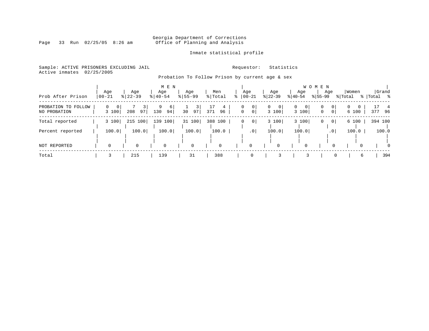# Georgia Department of Corrections<br>Page 33 Run 02/25/05 8:26 am 60ffice of Planning and Analysis Office of Planning and Analysis

Inmate statistical profile

Sample: ACTIVE PRISONERS EXCLUDING JAIL **Requestor:** Statistics Active inmates 02/25/2005

Probation To Follow Prison by current age & sex

|                                     |                                   |                      | M E N                |                    |                      |                                         |                                           |                                     | W O M E N                                             |                        |                    |
|-------------------------------------|-----------------------------------|----------------------|----------------------|--------------------|----------------------|-----------------------------------------|-------------------------------------------|-------------------------------------|-------------------------------------------------------|------------------------|--------------------|
| Prob After Prison                   | Age<br>$ 00 - 21$                 | Age<br>$8   22 - 39$ | Age<br>$8140 - 54$   | Age<br>$8155 - 99$ | Men<br>% Total       | Age<br>$ 00 - 21$                       | Aqe<br>$ 22 - 39 $                        | Age<br>$ 40-54 $                    | Age<br>$ 55-99 $                                      | Women<br>% Total       | Grand<br>% Total % |
| PROBATION TO FOLLOW<br>NO PROBATION | $\Omega$<br>$\mathbf{0}$<br>3 100 | 3<br>97<br>208       | 9<br>6 <br>130<br>94 | 97<br>30           | 17<br>4<br>371<br>96 | 0<br>0<br>$\mathbf 0$<br>$\overline{0}$ | $\overline{0}$<br>0 <sup>1</sup><br>3 100 | $\Omega$<br>$\overline{0}$<br>3 100 | 0 <sup>1</sup><br>0<br>0 <sup>1</sup><br>$\mathbf{0}$ | $\Omega$<br>0<br>6 100 | 4<br>377 96        |
| Total reported                      | 3 100                             | 215 100              | 139 100              | 31 100             | 388 100              | $\mathbf 0$<br>$\mathbf{0}$             | 3 100                                     | 3 100                               | 0 <br>$\mathbf{0}$                                    | 6 100                  | 394 100            |
| Percent reported                    | 100.0                             | 100.0                | 100.0                | 100.0              | 100.0                | .0 <sup>1</sup>                         | 100.0                                     | 100.0                               | .0                                                    | 100.0                  | 100.0              |
| NOT REPORTED                        |                                   | $\Omega$             | 0                    | 0                  | $\mathbf{0}$         | $\Omega$                                | $\Omega$                                  | $\mathbf 0$                         | 0                                                     | $\Omega$               | $\Omega$           |
| Total                               |                                   | 215                  | 139                  | 31                 | 388                  | $\Omega$                                |                                           |                                     |                                                       | 6                      | 394                |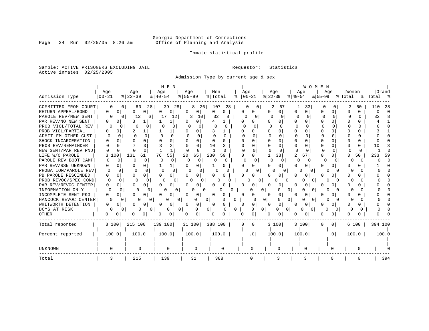# Georgia Department of Corrections<br>Page 34 Run 02/25/05 8:26 am 60ffice of Planning and Analysis Office of Planning and Analysis

Inmate statistical profile

Sample: ACTIVE PRISONERS EXCLUDING JAIL **Requestor:** Statistics Active inmates 02/25/2005

Admission Type by current age & sex

| Age<br>Age<br>Age<br>Men<br>Age<br>Age<br>  Women<br>Aqe<br>Age<br>Aqe<br>$8   22 - 39$<br>$8 55-99$<br>$ 22-39 $<br>Admission Type<br>$8140 - 54$<br>% Total<br>$ 00-21 $<br>$ 55-99 $<br>% Total<br>%   Total %<br>$00 - 21$<br>$ 40-54 $<br>ႜ<br>COMMITTED FROM COURT<br>110<br>0<br>28<br>39<br>28<br>107<br>28<br>33<br>50<br>$\Omega$<br>60<br>8<br>26 I<br>n<br>67<br>RETURN APPEAL/BOND<br>0<br>$\Omega$<br>O<br>0<br>U<br>$\Omega$<br>0<br>0<br>U<br>U<br>0<br><sup>0</sup><br>0<br>0<br>O<br>U<br>0<br>C<br>O<br>PAROLE REV/NEW SENT<br>17<br>32<br>8<br>∩<br><sup>0</sup><br>$\cap$<br>n<br>∩<br>∩<br>$\cap$<br>32<br>O<br>12<br>12<br>10<br><sup>0</sup><br>6<br>PAR REV/NO NEW SENT<br>3<br>N<br>$\Omega$<br>$\Omega$<br>U<br>O<br>PROB VIOL/TOTAL REV<br>0<br>∩<br>n<br><sup>n</sup><br>n<br>O<br>PROB VIOL/PARTIAL<br>3<br>U<br>0<br>N<br>$\Omega$<br>0<br>0<br>Ω<br>ADMIT FM OTHER CUST<br>O<br>$\Omega$<br>O<br>∩<br>$\Omega$<br>0<br>O<br>O<br>0<br>SHOCK INCARCERATION<br>0<br>$\Omega$<br>$\cap$<br>U<br>0<br>O<br>U<br><sup>0</sup><br>O<br>0<br>2<br>PROB REV/REMAINDER<br>10<br>0<br>$\Omega$<br>U<br>O<br>$\Omega$<br>U<br>$\Omega$<br>$\Omega$<br>0<br>10<br>NEW SENT/PAR REV PND<br>1<br>$\Omega$<br>∩<br><sup>n</sup><br><sup>n</sup><br>O<br><sup>0</sup><br><sup>n</sup><br><sup>n</sup><br>55<br>20<br>2<br>LIFE W/O PAROLE<br>131<br>61<br>76<br>65<br>230<br>331<br>100<br>59<br>O<br>0<br>67<br><sup>0</sup><br>0<br>50<br>233<br>3<br>PAROLE REV BOOT CAMP<br>O<br><sup>0</sup><br>O<br>0<br>$\Omega$<br>0<br>O<br>0<br>0<br>U<br>0<br><sup>0</sup><br>0<br>U<br>O<br>O<br>PAR REV/RSN UNKNOWN<br>0<br>O<br>0<br>0<br>$\Omega$<br>0<br>0<br>0<br>O<br>O<br>0<br>O<br>Ω<br>n<br>PROBATION/PAROLE REV<br>$\Omega$<br>0<br>$\Omega$<br>n<br>∩<br>$\Omega$<br>n<br>U<br>O<br>0<br>U<br>0<br>PB PAROLE RESCINDED<br>U<br><sup>0</sup><br>0<br>0<br>O<br>0<br>0<br>$\Omega$<br>0<br>n<br>U<br>PROB REVOC/SPEC COND<br>$\cap$<br>n<br>U<br>U<br>U<br>n.<br>PAR REV/REVOC CENTER<br>0<br>0<br>O<br><sup>0</sup><br>0<br>U<br>Ω<br>n<br>O<br>0<br>n<br>INFORMATION ONLY<br>O<br>0<br>O<br>$\Omega$<br>O<br>n<br>INCOMPLETE SENT PKG<br>0<br>O.<br>Ω<br>O<br>O<br>O<br>n<br>HANCOCK REVOC CENTER<br>0<br>0<br>01<br>01<br>0<br>0<br>O<br>$\Omega$<br>WHITWORTH DETENTION<br>0<br>0<br>0<br>0<br>0<br>0<br>U<br>O<br>0<br>$\Omega$<br>O<br>DCYS AT RISK<br>$\Omega$<br>$\Omega$<br>$\Omega$<br>0<br>0 <sup>1</sup><br>0<br>$\mathbf{0}$<br>$\Omega$<br>O<br>$\Omega$<br>0<br>0<br>0<br>$\Omega$<br><sup>o</sup><br>U<br>$^{(1)}$<br><b>OTHER</b><br>U<br>0<br>0<br>0<br>0<br>0<br>Total reported<br>215 100<br>139 100<br>31 100<br>388 100<br>3 100<br>0<br>3 100<br>3 100<br>0 <sup>1</sup><br>6 100<br>$\Omega$<br>0<br>100.0<br>100.0<br>Percent reported<br>100.0<br>100.0<br>100.0<br>100.0<br>100.0<br>.0 <sub>1</sub><br>100.0<br>.0 <sub>1</sub><br>UNKNOWN<br>0<br>$\Omega$<br>0<br>0<br>U<br>O<br>139<br>388<br>Total<br>215<br>31<br>3<br>3 |  | M E N |  |  | WOMEN |  |         |
|--------------------------------------------------------------------------------------------------------------------------------------------------------------------------------------------------------------------------------------------------------------------------------------------------------------------------------------------------------------------------------------------------------------------------------------------------------------------------------------------------------------------------------------------------------------------------------------------------------------------------------------------------------------------------------------------------------------------------------------------------------------------------------------------------------------------------------------------------------------------------------------------------------------------------------------------------------------------------------------------------------------------------------------------------------------------------------------------------------------------------------------------------------------------------------------------------------------------------------------------------------------------------------------------------------------------------------------------------------------------------------------------------------------------------------------------------------------------------------------------------------------------------------------------------------------------------------------------------------------------------------------------------------------------------------------------------------------------------------------------------------------------------------------------------------------------------------------------------------------------------------------------------------------------------------------------------------------------------------------------------------------------------------------------------------------------------------------------------------------------------------------------------------------------------------------------------------------------------------------------------------------------------------------------------------------------------------------------------------------------------------------------------------------------------------------------------------------------------------------------------------------------------------------------------------------------------------------------------------------------------------------------------------------------------------------------------------------------------------------------------------------------------------------------------------------------------------------------------------------------------------------------------------------------------------------------------------------------------------|--|-------|--|--|-------|--|---------|
|                                                                                                                                                                                                                                                                                                                                                                                                                                                                                                                                                                                                                                                                                                                                                                                                                                                                                                                                                                                                                                                                                                                                                                                                                                                                                                                                                                                                                                                                                                                                                                                                                                                                                                                                                                                                                                                                                                                                                                                                                                                                                                                                                                                                                                                                                                                                                                                                                                                                                                                                                                                                                                                                                                                                                                                                                                                                                                                                                                                |  |       |  |  |       |  | Grand   |
|                                                                                                                                                                                                                                                                                                                                                                                                                                                                                                                                                                                                                                                                                                                                                                                                                                                                                                                                                                                                                                                                                                                                                                                                                                                                                                                                                                                                                                                                                                                                                                                                                                                                                                                                                                                                                                                                                                                                                                                                                                                                                                                                                                                                                                                                                                                                                                                                                                                                                                                                                                                                                                                                                                                                                                                                                                                                                                                                                                                |  |       |  |  |       |  |         |
|                                                                                                                                                                                                                                                                                                                                                                                                                                                                                                                                                                                                                                                                                                                                                                                                                                                                                                                                                                                                                                                                                                                                                                                                                                                                                                                                                                                                                                                                                                                                                                                                                                                                                                                                                                                                                                                                                                                                                                                                                                                                                                                                                                                                                                                                                                                                                                                                                                                                                                                                                                                                                                                                                                                                                                                                                                                                                                                                                                                |  |       |  |  |       |  | -28     |
|                                                                                                                                                                                                                                                                                                                                                                                                                                                                                                                                                                                                                                                                                                                                                                                                                                                                                                                                                                                                                                                                                                                                                                                                                                                                                                                                                                                                                                                                                                                                                                                                                                                                                                                                                                                                                                                                                                                                                                                                                                                                                                                                                                                                                                                                                                                                                                                                                                                                                                                                                                                                                                                                                                                                                                                                                                                                                                                                                                                |  |       |  |  |       |  |         |
|                                                                                                                                                                                                                                                                                                                                                                                                                                                                                                                                                                                                                                                                                                                                                                                                                                                                                                                                                                                                                                                                                                                                                                                                                                                                                                                                                                                                                                                                                                                                                                                                                                                                                                                                                                                                                                                                                                                                                                                                                                                                                                                                                                                                                                                                                                                                                                                                                                                                                                                                                                                                                                                                                                                                                                                                                                                                                                                                                                                |  |       |  |  |       |  |         |
|                                                                                                                                                                                                                                                                                                                                                                                                                                                                                                                                                                                                                                                                                                                                                                                                                                                                                                                                                                                                                                                                                                                                                                                                                                                                                                                                                                                                                                                                                                                                                                                                                                                                                                                                                                                                                                                                                                                                                                                                                                                                                                                                                                                                                                                                                                                                                                                                                                                                                                                                                                                                                                                                                                                                                                                                                                                                                                                                                                                |  |       |  |  |       |  |         |
|                                                                                                                                                                                                                                                                                                                                                                                                                                                                                                                                                                                                                                                                                                                                                                                                                                                                                                                                                                                                                                                                                                                                                                                                                                                                                                                                                                                                                                                                                                                                                                                                                                                                                                                                                                                                                                                                                                                                                                                                                                                                                                                                                                                                                                                                                                                                                                                                                                                                                                                                                                                                                                                                                                                                                                                                                                                                                                                                                                                |  |       |  |  |       |  |         |
|                                                                                                                                                                                                                                                                                                                                                                                                                                                                                                                                                                                                                                                                                                                                                                                                                                                                                                                                                                                                                                                                                                                                                                                                                                                                                                                                                                                                                                                                                                                                                                                                                                                                                                                                                                                                                                                                                                                                                                                                                                                                                                                                                                                                                                                                                                                                                                                                                                                                                                                                                                                                                                                                                                                                                                                                                                                                                                                                                                                |  |       |  |  |       |  |         |
|                                                                                                                                                                                                                                                                                                                                                                                                                                                                                                                                                                                                                                                                                                                                                                                                                                                                                                                                                                                                                                                                                                                                                                                                                                                                                                                                                                                                                                                                                                                                                                                                                                                                                                                                                                                                                                                                                                                                                                                                                                                                                                                                                                                                                                                                                                                                                                                                                                                                                                                                                                                                                                                                                                                                                                                                                                                                                                                                                                                |  |       |  |  |       |  |         |
|                                                                                                                                                                                                                                                                                                                                                                                                                                                                                                                                                                                                                                                                                                                                                                                                                                                                                                                                                                                                                                                                                                                                                                                                                                                                                                                                                                                                                                                                                                                                                                                                                                                                                                                                                                                                                                                                                                                                                                                                                                                                                                                                                                                                                                                                                                                                                                                                                                                                                                                                                                                                                                                                                                                                                                                                                                                                                                                                                                                |  |       |  |  |       |  |         |
|                                                                                                                                                                                                                                                                                                                                                                                                                                                                                                                                                                                                                                                                                                                                                                                                                                                                                                                                                                                                                                                                                                                                                                                                                                                                                                                                                                                                                                                                                                                                                                                                                                                                                                                                                                                                                                                                                                                                                                                                                                                                                                                                                                                                                                                                                                                                                                                                                                                                                                                                                                                                                                                                                                                                                                                                                                                                                                                                                                                |  |       |  |  |       |  |         |
|                                                                                                                                                                                                                                                                                                                                                                                                                                                                                                                                                                                                                                                                                                                                                                                                                                                                                                                                                                                                                                                                                                                                                                                                                                                                                                                                                                                                                                                                                                                                                                                                                                                                                                                                                                                                                                                                                                                                                                                                                                                                                                                                                                                                                                                                                                                                                                                                                                                                                                                                                                                                                                                                                                                                                                                                                                                                                                                                                                                |  |       |  |  |       |  |         |
|                                                                                                                                                                                                                                                                                                                                                                                                                                                                                                                                                                                                                                                                                                                                                                                                                                                                                                                                                                                                                                                                                                                                                                                                                                                                                                                                                                                                                                                                                                                                                                                                                                                                                                                                                                                                                                                                                                                                                                                                                                                                                                                                                                                                                                                                                                                                                                                                                                                                                                                                                                                                                                                                                                                                                                                                                                                                                                                                                                                |  |       |  |  |       |  | 59      |
|                                                                                                                                                                                                                                                                                                                                                                                                                                                                                                                                                                                                                                                                                                                                                                                                                                                                                                                                                                                                                                                                                                                                                                                                                                                                                                                                                                                                                                                                                                                                                                                                                                                                                                                                                                                                                                                                                                                                                                                                                                                                                                                                                                                                                                                                                                                                                                                                                                                                                                                                                                                                                                                                                                                                                                                                                                                                                                                                                                                |  |       |  |  |       |  |         |
|                                                                                                                                                                                                                                                                                                                                                                                                                                                                                                                                                                                                                                                                                                                                                                                                                                                                                                                                                                                                                                                                                                                                                                                                                                                                                                                                                                                                                                                                                                                                                                                                                                                                                                                                                                                                                                                                                                                                                                                                                                                                                                                                                                                                                                                                                                                                                                                                                                                                                                                                                                                                                                                                                                                                                                                                                                                                                                                                                                                |  |       |  |  |       |  |         |
|                                                                                                                                                                                                                                                                                                                                                                                                                                                                                                                                                                                                                                                                                                                                                                                                                                                                                                                                                                                                                                                                                                                                                                                                                                                                                                                                                                                                                                                                                                                                                                                                                                                                                                                                                                                                                                                                                                                                                                                                                                                                                                                                                                                                                                                                                                                                                                                                                                                                                                                                                                                                                                                                                                                                                                                                                                                                                                                                                                                |  |       |  |  |       |  |         |
|                                                                                                                                                                                                                                                                                                                                                                                                                                                                                                                                                                                                                                                                                                                                                                                                                                                                                                                                                                                                                                                                                                                                                                                                                                                                                                                                                                                                                                                                                                                                                                                                                                                                                                                                                                                                                                                                                                                                                                                                                                                                                                                                                                                                                                                                                                                                                                                                                                                                                                                                                                                                                                                                                                                                                                                                                                                                                                                                                                                |  |       |  |  |       |  |         |
|                                                                                                                                                                                                                                                                                                                                                                                                                                                                                                                                                                                                                                                                                                                                                                                                                                                                                                                                                                                                                                                                                                                                                                                                                                                                                                                                                                                                                                                                                                                                                                                                                                                                                                                                                                                                                                                                                                                                                                                                                                                                                                                                                                                                                                                                                                                                                                                                                                                                                                                                                                                                                                                                                                                                                                                                                                                                                                                                                                                |  |       |  |  |       |  |         |
|                                                                                                                                                                                                                                                                                                                                                                                                                                                                                                                                                                                                                                                                                                                                                                                                                                                                                                                                                                                                                                                                                                                                                                                                                                                                                                                                                                                                                                                                                                                                                                                                                                                                                                                                                                                                                                                                                                                                                                                                                                                                                                                                                                                                                                                                                                                                                                                                                                                                                                                                                                                                                                                                                                                                                                                                                                                                                                                                                                                |  |       |  |  |       |  |         |
|                                                                                                                                                                                                                                                                                                                                                                                                                                                                                                                                                                                                                                                                                                                                                                                                                                                                                                                                                                                                                                                                                                                                                                                                                                                                                                                                                                                                                                                                                                                                                                                                                                                                                                                                                                                                                                                                                                                                                                                                                                                                                                                                                                                                                                                                                                                                                                                                                                                                                                                                                                                                                                                                                                                                                                                                                                                                                                                                                                                |  |       |  |  |       |  |         |
|                                                                                                                                                                                                                                                                                                                                                                                                                                                                                                                                                                                                                                                                                                                                                                                                                                                                                                                                                                                                                                                                                                                                                                                                                                                                                                                                                                                                                                                                                                                                                                                                                                                                                                                                                                                                                                                                                                                                                                                                                                                                                                                                                                                                                                                                                                                                                                                                                                                                                                                                                                                                                                                                                                                                                                                                                                                                                                                                                                                |  |       |  |  |       |  |         |
|                                                                                                                                                                                                                                                                                                                                                                                                                                                                                                                                                                                                                                                                                                                                                                                                                                                                                                                                                                                                                                                                                                                                                                                                                                                                                                                                                                                                                                                                                                                                                                                                                                                                                                                                                                                                                                                                                                                                                                                                                                                                                                                                                                                                                                                                                                                                                                                                                                                                                                                                                                                                                                                                                                                                                                                                                                                                                                                                                                                |  |       |  |  |       |  |         |
|                                                                                                                                                                                                                                                                                                                                                                                                                                                                                                                                                                                                                                                                                                                                                                                                                                                                                                                                                                                                                                                                                                                                                                                                                                                                                                                                                                                                                                                                                                                                                                                                                                                                                                                                                                                                                                                                                                                                                                                                                                                                                                                                                                                                                                                                                                                                                                                                                                                                                                                                                                                                                                                                                                                                                                                                                                                                                                                                                                                |  |       |  |  |       |  |         |
|                                                                                                                                                                                                                                                                                                                                                                                                                                                                                                                                                                                                                                                                                                                                                                                                                                                                                                                                                                                                                                                                                                                                                                                                                                                                                                                                                                                                                                                                                                                                                                                                                                                                                                                                                                                                                                                                                                                                                                                                                                                                                                                                                                                                                                                                                                                                                                                                                                                                                                                                                                                                                                                                                                                                                                                                                                                                                                                                                                                |  |       |  |  |       |  |         |
|                                                                                                                                                                                                                                                                                                                                                                                                                                                                                                                                                                                                                                                                                                                                                                                                                                                                                                                                                                                                                                                                                                                                                                                                                                                                                                                                                                                                                                                                                                                                                                                                                                                                                                                                                                                                                                                                                                                                                                                                                                                                                                                                                                                                                                                                                                                                                                                                                                                                                                                                                                                                                                                                                                                                                                                                                                                                                                                                                                                |  |       |  |  |       |  |         |
|                                                                                                                                                                                                                                                                                                                                                                                                                                                                                                                                                                                                                                                                                                                                                                                                                                                                                                                                                                                                                                                                                                                                                                                                                                                                                                                                                                                                                                                                                                                                                                                                                                                                                                                                                                                                                                                                                                                                                                                                                                                                                                                                                                                                                                                                                                                                                                                                                                                                                                                                                                                                                                                                                                                                                                                                                                                                                                                                                                                |  |       |  |  |       |  | 394 100 |
|                                                                                                                                                                                                                                                                                                                                                                                                                                                                                                                                                                                                                                                                                                                                                                                                                                                                                                                                                                                                                                                                                                                                                                                                                                                                                                                                                                                                                                                                                                                                                                                                                                                                                                                                                                                                                                                                                                                                                                                                                                                                                                                                                                                                                                                                                                                                                                                                                                                                                                                                                                                                                                                                                                                                                                                                                                                                                                                                                                                |  |       |  |  |       |  |         |
|                                                                                                                                                                                                                                                                                                                                                                                                                                                                                                                                                                                                                                                                                                                                                                                                                                                                                                                                                                                                                                                                                                                                                                                                                                                                                                                                                                                                                                                                                                                                                                                                                                                                                                                                                                                                                                                                                                                                                                                                                                                                                                                                                                                                                                                                                                                                                                                                                                                                                                                                                                                                                                                                                                                                                                                                                                                                                                                                                                                |  |       |  |  |       |  | 100.0   |
|                                                                                                                                                                                                                                                                                                                                                                                                                                                                                                                                                                                                                                                                                                                                                                                                                                                                                                                                                                                                                                                                                                                                                                                                                                                                                                                                                                                                                                                                                                                                                                                                                                                                                                                                                                                                                                                                                                                                                                                                                                                                                                                                                                                                                                                                                                                                                                                                                                                                                                                                                                                                                                                                                                                                                                                                                                                                                                                                                                                |  |       |  |  |       |  |         |
|                                                                                                                                                                                                                                                                                                                                                                                                                                                                                                                                                                                                                                                                                                                                                                                                                                                                                                                                                                                                                                                                                                                                                                                                                                                                                                                                                                                                                                                                                                                                                                                                                                                                                                                                                                                                                                                                                                                                                                                                                                                                                                                                                                                                                                                                                                                                                                                                                                                                                                                                                                                                                                                                                                                                                                                                                                                                                                                                                                                |  |       |  |  |       |  |         |
|                                                                                                                                                                                                                                                                                                                                                                                                                                                                                                                                                                                                                                                                                                                                                                                                                                                                                                                                                                                                                                                                                                                                                                                                                                                                                                                                                                                                                                                                                                                                                                                                                                                                                                                                                                                                                                                                                                                                                                                                                                                                                                                                                                                                                                                                                                                                                                                                                                                                                                                                                                                                                                                                                                                                                                                                                                                                                                                                                                                |  |       |  |  |       |  | 394     |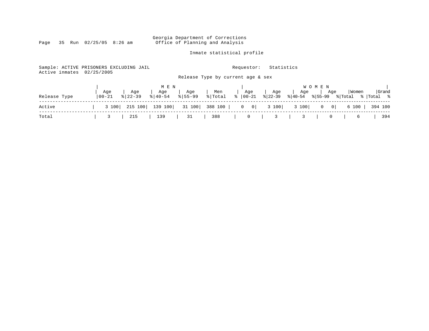Georgia Department of Corrections<br>Office of Planning and Analysis

Page 35 Run  $02/25/05$  8:26 am

# Inmate statistical profile

| Active inmates 02/25/2005 | Sample: ACTIVE PRISONERS EXCLUDING JAIL       |                                   | Requestor:                  | Statistics                                                        |                            |
|---------------------------|-----------------------------------------------|-----------------------------------|-----------------------------|-------------------------------------------------------------------|----------------------------|
|                           |                                               | Release Type by current age & sex |                             |                                                                   |                            |
|                           | Age<br>Age<br>Age                             | M E N<br>Age<br>Men               | Age                         | W O M E N<br>Age<br>Age<br>Aqe                                    | Grand<br>Women             |
| Release Type              | $\frac{1}{6}$   40-54<br>$8 22-39$<br>  00-21 | $\frac{1}{8}$   55-99             | $ \text{Total} \ge  00-21 $ | $\frac{1}{2}$   22-39 $\frac{1}{8}$   40-54 $\frac{1}{8}$   55-99 | % Total<br>%   Total %     |
| Active                    | 139 100<br>215 100<br>3 100                   | 31 100 388 100                    | 3 100<br>$0 \qquad 0$       | 3 100<br>$0 \qquad 0$                                             | 6 100  <br>394 100         |
| Total                     | 139<br>215                                    | 31<br>388                         | $\overline{0}$              | 3                                                                 | 394<br>$\overline{0}$<br>6 |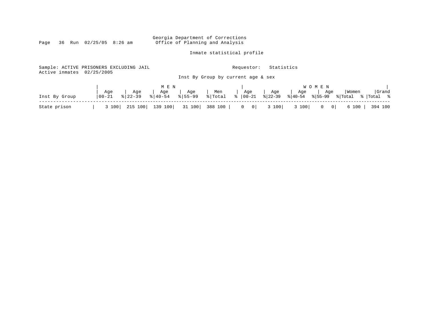Georgia Department of Corrections<br>Office of Planning and Analysis

Inmate statistical profile

| Sample: ACTIVE PRISONERS EXCLUDING JAIL<br>Active inmates | 02/25/2005                         |                  |                   | Statistics<br>Requestor: |                |                                                                                                                                                                                  |       |       |                   |                |             |  |  |  |  |  |
|-----------------------------------------------------------|------------------------------------|------------------|-------------------|--------------------------|----------------|----------------------------------------------------------------------------------------------------------------------------------------------------------------------------------|-------|-------|-------------------|----------------|-------------|--|--|--|--|--|
|                                                           | Inst By Group by current age & sex |                  |                   |                          |                |                                                                                                                                                                                  |       |       |                   |                |             |  |  |  |  |  |
|                                                           | Age                                |                  | M E N             |                          |                | استشاه<br>  Age   Age   Men   Age   Age   Age   Age   Age   Age   Age   Age   Age   Age   Age   Age   Age   Age  <br>  8 40-54 8 55-99 8 Total 8 00-21 8 22-39 8 40-54 8 55-99 ! |       |       | W O M E N         | Grand<br>Women |             |  |  |  |  |  |
| Inst By Group                                             | $100 - 21$                         | Age  <br>8 22-39 |                   |                          |                |                                                                                                                                                                                  |       |       |                   | % Total        | %   Total % |  |  |  |  |  |
| State prison                                              | 3 100                              |                  | 215 100   139 100 |                          | 31 100 388 100 | $\begin{array}{cccc} \vert & 0 & 0 \vert \end{array}$                                                                                                                            | 3 100 | 3 100 | $0 \qquad 0 \mid$ | 6 100          | 394 100     |  |  |  |  |  |

# Page 36 Run  $02/25/05$  8:26 am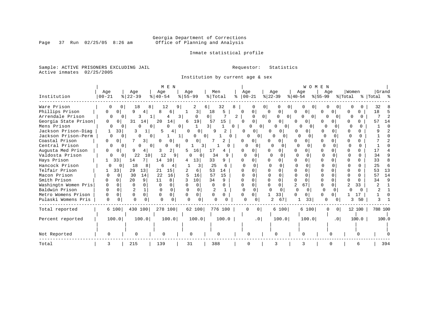# Georgia Department of Corrections<br>Page 37 Run 02/25/05 8:26 am 60ffice of Planning and Analysis Office of Planning and Analysis

Inmate statistical profile

Sample: ACTIVE PRISONERS EXCLUDING JAIL **Requestor:** Statistics Active inmates 02/25/2005

Institution by current age & sex

|                      |                     |                          | M E N                        |                            |                | WOMEN                  |                          |                          |                     |                              |                    |  |  |  |  |  |
|----------------------|---------------------|--------------------------|------------------------------|----------------------------|----------------|------------------------|--------------------------|--------------------------|---------------------|------------------------------|--------------------|--|--|--|--|--|
| Institution          | Age<br>$00 - 21$    | Age<br>$ 22-39$          | Age<br>$\frac{1}{6}$   40-54 | Age<br>$ 55 - 99 $         | Men<br>% Total | Age<br>$ 00 - 21$<br>ႜ | Age<br>$\frac{22-39}{ }$ | Age<br>$ 40-54 $         | Age<br>$ 55-99$     | Women<br>$\frac{1}{2}$ Total | Grand<br>% Total % |  |  |  |  |  |
| Ware Prison          | O                   | 18<br>0                  | 8<br>12                      | 9<br>2                     | 32<br>6<br>8   |                        | 0<br>0                   | $\sigma$                 |                     |                              | 32                 |  |  |  |  |  |
| Phillips Prison      | O.<br>0             | 9                        | 8<br>6                       | $\overline{\mathbf{3}}$    | 5<br>18        | $\Omega$<br>0          | 0<br>0                   | 0<br>0                   |                     |                              | 18                 |  |  |  |  |  |
| Arrendale Prison     | $\Omega$            | 3<br>$\Omega$            |                              | 3<br>0                     | 0 1            | 2                      | 01<br>O                  | 0<br>0                   | O                   |                              |                    |  |  |  |  |  |
| Georgia State Prison | 0<br>0 <sup>1</sup> | 31<br>14                 | 20<br>14                     | 19<br>6                    | 57<br>15       | 0<br>$\Omega$          | 0                        | 0<br>0                   |                     |                              | 14<br>57           |  |  |  |  |  |
| Mens Prison          | 0                   | 0                        | U                            | 0                          | 0              | 0                      | O<br>$\Omega$            | U                        |                     |                              |                    |  |  |  |  |  |
| Jackson Prison-Diag  | 33                  | 3                        | 5<br>4                       | $\overline{0}$<br>$\Omega$ | 9              | 0                      | 0                        |                          | O.                  |                              |                    |  |  |  |  |  |
| Jackson Prison-Perm  | $\Omega$            | $\Omega$<br><sup>0</sup> | 0                            | O<br>ᅬ                     | $\Omega$       | U<br>$\mathbf{0}$      | <sup>o</sup><br>0        |                          |                     | U                            |                    |  |  |  |  |  |
| Coastal Prison       | 0<br>$\circ$        | 3                        | 0<br>O                       | $\Omega$<br>0              | 2              | 0                      | 0                        | <sup>0</sup>             | $\Omega$            |                              |                    |  |  |  |  |  |
| Central Prison       | O                   | 0<br><sup>0</sup>        | $\Omega$<br>0  <br>O         | 31                         |                | O<br>O                 |                          | ∩<br>U                   |                     | n                            |                    |  |  |  |  |  |
| Augusta Med Prison   | 0<br>0              | 9                        | 2                            | 16<br>5                    | 17             |                        |                          |                          | N                   | U                            |                    |  |  |  |  |  |
| Valdosta Prison      | 0                   | 22<br>10<br>0            | 12<br>9                      | O                          | 34             | 0                      | $\Omega$                 | $\Omega$<br><sup>0</sup> |                     | 0                            | 34                 |  |  |  |  |  |
| Hays Prison          | 33                  | 14                       | 14<br>10                     | 13                         | 33<br>9        | 0                      | 0                        |                          |                     |                              | 33                 |  |  |  |  |  |
| Hancock Prison       | O                   | 18                       | б                            | 3                          | 25             |                        |                          |                          |                     |                              | 25                 |  |  |  |  |  |
| Telfair Prison       | 33                  | 29<br>13                 | 15<br>21                     | 6                          | 53<br>14       |                        | $\Omega$                 |                          |                     |                              | 53<br>13           |  |  |  |  |  |
| Macon Prison         | $\Omega$            | 30<br>14                 | 22<br>16                     | 16                         | 57<br>15       |                        | $\Omega$                 |                          |                     | 0                            | 14<br>57           |  |  |  |  |  |
| Smith Prison         | $\Omega$            | 20<br>9                  | 11<br>8                      | 10                         | 34<br>9        |                        | $\Omega$                 | ∩                        |                     | 0                            | 34<br>Q            |  |  |  |  |  |
| Washingtn Women Pris | $\Omega$<br>0       | $\Omega$                 | 0                            | $\Omega$                   | 0              |                        | $\Omega$                 | 67                       |                     | 33                           |                    |  |  |  |  |  |
| Baldwin Prison       |                     | $\overline{a}$           | $\Omega$                     |                            |                | $\Omega$               |                          | $\Omega$<br>$\Omega$     |                     |                              |                    |  |  |  |  |  |
| Metro Womens Prison  | U<br>$\Omega$       | 0<br>$\Omega$            | 0                            | $\overline{0}$             | 0<br>0         | 0                      | 33                       | U<br>0                   | 0<br>O              | 17                           |                    |  |  |  |  |  |
| Pulaski Womens Pris  | $\Omega$            | $\Omega$                 | U<br>$\Omega$                | 0                          | U              | 0                      | 67<br>2                  | 33                       | 0<br>0              | 50<br>3                      |                    |  |  |  |  |  |
| Total reported       | 6 100               | 430 100                  | 278 100                      | 62 100                     | 776 100        | 0<br>0 <sup>1</sup>    | 6 100                    | 6 100                    | 0<br>$\overline{0}$ | 12 100                       | 788 100            |  |  |  |  |  |
| Percent reported     | 100.0               | 100.0                    | 100.0                        | 100.0                      | 100.0          | .0                     | 100.0                    | 100.0                    | .0 <sub>1</sub>     | 100.0                        | 100.0              |  |  |  |  |  |
|                      |                     |                          |                              |                            |                |                        |                          |                          |                     |                              |                    |  |  |  |  |  |
| Not Reported         |                     |                          | 0                            | 0                          |                |                        | O                        |                          |                     |                              |                    |  |  |  |  |  |
| Total                |                     | 215                      | 139                          | 31                         | 388            | 0                      | 3                        | 3                        |                     |                              | 394                |  |  |  |  |  |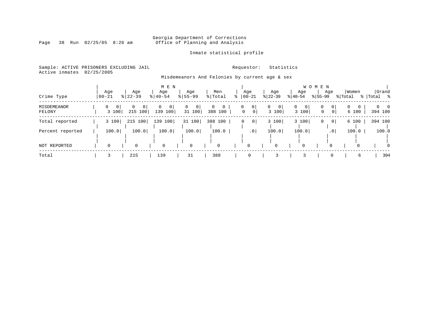# Georgia Department of Corrections<br>Page 38 Run 02/25/05 8:26 am 60ffice of Planning and Analysis Office of Planning and Analysis

## Inmate statistical profile

Sample: ACTIVE PRISONERS EXCLUDING JAIL **Requestor:** Statistics Active inmates 02/25/2005

Misdemeanors And Felonies by current age & sex

|                       |                            |                              | M E N                        |                    |                   |   |                                  | M E N<br>W O                         |                            |                                                      |                                   |                                 |  |  |  |  |  |
|-----------------------|----------------------------|------------------------------|------------------------------|--------------------|-------------------|---|----------------------------------|--------------------------------------|----------------------------|------------------------------------------------------|-----------------------------------|---------------------------------|--|--|--|--|--|
| Crime Type            | Age<br>$00 - 21$           | Age<br>$8$   22 – 39         | Age<br>$8   40 - 54$         | Age<br>$8155 - 99$ | Men<br>% Total    | ႜ | Age<br>$ 00-21$                  | Age<br>$ 22-39 $                     | Age<br>$ 40-54 $           | Age<br>$ 55-99 $                                     | Women<br>% Total                  | Grand<br>%   Total<br>း - ေ     |  |  |  |  |  |
| MISDEMEANOR<br>FELONY | 0<br>$\mathbf{0}$<br>3 100 | 0<br>$\mathbf{0}$<br>215 100 | 0<br>$\mathbf{0}$<br>139 100 | 0<br>0<br>31 100   | 0<br>0<br>388 100 |   | 0<br>0<br>$\mathbf 0$<br>$\circ$ | $\mathbf 0$<br>$\mathbf{0}$<br>3 100 | 0<br>$\mathbf{0}$<br>3 100 | 0 <sup>1</sup><br>0<br>$\overline{0}$<br>$\mathbf 0$ | $\Omega$<br>$\mathbf{0}$<br>6 100 | $\Omega$<br>$\Omega$<br>394 100 |  |  |  |  |  |
| Total reported        | 3 100                      | 215<br>100                   | 139 100                      | 31 100             | 100<br>388        |   | 0<br>$\mathbf 0$                 | 3 100                                | 3 100                      | 0 <sup>1</sup><br>0                                  | 6 100                             | 394 100                         |  |  |  |  |  |
| Percent reported      | 100.0                      | 100.0                        | 100.0                        | 100.0              | 100.0             |   | $\cdot$ 0                        | 100.0                                | 100.0                      | .0 <sub>1</sub>                                      | 100.0                             | 100.0                           |  |  |  |  |  |
| NOT REPORTED          |                            | $\mathbf 0$                  | $\mathbf 0$                  | $\mathbf 0$        | $\Omega$          |   | 0                                | $\Omega$                             | $\mathbf 0$                |                                                      | $\Omega$                          | $\Omega$                        |  |  |  |  |  |
| Total                 |                            | 215                          | 139                          | 31                 | 388               |   | 0                                |                                      |                            | 0                                                    | 6                                 | 394                             |  |  |  |  |  |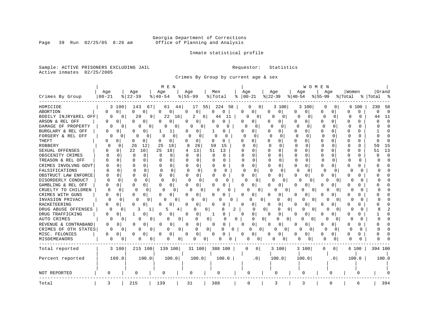# Georgia Department of Corrections<br>Page 39 Run 02/25/05 8:26 am 60ffice of Planning and Analysis Office of Planning and Analysis

Inmate statistical profile

Sample: ACTIVE PRISONERS EXCLUDING JAIL **Requestor:** Statistics Active inmates 02/25/2005

Crimes By Group by current age & sex

|                      |                  |          |                          | M E N              |                     |                      |                     |              |                     |                          |                      |                          |                   |          |          |            |
|----------------------|------------------|----------|--------------------------|--------------------|---------------------|----------------------|---------------------|--------------|---------------------|--------------------------|----------------------|--------------------------|-------------------|----------|----------|------------|
| Crimes By Group      | Age<br>$00 - 21$ |          | Age<br>$8   22 - 39$     | Age<br>$8140 - 54$ | Aqe<br>$8155 - 99$  |                      | Men<br>% Total      | Age<br>ႜ     | $ 00-21$            | Age<br>$ 22-39$          | Age<br>$ 40-54 $     | Aqe<br>$8155 - 99$       | % Total           | Women    | %  Total | Grand<br>ૂ |
| HOMICIDE             |                  | 3 100    | 143                      | 67<br>61           | 44                  | 55<br>17             | 224<br>58           |              | $\circ$<br>0        | 3100                     | 3 100                | 0                        | 0 <sup>1</sup>    | 6 100    | 230      | 58         |
| ABORTION             | 0                | 0        | 0<br>0                   | 0 <br>$\Omega$     | 0                   | 0                    | $\Omega$<br>0       | $\Omega$     | 0 <sup>1</sup>      | 0<br>0                   | 0 <sup>1</sup><br>0  | 0<br>0                   | 0                 | $\Omega$ | $\Omega$ | $\Omega$   |
| BODILY INJRY&REL OFF | $\Omega$         | $\Omega$ | 20                       | 22<br>9            | 2<br>16             | 6                    | 44<br>11            |              | O<br>$\overline{0}$ | $\Omega$<br>0            | $\Omega$<br>0        | $\Omega$<br>$\Omega$     | O                 | $\Omega$ | 44       | 11         |
| ARSON & REL OFF      | 0                | $\Omega$ | O<br>0                   | <sup>0</sup><br>0  | 0                   | 0                    | U<br>0              | O            | $\Omega$            | 0<br>U                   | 0<br>0               | <sup>0</sup><br>0        | O                 | U        |          | $\cap$     |
| DAMAGE OF PROPERTY   | O                | 0        | U                        | $\Omega$           | 0<br><sup>0</sup>   | $\Omega$             | 0                   | U            | $\Omega$            | <sup>0</sup>             | $\cap$<br>∩          | ∩<br>∩                   |                   | n        |          |            |
| BURGLARY & REL OFF   | 0                | 0        | O<br>0                   | 1                  | O                   | 0                    | O                   | <sup>0</sup> | 0                   | 0<br>O                   | 0<br>$\Omega$        | $\Omega$<br><sup>n</sup> | Λ                 | U        |          |            |
| FORGERY & REL OFF    | 0                | 0        | 0                        | 0<br>0             | 0 <sup>1</sup><br>0 | 0                    | O<br>O              | ∩            | $\Omega$            | $\Omega$<br>$\Omega$     | 0<br>$\Omega$        | $\Omega$<br>0            | n                 | O        |          |            |
| <b>THEFT</b>         | 0                | 0        | 0<br>0                   | $\Omega$<br>0      | U                   | 0                    | n<br>$\Omega$       | n            | 0                   | O<br>0                   | $\Omega$<br>$\Omega$ | O<br>0                   | ∩                 | U        |          |            |
| <b>ROBBERY</b>       | ∩                | 0        | 12<br>26                 | 25<br>18           | 8                   | 26                   | 59<br>15            | $\cap$       | $\Omega$            | $\Omega$<br>0            | $\Omega$<br>$\Omega$ | $\Omega$<br>$\Omega$     | $\cap$            | 0        | 59       | 15         |
| SEXUAL OFFENSES      | O                | 0        | 22<br>10                 | 25<br>18           |                     | 13                   | 13<br>51            | U            | 0                   | $\Omega$<br>$\Omega$     | 0<br>$\Omega$        | $\Omega$                 | $\cap$            |          | 51       | 13         |
| OBSCENITY CRIMES     | U                | $\Omega$ | $\Omega$<br>0            | $\Omega$<br>0      | $\Omega$            | $\Omega$             | $\Omega$<br>O       | U            | 0                   | 0<br>$\Omega$            | O<br>$\cap$          | $\Omega$<br>$\Omega$     | $\Omega$          | 0        |          | $\cap$     |
| TREASON & REL OFF    |                  | $\Omega$ | $\Omega$<br><sup>0</sup> | $\Omega$<br>O      | U                   | 0                    | $\Omega$<br>0       | O            | $\Omega$            | $\Omega$<br>$\Omega$     | $\Omega$<br>U        | 0<br>O                   | <sup>0</sup>      | 0        |          | r          |
| CRIMES INVOLVNG GOVT | Ω                | O        | 0<br>O                   | 0<br>O             |                     | $\Omega$             | O<br>0              | U            | $\Omega$            | $\Omega$<br>O            | U<br>O               | O<br><sup>0</sup>        | O                 | O        |          |            |
| FALSIFICATIONS       |                  | U        | 0                        | $\Omega$<br>O      | $\cap$              | 0                    | $\Omega$<br>U       | $\cap$       | $\Omega$            | $\Omega$                 | O<br>$\Omega$        | $\Omega$                 | $\Omega$          | U<br>n   |          |            |
| OBSTRUCT LAW ENFORCE | 0                | 0        | $\Omega$<br>0            | O<br>0             | U                   | 0 <sup>1</sup>       | 0<br>0              | U            | 0                   | U<br>0                   | 0<br>0               | ∩<br>0                   | U                 | 0        |          |            |
| DISORDERLY CONDUCT   | $\Omega$         | 0        | $\Omega$<br>O            | C<br>0             | $\Omega$            | $\Omega$             | n<br>N              | U            | 0                   | O<br>0                   | 0                    | n                        |                   | U<br>U   |          |            |
| GAMBLING & REL OFF   | U                | U        | U<br>0                   | O<br>0             | <sup>0</sup>        | 0                    | U                   | n            | 0                   | 0<br>U                   | 0<br>$\Omega$        | U<br>O                   | U                 | U        |          |            |
| CRUELTY TO CHILDREN  | 0                | 0        | $\Omega$                 | 0<br>0             | 0<br>0              | 0                    | Ω<br>n              |              | $\mathbf{0}$        | 0<br>0                   | U<br>0               | O                        | 0                 | O<br>O   |          |            |
| CRIMES WITH GUNS     | 0                | 0        | 0<br>0                   | 0<br>0             | 0                   | 0                    | O<br>O              | 0            | $\overline{0}$      | 0<br>0                   | 0<br>0               | 0<br>0                   | Ω                 | U        |          |            |
| INVASION PRIVACY     | O                | 0        | <sup>0</sup>             | 0<br>U             | 0<br><sup>0</sup>   | 0                    | U                   |              | O                   | 0<br>0                   | $\Omega$<br>0        | 0                        | 0                 | 0<br>0   |          |            |
| <b>RACKETEERING</b>  | U                | 0        | U<br>0                   | 0<br>n             | O                   | 0                    | O<br>0              | ∩            | 0                   | 0<br>0                   | U<br>0               | O<br>0                   | Λ                 | U        |          |            |
| DRUG ABUSE OFFENSES  | 0                | $\Omega$ | 3                        | 1                  | 4<br>O              | 0                    | $\overline{a}$<br>8 |              | $\cap$              | $\overline{0}$<br>0<br>O | 0                    |                          |                   | U<br>O   |          |            |
| DRUG TRAFFICKING     | 0                | 0        | 0                        | 0<br>U             | 0                   | 0                    | U                   | $\Omega$     | 0                   | 0<br>0                   | O<br>$\Omega$        | 0<br>O                   | U                 | 0        |          |            |
| AUTO CRIMES          | 0                | $\Omega$ | 0                        | 0<br>0             | $\Omega$            | 0 <sup>1</sup><br>0  | 0                   | $\Omega$     | 0                   | $\Omega$<br>0<br>0       | 0<br>0               | U                        | $\Omega$          | O<br>O   |          |            |
| REVENUE & CONTRABAND | 0                | 0        | 0<br>O                   | 0<br>U             | $\Omega$            | $\mathbf{0}$         | 0<br>N              | U            | 0                   | 0<br>O                   | 0<br>0               | 0<br>0                   | U                 | 0        |          |            |
| CRIMES OF OTH STATES | 0                | $\Omega$ | $\Omega$                 | 0<br>0             | $\Omega$            | $\Omega$<br>$\Omega$ | O<br>$\Omega$       |              | 0<br><sup>0</sup>   | 0<br>$\Omega$            | 0<br>$\Omega$        | ∩                        | <sup>0</sup><br>0 | U        |          |            |
| MISC. FELONIES       | U                | 0        | 0<br>0                   | 0<br>0             | 0                   | 0                    | 0<br>O              | ∩            | 0                   | 0                        | 0<br>0               | U<br>0                   | U                 | 0        |          |            |
| MISDEMEANORS         | 0                | 0        | 0                        | 0<br>0             | 0<br>0              | 0 <sup>1</sup>       | 0<br>0              |              | $\overline{0}$      | 0<br>0                   | 0<br>0               | 0                        | 0                 | 0        |          |            |
| Total reported       |                  | 3 100    | 215 100                  | 139 100            |                     | 31 100               | 388 100             | 0            | 0                   | 3 100                    | 3 100                | 0                        | 0 I               | 6 100    | 394 100  |            |
| Percent reported     |                  | 100.0    | 100.0                    | 100.0              |                     | 100.0                | 100.0               |              | .0 <sub>1</sub>     | 100.0                    | 100.0                | .0 <sub>1</sub>          |                   | 100.0    |          | 100.0      |
|                      |                  |          |                          |                    |                     |                      |                     |              |                     |                          |                      |                          |                   |          |          |            |
| NOT REPORTED         | $\Omega$         |          | $\Omega$                 | 0                  | 0                   |                      | 0                   |              | 0                   | 0                        | $\Omega$             | $\Omega$                 |                   | 0        |          |            |
| Total                | 3                |          | 215                      | 139                | 31                  |                      | 388                 |              | 0                   | 3                        | 3                    | O                        |                   | 6        |          | 394        |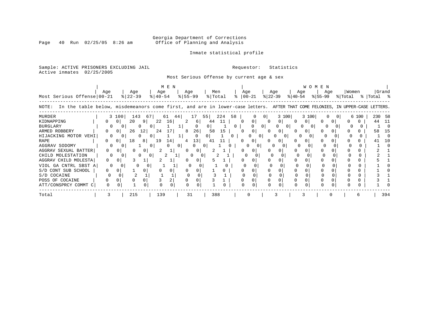# Georgia Department of Corrections Office of Planning and Analysis

### Inmate statistical profile

Sample: ACTIVE PRISONERS EXCLUDING JAIL **Requestor:** Statistics Active inmates 02/25/2005

Most Serious Offense by current age & sex

|                                                                                                                                      |          | M E N          |                    |          |                      |          |                    |       |                |     |          |                      |          | W O M E N        |          |              |              |           |          |                  |       |                      |       |  |
|--------------------------------------------------------------------------------------------------------------------------------------|----------|----------------|--------------------|----------|----------------------|----------|--------------------|-------|----------------|-----|----------|----------------------|----------|------------------|----------|--------------|--------------|-----------|----------|------------------|-------|----------------------|-------|--|
| Most Serious Offense 00-21                                                                                                           | Age      |                | Age<br>$8$   22-39 |          | Age<br>$8   40 - 54$ |          | Age<br>$8155 - 99$ |       | Men<br>% Total |     |          | Age<br>$8   00 - 21$ |          | Age<br>$ 22-39 $ |          | $ 40-54 $    | Age          | $8 55-99$ | Age      | Women<br>% Total |       | Grand<br>%   Total % |       |  |
| In the table below, misdemeanors come first, and are in lower-case letters. AFTER THAT COME FELONIES, IN UPPER-CASE LETTERS<br>NOTE: |          |                |                    |          |                      |          |                    |       |                |     |          |                      |          |                  |          |              |              |           |          |                  |       |                      |       |  |
| MURDER                                                                                                                               |          | 3 100          |                    | $143$ 67 |                      | 61 44    |                    | 17    | 55             | 224 | 58       |                      |          |                  | 3 100    |              | 3 100        |           |          |                  | 6 100 | 230                  | - 58  |  |
| KIDNAPPING                                                                                                                           |          | $\overline{0}$ | 20                 | 91       | 22                   | 16       | 2                  | - 6 I | 44             | 11  |          | $\Omega$             | 0        |                  | 0        |              | $\mathbf{0}$ |           | $\Omega$ |                  | 0     | 44                   |       |  |
| <b>BURGLARY</b>                                                                                                                      |          |                |                    | 0        |                      |          |                    |       | 0              |     | $\Omega$ |                      | 01       |                  | 0        |              |              |           |          |                  |       |                      |       |  |
| ARMED ROBBERY                                                                                                                        | 0        | 01             | 26                 | 12       | 24                   | 17       | 8                  | 26    | 58             | 15  |          |                      | $\Omega$ |                  | $\Omega$ |              |              |           |          |                  |       | 58                   | -15   |  |
| HIJACKING MOTOR VEHI                                                                                                                 |          | 0              | $\mathbf{0}$       | 0        |                      |          |                    | 0     | $\Omega$       |     | 0        |                      | 0        |                  | 01       |              |              |           |          |                  |       |                      |       |  |
| <b>RAPE</b>                                                                                                                          |          | 0 <sub>1</sub> | 18                 | 81       | 19                   | 14       | 4                  | 13    | 41             |     |          |                      | 0        |                  | 0        |              |              |           |          |                  |       |                      | - 1 ດ |  |
| AGGRAV SODOMY                                                                                                                        |          |                |                    |          |                      | $\Omega$ |                    | 0     |                |     |          |                      | $\circ$  |                  |          |              |              |           |          |                  |       |                      |       |  |
| AGGRAV SEXUAL BATTER                                                                                                                 |          |                |                    | 0        |                      |          | $\Omega$           | U     |                |     |          |                      |          |                  |          |              |              |           |          |                  |       |                      |       |  |
| CHILD MOLESTATION                                                                                                                    |          |                |                    |          |                      |          |                    |       |                |     |          |                      |          |                  |          |              |              |           |          |                  |       |                      |       |  |
| AGGRAV CHILD MOLESTA                                                                                                                 | $\Omega$ |                |                    |          |                      |          |                    |       |                |     |          |                      |          |                  |          |              |              |           |          |                  |       |                      |       |  |
| VIOL GA CNTRL SBST A                                                                                                                 |          |                |                    |          |                      |          |                    |       |                |     |          |                      |          |                  |          |              |              |           |          |                  |       |                      |       |  |
| S/D CONT SUB SCHOOL                                                                                                                  |          |                |                    |          |                      |          |                    |       |                |     |          |                      |          |                  |          |              |              |           |          |                  |       |                      |       |  |
| S/D COCAINE                                                                                                                          |          |                |                    |          |                      |          |                    |       |                |     |          |                      |          |                  |          |              |              |           |          |                  |       |                      |       |  |
| POSS OF COCAINE                                                                                                                      |          |                |                    |          |                      |          |                    |       |                |     |          |                      |          |                  |          |              |              |           |          |                  |       |                      |       |  |
| ATT/CONSPRCY COMMT C                                                                                                                 |          | 0              |                    | $\Omega$ | <sup>0</sup>         | $\Omega$ | O                  |       |                |     |          |                      | $\Omega$ |                  | $\Omega$ | <sup>0</sup> |              | $\Omega$  |          |                  |       |                      |       |  |
| Total                                                                                                                                |          |                | 215                |          | 139                  |          | 31                 |       | 388            |     |          |                      |          |                  |          |              |              |           |          |                  |       |                      | 394   |  |